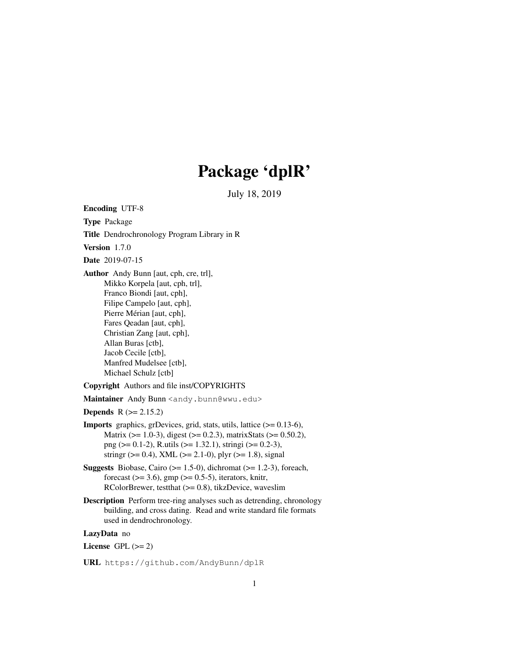# Package 'dplR'

July 18, 2019

Encoding UTF-8 Type Package Title Dendrochronology Program Library in R Version 1.7.0 Date 2019-07-15 Author Andy Bunn [aut, cph, cre, trl], Mikko Korpela [aut, cph, trl], Franco Biondi [aut, cph], Filipe Campelo [aut, cph], Pierre Mérian [aut, cph], Fares Qeadan [aut, cph], Christian Zang [aut, cph], Allan Buras [ctb], Jacob Cecile [ctb], Manfred Mudelsee [ctb], Michael Schulz [ctb] Copyright Authors and file inst/COPYRIGHTS Maintainer Andy Bunn <andy.bunn@wwu.edu> **Depends**  $R$  ( $>= 2.15.2$ ) Imports graphics, grDevices, grid, stats, utils, lattice (>= 0.13-6), Matrix (>= 1.0-3), digest (>= 0.2.3), matrixStats (>= 0.50.2), png ( $> = 0.1-2$ ), R.utils ( $> = 1.32.1$ ), stringi ( $> = 0.2-3$ ), stringr ( $> = 0.4$ ), XML ( $> = 2.1$ -0), plyr ( $> = 1.8$ ), signal **Suggests** Biobase, Cairo ( $>= 1.5-0$ ), dichromat ( $>= 1.2-3$ ), foreach, forecast  $(>= 3.6)$ , gmp  $(>= 0.5-5)$ , iterators, knitr, RColorBrewer, testthat  $(>= 0.8)$ , tikzDevice, waveslim Description Perform tree-ring analyses such as detrending, chronology

building, and cross dating. Read and write standard file formats used in dendrochronology.

LazyData no

License GPL  $(>= 2)$ 

URL https://github.com/AndyBunn/dplR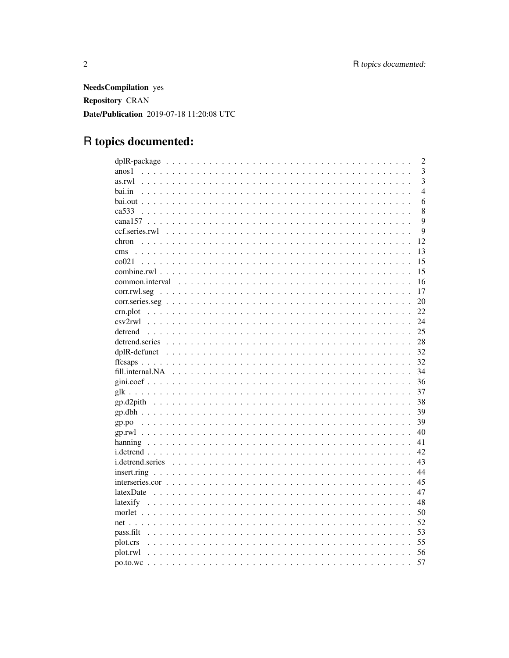**NeedsCompilation** yes Repository CRAN Date/Publication 2019-07-18 11:20:08 UTC

# R topics documented:

|                                                                                                                       | $\overline{2}$ |
|-----------------------------------------------------------------------------------------------------------------------|----------------|
| anos1                                                                                                                 | 3              |
| as.rwl                                                                                                                | 3              |
| bai.in                                                                                                                | $\overline{4}$ |
|                                                                                                                       | 6              |
| ca533                                                                                                                 | 8              |
|                                                                                                                       | 9              |
| ccf.series.rwl                                                                                                        | 9              |
| chron                                                                                                                 | 12             |
|                                                                                                                       | 13             |
|                                                                                                                       | 15             |
|                                                                                                                       | 15             |
| common.interval                                                                                                       | 16             |
| $corr.rwl. seg \dots \dots \dots \dots \dots \dots \dots \dots \dots \dots \dots \dots \dots \dots \dots \dots \dots$ | 17             |
|                                                                                                                       | 20             |
| crn.plot                                                                                                              | 22             |
|                                                                                                                       | 24             |
| detrend                                                                                                               | 25             |
|                                                                                                                       | 28             |
|                                                                                                                       | 32             |
|                                                                                                                       | 32             |
|                                                                                                                       | 34             |
|                                                                                                                       | 36             |
|                                                                                                                       | 37             |
|                                                                                                                       | 38             |
|                                                                                                                       | 39             |
|                                                                                                                       | 39             |
|                                                                                                                       | 40             |
|                                                                                                                       | 41             |
|                                                                                                                       | 42             |
| <i>i.detrend.series</i>                                                                                               | 43             |
|                                                                                                                       | 44             |
|                                                                                                                       | 45             |
|                                                                                                                       | 47             |
|                                                                                                                       | 48             |
|                                                                                                                       | 50             |
|                                                                                                                       | 52             |
| pass.filt                                                                                                             | 53             |
| plot.crs                                                                                                              | 55             |
| plot.rwl                                                                                                              | 56             |
|                                                                                                                       | 57             |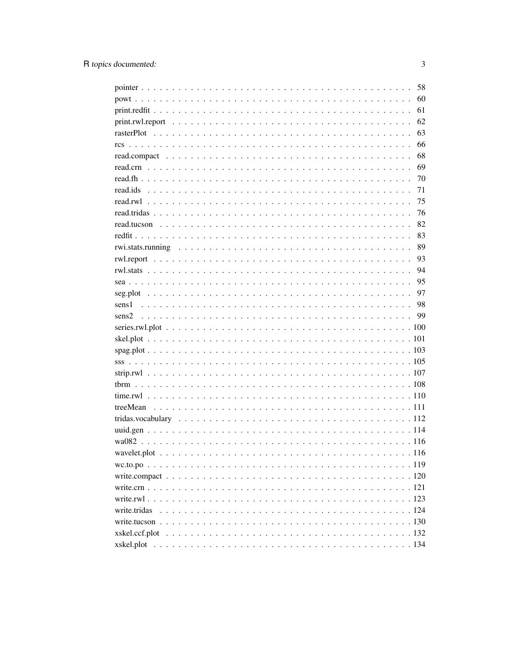| 58          |
|-------------|
| 60          |
| 61          |
| 62          |
| 63          |
| 66          |
| 68          |
| 69          |
| 70          |
| 71          |
| 75          |
| 76          |
| 82          |
| 83          |
| 89          |
| 93          |
| 94          |
| 95          |
| 97          |
| 98<br>sens1 |
| 99<br>sens2 |
|             |
|             |
|             |
|             |
|             |
|             |
|             |
|             |
|             |
|             |
|             |
|             |
|             |
|             |
|             |
|             |
|             |
|             |
|             |
|             |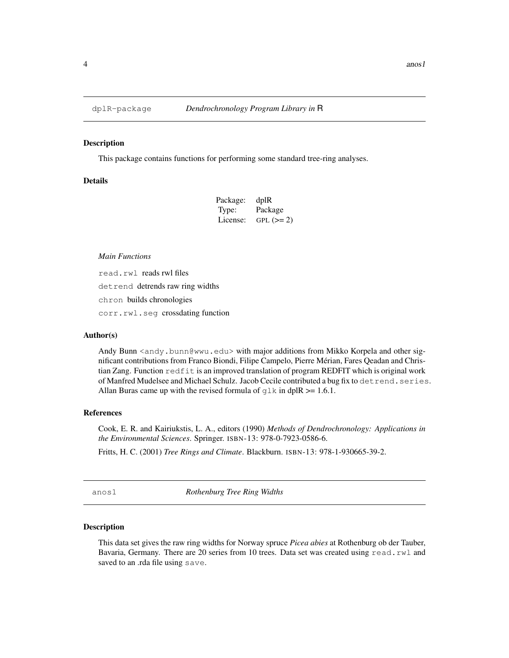#### Description

This package contains functions for performing some standard tree-ring analyses.

# **Details**

| Package: |            |
|----------|------------|
| Type:    | Package    |
| License: | $GPL (=2)$ |

#### *Main Functions*

read.rwl reads rwl files

detrend detrends raw ring widths

chron builds chronologies

corr.rwl.seg crossdating function

#### Author(s)

Andy Bunn <andy.bunn@wwu.edu> with major additions from Mikko Korpela and other significant contributions from Franco Biondi, Filipe Campelo, Pierre Mérian, Fares Qeadan and Christian Zang. Function redfit is an improved translation of program REDFIT which is original work of Manfred Mudelsee and Michael Schulz. Jacob Cecile contributed a bug fix to detrend.series. Allan Buras came up with the revised formula of  $q \, \text{lk}$  in dplR  $\geq 1.6.1$ .

## References

Cook, E. R. and Kairiukstis, L. A., editors (1990) *Methods of Dendrochronology: Applications in the Environmental Sciences*. Springer. ISBN-13: 978-0-7923-0586-6.

Fritts, H. C. (2001) *Tree Rings and Climate*. Blackburn. ISBN-13: 978-1-930665-39-2.

anos1 *Rothenburg Tree Ring Widths*

#### Description

This data set gives the raw ring widths for Norway spruce *Picea abies* at Rothenburg ob der Tauber, Bavaria, Germany. There are 20 series from 10 trees. Data set was created using read.rwl and saved to an .rda file using save.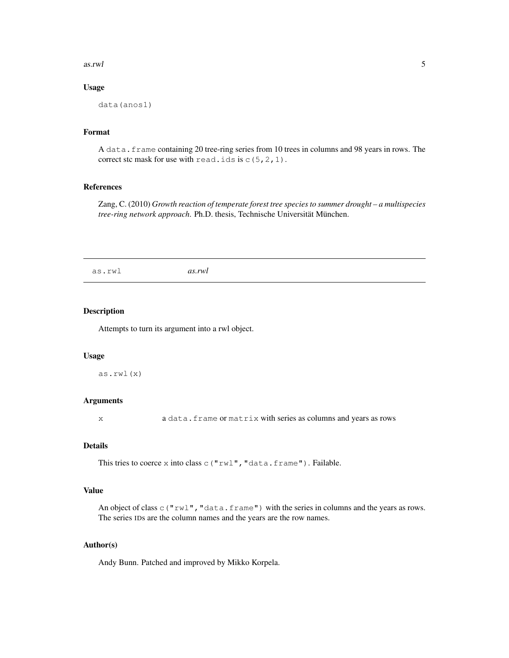#### as.rwl 5

# Usage

```
data(anos1)
```
# Format

A data.frame containing 20 tree-ring series from 10 trees in columns and 98 years in rows. The correct stc mask for use with read.ids is  $c(5,2,1)$ .

# References

Zang, C. (2010) *Growth reaction of temperate forest tree species to summer drought – a multispecies tree-ring network approach*. Ph.D. thesis, Technische Universität München.

as.rwl *as.rwl*

# Description

Attempts to turn its argument into a rwl object.

## Usage

as.rwl(x)

#### Arguments

x a data.frame or matrix with series as columns and years as rows

# Details

This tries to coerce x into class  $\subset$  ("rwl", "data.frame"). Failable.

# Value

An object of class  $\circ$  ("rwl", "data.frame") with the series in columns and the years as rows. The series IDs are the column names and the years are the row names.

# Author(s)

Andy Bunn. Patched and improved by Mikko Korpela.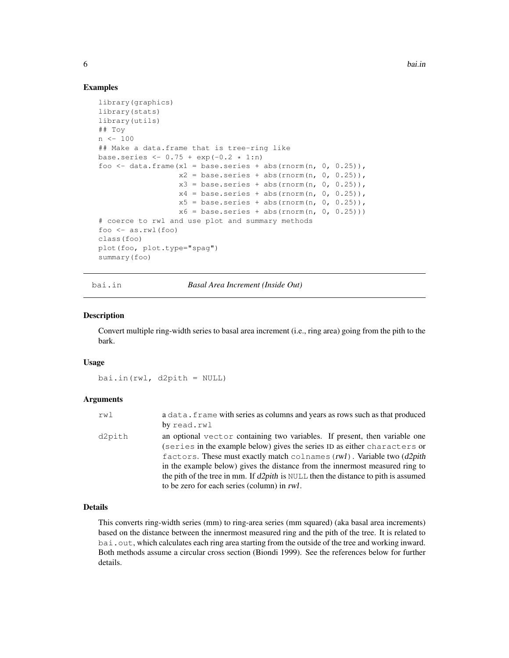**6** bai.in

## Examples

```
library(graphics)
library(stats)
library(utils)
## Toy
n < -100## Make a data.frame that is tree-ring like
base.series <- 0.75 + exp(-0.2 * 1:n)foo \le data.frame(x1 = base.series + abs(rnorm(n, 0, 0.25)),
                  x2 = base.series + abs(rnorm(n, 0, 0.25)),
                  x3 = base.series + abs(rnorm(n, 0, 0.25)),x4 = base.series + abs(rnorm(n, 0, 0.25)),x5 = base.series + abs(rnorm(n, 0, 0.25)),x6 = base.series + abs(rnorm(n, 0, 0.25)))# coerce to rwl and use plot and summary methods
foo <- as.rwl(foo)
class(foo)
plot(foo, plot.type="spag")
summary(foo)
```
bai.in *Basal Area Increment (Inside Out)*

#### Description

Convert multiple ring-width series to basal area increment (i.e., ring area) going from the pith to the bark.

#### Usage

bai.in(rwl, d2pith = NULL)

#### **Arguments**

| rwl    | a data. frame with series as columns and years as rows such as that produced<br>by read.rwl                                                                                                                                                                                                                                                                                                                                                                    |
|--------|----------------------------------------------------------------------------------------------------------------------------------------------------------------------------------------------------------------------------------------------------------------------------------------------------------------------------------------------------------------------------------------------------------------------------------------------------------------|
| d2pith | an optional vector containing two variables. If present, then variable one<br>(series in the example below) gives the series ID as either characters or<br>factors. These must exactly match colnames $(rwl)$ . Variable two $(d2pith)$<br>in the example below) gives the distance from the innermost measured ring to<br>the pith of the tree in mm. If $d2pith$ is NULL then the distance to pith is assumed<br>to be zero for each series (column) in rwl. |

# Details

This converts ring-width series (mm) to ring-area series (mm squared) (aka basal area increments) based on the distance between the innermost measured ring and the pith of the tree. It is related to bai.out, which calculates each ring area starting from the outside of the tree and working inward. Both methods assume a circular cross section (Biondi 1999). See the references below for further details.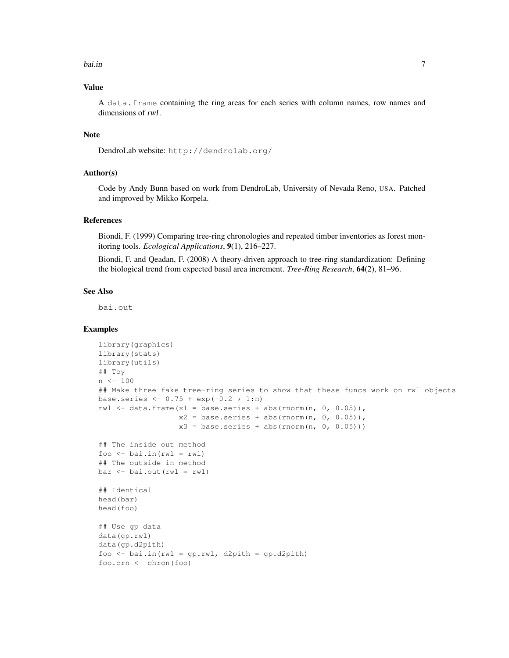#### bai.in 2008 and 2008 and 2008 and 2008 and 2008 and 2008 and 2008 and 2008 and 2008 and 2008 and 2008 and 2008

## Value

A data.frame containing the ring areas for each series with column names, row names and dimensions of rwl.

## Note

```
DendroLab website: http://dendrolab.org/
```
## Author(s)

Code by Andy Bunn based on work from DendroLab, University of Nevada Reno, USA. Patched and improved by Mikko Korpela.

# References

Biondi, F. (1999) Comparing tree-ring chronologies and repeated timber inventories as forest monitoring tools. *Ecological Applications*, 9(1), 216–227.

Biondi, F. and Qeadan, F. (2008) A theory-driven approach to tree-ring standardization: Defining the biological trend from expected basal area increment. *Tree-Ring Research*, 64(2), 81–96.

## See Also

bai.out

# Examples

```
library(graphics)
library(stats)
library(utils)
## Toy
n <- 100
## Make three fake tree-ring series to show that these funcs work on rwl objects
base.series <- 0.75 + exp(-0.2 * 1:n)rwl \leftarrow data.frame(x1 = base.series + abs(rnorm(n, 0, 0.05)),
                  x2 = base.series + abs(rnorm(n, 0, 0.05)),
                  x3 = base.series + abs(rnorm(n, 0, 0.05)))## The inside out method
foo \le bai.in(rwl = rwl)
## The outside in method
bar < - bai.out(rwl = rwl)
## Identical
head(bar)
head(foo)
## Use gp data
data(gp.rwl)
data(gp.d2pith)
foo \le bai.in(rwl = qp.rwl, d2pith = qp.d2pith)
foo.crn <- chron(foo)
```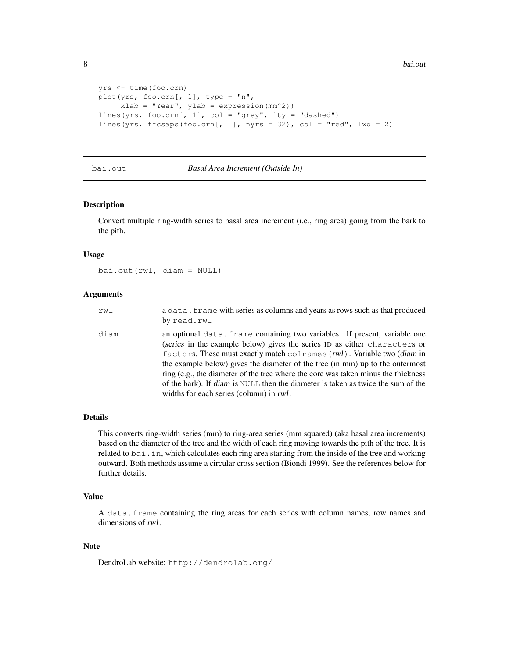```
yrs <- time(foo.crn)
plot(yrs, foo.crn[, 1], type = "n",xlab = "Year", ylab = expression(mm^2))
lines(yrs, foo.crn[, 1], col = "grey", lty = "dashed")lines(yrs, ffcsaps(foo.crn[, 1], nyrs = 32), col = "red", lwd = 2)
```
## bai.out *Basal Area Increment (Outside In)*

# Description

Convert multiple ring-width series to basal area increment (i.e., ring area) going from the bark to the pith.

#### Usage

bai.out(rwl, diam = NULL)

## **Arguments**

| rwl  | a data. frame with series as columns and years as rows such as that produced<br>by read.rwl                                                                                                                                                                                                                                                                                                                                                                                                                                                |
|------|--------------------------------------------------------------------------------------------------------------------------------------------------------------------------------------------------------------------------------------------------------------------------------------------------------------------------------------------------------------------------------------------------------------------------------------------------------------------------------------------------------------------------------------------|
| diam | an optional data. frame containing two variables. If present, variable one<br>(series in the example below) gives the series ID as either characters or<br>factors. These must exactly match colnames $(rwl)$ . Variable two (diam in<br>the example below) gives the diameter of the tree (in mm) up to the outermost<br>ring (e.g., the diameter of the tree where the core was taken minus the thickness<br>of the bark). If diam is NULL then the diameter is taken as twice the sum of the<br>widths for each series (column) in rwl. |

# Details

This converts ring-width series (mm) to ring-area series (mm squared) (aka basal area increments) based on the diameter of the tree and the width of each ring moving towards the pith of the tree. It is related to bai.in, which calculates each ring area starting from the inside of the tree and working outward. Both methods assume a circular cross section (Biondi 1999). See the references below for further details.

# Value

A data.frame containing the ring areas for each series with column names, row names and dimensions of rwl.

#### **Note**

DendroLab website: http://dendrolab.org/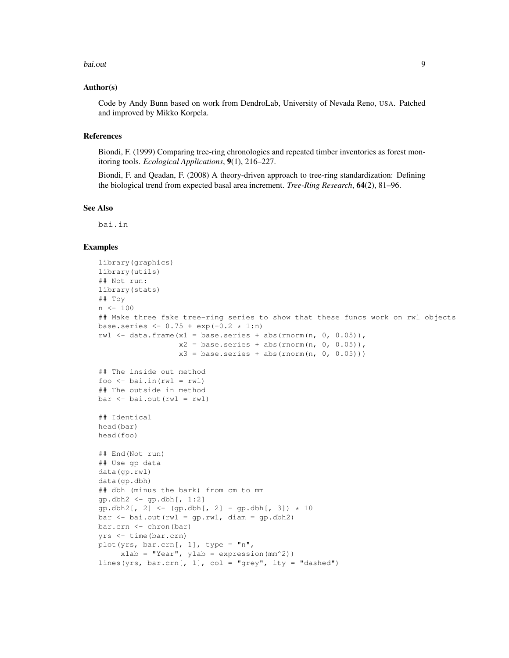#### bai.out 2008 and 2008 and 2008 and 2008 and 2008 and 2008 and 2008 and 2008 and 2008 and 2008 and 2008 and 200

#### Author(s)

Code by Andy Bunn based on work from DendroLab, University of Nevada Reno, USA. Patched and improved by Mikko Korpela.

## References

Biondi, F. (1999) Comparing tree-ring chronologies and repeated timber inventories as forest monitoring tools. *Ecological Applications*, 9(1), 216–227.

Biondi, F. and Qeadan, F. (2008) A theory-driven approach to tree-ring standardization: Defining the biological trend from expected basal area increment. *Tree-Ring Research*, 64(2), 81–96.

#### See Also

bai.in

## Examples

```
library(graphics)
library(utils)
## Not run:
library(stats)
## Toy
n <- 100
## Make three fake tree-ring series to show that these funcs work on rwl objects
base.series <- 0.75 + \exp(-0.2 + 1:n)rwl \le data.frame(x1 = base.series + abs(rnorm(n, 0, 0.05)),
                  x2 = base.series + abs(rnorm(n, 0, 0.05)),
                  x3 = base.series + abs(rnorm(n, 0, 0.05)))## The inside out method
foo \le bai.in(rwl = rwl)
## The outside in method
bar < - bai.out(rwl = rwl)
## Identical
head(bar)
head(foo)
## End(Not run)
## Use gp data
data(gp.rwl)
data(gp.dbh)
## dbh (minus the bark) from cm to mm
gp.dbh2 \leftarrow gp.dbh[, 1:2]qp. dbh2[, 2] < - (qp. dbh[, 2] - qp. dbh[, 3] * 10
bar \le bai.out(rwl = gp.rwl, diam = gp.dbh2)
bar.crn <- chron(bar)
yrs <- time(bar.crn)
plot(yrs, bar.crn[, 1], type = "n",
     xlab = "Year", ylab = expression(mm^2))
lines(yrs, bar.crn[, 1], col = "grey", lty = "dashed")
```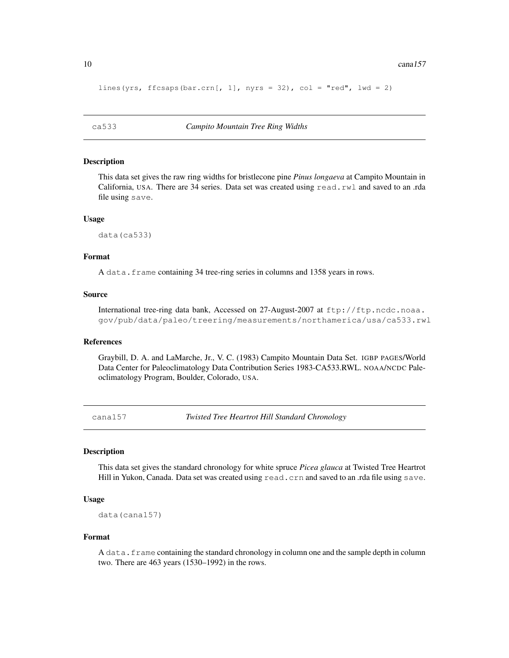```
lines(yrs, ffcsaps(bar.crn[, 1], nyrs = 32), col = "red", lwd = 2)
```
#### Description

This data set gives the raw ring widths for bristlecone pine *Pinus longaeva* at Campito Mountain in California, USA. There are 34 series. Data set was created using read.rwl and saved to an .rda file using save.

#### Usage

data(ca533)

## Format

A data. frame containing 34 tree-ring series in columns and 1358 years in rows.

#### Source

International tree-ring data bank, Accessed on 27-August-2007 at ftp://ftp.ncdc.noaa. gov/pub/data/paleo/treering/measurements/northamerica/usa/ca533.rwl

#### References

Graybill, D. A. and LaMarche, Jr., V. C. (1983) Campito Mountain Data Set. IGBP PAGES/World Data Center for Paleoclimatology Data Contribution Series 1983-CA533.RWL. NOAA/NCDC Paleoclimatology Program, Boulder, Colorado, USA.

cana157 *Twisted Tree Heartrot Hill Standard Chronology*

#### **Description**

This data set gives the standard chronology for white spruce *Picea glauca* at Twisted Tree Heartrot Hill in Yukon, Canada. Data set was created using read.crn and saved to an .rda file using save.

#### Usage

data(cana157)

#### Format

A data.frame containing the standard chronology in column one and the sample depth in column two. There are 463 years (1530–1992) in the rows.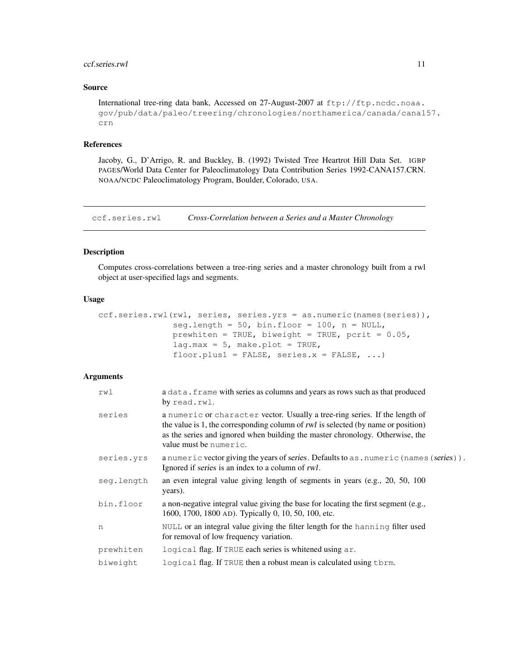#### ccf.series.rwl 11

# Source

```
International tree-ring data bank, Accessed on 27-August-2007 at ftp://ftp.ncdc.noaa.
gov/pub/data/paleo/treering/chronologies/northamerica/canada/cana157.
crn
```
## References

Jacoby, G., D'Arrigo, R. and Buckley, B. (1992) Twisted Tree Heartrot Hill Data Set. IGBP PAGES/World Data Center for Paleoclimatology Data Contribution Series 1992-CANA157.CRN. NOAA/NCDC Paleoclimatology Program, Boulder, Colorado, USA.

ccf.series.rwl *Cross-Correlation between a Series and a Master Chronology*

# Description

Computes cross-correlations between a tree-ring series and a master chronology built from a rwl object at user-specified lags and segments.

#### Usage

```
ccf.series.rwl(rwl, series, series.yrs = as.numeric(names(series)),
               seg.length = 50, bin.floor = 100, n = NULL,
               prewhiten = TRUE, biweight = TRUE, pcrit = 0.05,
               lag.max = 5, make.plot = TRUE,
               floor.plus1 = FALSE, series.x = FALSE, ...)
```
## **Arguments**

| rwl        | a data. frame with series as columns and years as rows such as that produced<br>by read.rwl.                                                                                                                                                                                |
|------------|-----------------------------------------------------------------------------------------------------------------------------------------------------------------------------------------------------------------------------------------------------------------------------|
| series     | a numeric or character vector. Usually a tree-ring series. If the length of<br>the value is 1, the corresponding column of rwl is selected (by name or position)<br>as the series and ignored when building the master chronology. Otherwise, the<br>value must be numeric. |
| series.yrs | a numeric vector giving the years of series. Defaults to as . numeric (names (series)).<br>Ignored if series is an index to a column of rwl.                                                                                                                                |
| seq.length | an even integral value giving length of segments in years (e.g., 20, 50, 100)<br>years).                                                                                                                                                                                    |
| bin.floor  | a non-negative integral value giving the base for locating the first segment (e.g.,<br>1600, 1700, 1800 AD). Typically 0, 10, 50, 100, etc.                                                                                                                                 |
| n          | NULL or an integral value giving the filter length for the hanning filter used<br>for removal of low frequency variation.                                                                                                                                                   |
| prewhiten  | logical flag. If TRUE each series is whitened using ar.                                                                                                                                                                                                                     |
| biweight   | logical flag. If TRUE then a robust mean is calculated using thrm.                                                                                                                                                                                                          |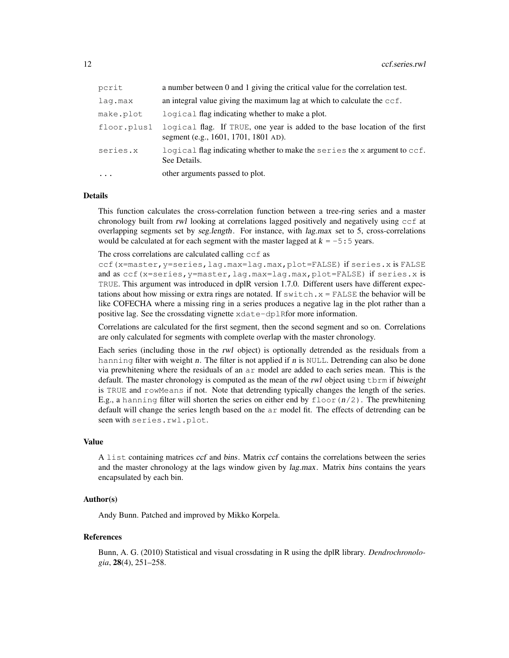| pcrit       | a number between 0 and 1 giving the critical value for the correlation test.                                       |
|-------------|--------------------------------------------------------------------------------------------------------------------|
| lag.max     | an integral value giving the maximum lag at which to calculate the $ccf$ .                                         |
| make.plot   | logical flag indicating whether to make a plot.                                                                    |
| floor.plus1 | logical flag. If TRUE, one year is added to the base location of the first<br>segment (e.g., 1601, 1701, 1801 AD). |
| series.x    | logical flag indicating whether to make the series the x argument to ccf.<br>See Details.                          |
|             | other arguments passed to plot.                                                                                    |

## Details

This function calculates the cross-correlation function between a tree-ring series and a master chronology built from rwl looking at correlations lagged positively and negatively using ccf at overlapping segments set by seg.length. For instance, with lag.max set to 5, cross-correlations would be calculated at for each segment with the master lagged at  $k = -5:5$  years.

The cross correlations are calculated calling ccf as

ccf(x=master,y=series,lag.max=lag.max,plot=FALSE) if series.x is FALSE and as ccf(x=series,y=master,lag.max=lag.max,plot=FALSE) if series.x is TRUE. This argument was introduced in dplR version 1.7.0. Different users have different expectations about how missing or extra rings are notated. If  $s$  witch,  $x =$  FALSE the behavior will be like COFECHA where a missing ring in a series produces a negative lag in the plot rather than a positive lag. See the crossdating vignette xdate-dplRfor more information.

Correlations are calculated for the first segment, then the second segment and so on. Correlations are only calculated for segments with complete overlap with the master chronology.

Each series (including those in the rwl object) is optionally detrended as the residuals from a hanning filter with weight n. The filter is not applied if n is NULL. Detrending can also be done via prewhitening where the residuals of an ar model are added to each series mean. This is the default. The master chronology is computed as the mean of the rwl object using  $\tt form$  if biweight is TRUE and rowMeans if not. Note that detrending typically changes the length of the series. E.g., a hanning filter will shorten the series on either end by  $floor(n/2)$ . The prewhitening default will change the series length based on the ar model fit. The effects of detrending can be seen with series.rwl.plot.

#### Value

A list containing matrices ccf and bins. Matrix ccf contains the correlations between the series and the master chronology at the lags window given by *lag.max.* Matrix *bins* contains the years encapsulated by each bin.

#### Author(s)

Andy Bunn. Patched and improved by Mikko Korpela.

#### References

Bunn, A. G. (2010) Statistical and visual crossdating in R using the dplR library. *Dendrochronologia*, 28(4), 251–258.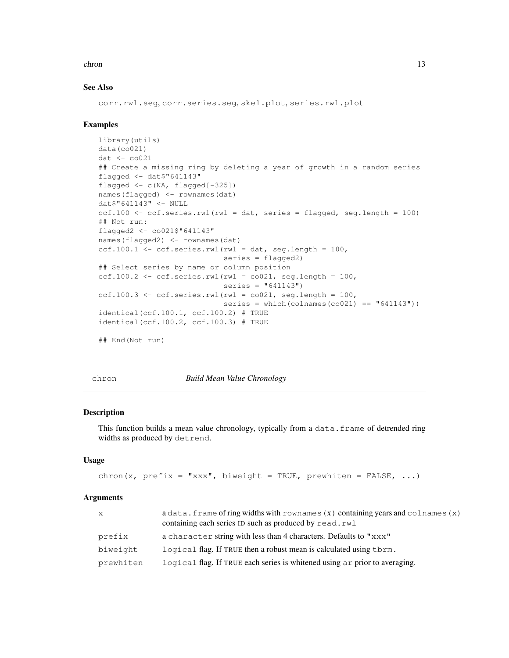#### chron 13

# See Also

corr.rwl.seg, corr.series.seg, skel.plot, series.rwl.plot

#### Examples

```
library(utils)
data(co021)
dat < -co021## Create a missing ring by deleting a year of growth in a random series
flagged <- dat$"641143"
flagged <- c(NA, flagged[-325])
names(flagged) <- rownames(dat)
dat$"641143" <- NULL
ccf.100 \le - ccf.series.rwl(rwl = dat, series = flagged, seg.length = 100)
## Not run:
flagged2 <- co021$"641143"
names(flagged2) <- rownames(dat)
ccf.100.1 \leftarrow ccf.series.rwl(rwl = dat, seg.length = 100,series = flagged2)
## Select series by name or column position
ccf.100.2 \leq ccf.series.rwl(rwl = co021, seq.length = 100,
                             series = "641143")
ccf.100.3 \leftarrow ccf.series.rwl(rwl = co021, seg.length = 100,series = which(colnames(co021) == "(641143"))
identical(ccf.100.1, ccf.100.2) # TRUE
identical(ccf.100.2, ccf.100.3) # TRUE
## End(Not run)
```
chron *Build Mean Value Chronology*

#### Description

This function builds a mean value chronology, typically from a data.frame of detrended ring widths as produced by detrend.

#### Usage

```
chron(x, prefix = "xxx", biweight = TRUE, prewhiten = FALSE, ...)
```
#### Arguments

| $\mathbf{x}$ | $a$ data. frame of ring widths with rownames $(x)$ containing years and colnames $(x)$ |
|--------------|----------------------------------------------------------------------------------------|
|              | containing each series ID such as produced by read.rwl                                 |
| prefix       | a character string with less than 4 characters. Defaults to "xxx"                      |
| biweight     | logical flag. If TRUE then a robust mean is calculated using them.                     |
| prewhiten    | logical flag. If TRUE each series is whitened using a r prior to averaging.            |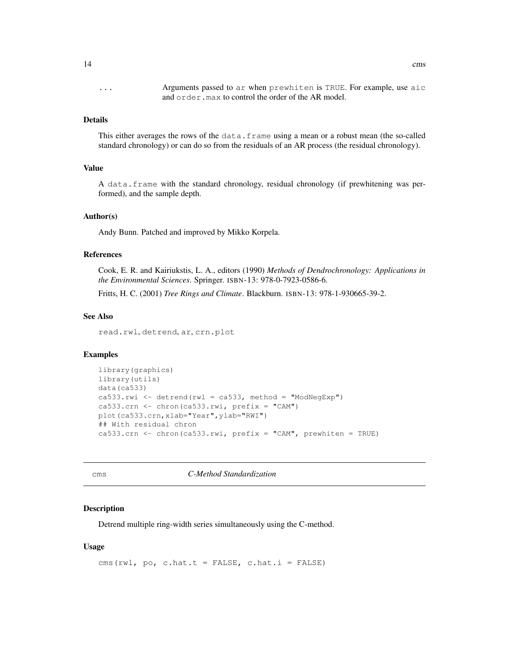... Arguments passed to ar when prewhiten is TRUE. For example, use aic and order.max to control the order of the AR model.

## Details

This either averages the rows of the data.frame using a mean or a robust mean (the so-called standard chronology) or can do so from the residuals of an AR process (the residual chronology).

## Value

A data.frame with the standard chronology, residual chronology (if prewhitening was performed), and the sample depth.

## Author(s)

Andy Bunn. Patched and improved by Mikko Korpela.

## References

Cook, E. R. and Kairiukstis, L. A., editors (1990) *Methods of Dendrochronology: Applications in the Environmental Sciences*. Springer. ISBN-13: 978-0-7923-0586-6.

Fritts, H. C. (2001) *Tree Rings and Climate*. Blackburn. ISBN-13: 978-1-930665-39-2.

#### See Also

read.rwl, detrend, ar, crn.plot

## Examples

```
library(graphics)
library(utils)
data(ca533)
ca533.rwi <- detrend(rwl = ca533, method = "ModNegExp")
ca533.crn <- chron(ca533.rwi, prefix = "CAM")
plot(ca533.crn,xlab="Year",ylab="RWI")
## With residual chron
ca533.crn <- chron(ca533.rwi, prefix = "CAM", prewhiten = TRUE)
```
cms *C-Method Standardization*

# Description

Detrend multiple ring-width series simultaneously using the C-method.

## Usage

cms(rwl, po, c.hat.t = FALSE, c.hat.i = FALSE)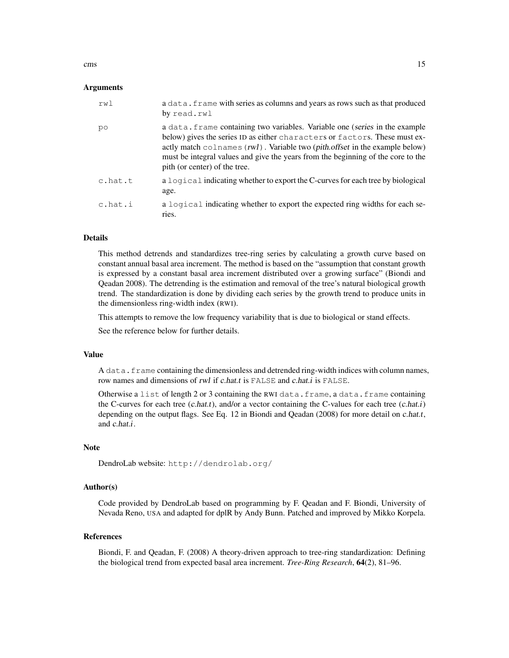cms and the contract of the contract of the contract of the contract of the contract of the contract of the contract of the contract of the contract of the contract of the contract of the contract of the contract of the co

#### Arguments

| rw1     | a data. frame with series as columns and years as rows such as that produced<br>by read.rwl                                                                                                                                                                                                                                                                                    |
|---------|--------------------------------------------------------------------------------------------------------------------------------------------------------------------------------------------------------------------------------------------------------------------------------------------------------------------------------------------------------------------------------|
| po      | a data. frame containing two variables. Variable one (series in the example<br>below) gives the series ID as either characters or factors. These must ex-<br>actly match $\text{colnames}(rwl)$ . Variable two ( <i>pith.offset</i> in the example below)<br>must be integral values and give the years from the beginning of the core to the<br>pith (or center) of the tree. |
| c.hat.t | a logical indicating whether to export the C-curves for each tree by biological<br>age.                                                                                                                                                                                                                                                                                        |
| c.hat.i | a logical indicating whether to export the expected ring widths for each se-<br>ries.                                                                                                                                                                                                                                                                                          |

# Details

This method detrends and standardizes tree-ring series by calculating a growth curve based on constant annual basal area increment. The method is based on the "assumption that constant growth is expressed by a constant basal area increment distributed over a growing surface" (Biondi and Qeadan 2008). The detrending is the estimation and removal of the tree's natural biological growth trend. The standardization is done by dividing each series by the growth trend to produce units in the dimensionless ring-width index (RWI).

This attempts to remove the low frequency variability that is due to biological or stand effects.

See the reference below for further details.

#### Value

A data. frame containing the dimensionless and detrended ring-width indices with column names, row names and dimensions of rwl if c.hat.t is FALSE and c.hat.i is FALSE.

Otherwise a list of length 2 or 3 containing the RWI data.frame, a data.frame containing the C-curves for each tree  $(c.hat.t)$ , and/or a vector containing the C-values for each tree  $(c.hat.t)$ depending on the output flags. See Eq. 12 in Biondi and Qeadan (2008) for more detail on c.hat.t, and c.hat.i.

## **Note**

```
DendroLab website: http://dendrolab.org/
```
## Author(s)

Code provided by DendroLab based on programming by F. Qeadan and F. Biondi, University of Nevada Reno, USA and adapted for dplR by Andy Bunn. Patched and improved by Mikko Korpela.

# References

Biondi, F. and Qeadan, F. (2008) A theory-driven approach to tree-ring standardization: Defining the biological trend from expected basal area increment. *Tree-Ring Research*, 64(2), 81–96.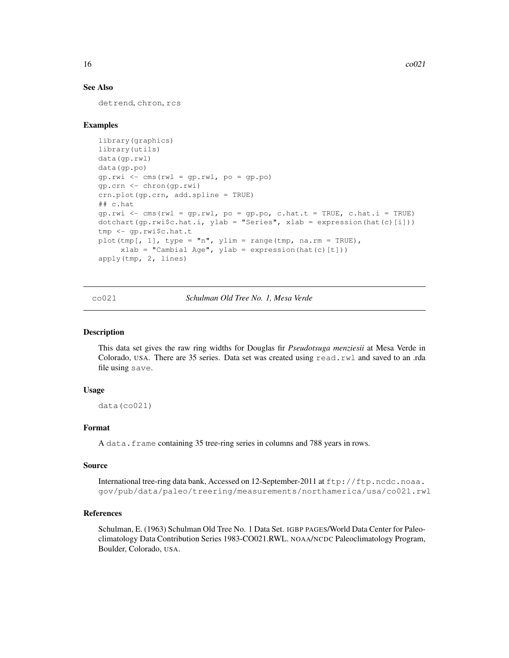# See Also

detrend, chron, rcs

## Examples

```
library(graphics)
library(utils)
data(gp.rwl)
data(gp.po)
gp.rwi <- cms(rwl = gp.rwl, po = gp.po)
gp.crn <- chron(gp.rwi)
crn.plot(gp.crn, add.spline = TRUE)
## c.hat
gp.rwi \leftarrow cms(rwl = gp.rwl, po = gp.p.o, c.hat.t = TRUE, c.hat.i = TRUE)dotchart(gp.rwi$c.hat.i, ylab = "Series", xlab = expression(hat(c)[i]))
tmp <- gp.rwi$c.hat.t
plot(tmp[, 1], type = "n", ylim = range(tmp, na.rm = TRUE),
     xlab = "Cambial Age", ylab = expression(hat(c)[t]))apply(tmp, 2, lines)
```
co021 *Schulman Old Tree No. 1, Mesa Verde*

## Description

This data set gives the raw ring widths for Douglas fir *Pseudotsuga menziesii* at Mesa Verde in Colorado, USA. There are 35 series. Data set was created using read.rwl and saved to an .rda file using save.

#### Usage

data(co021)

## Format

A data.frame containing 35 tree-ring series in columns and 788 years in rows.

#### Source

International tree-ring data bank, Accessed on 12-September-2011 at ftp://ftp.ncdc.noaa. gov/pub/data/paleo/treering/measurements/northamerica/usa/co021.rwl

#### References

Schulman, E. (1963) Schulman Old Tree No. 1 Data Set. IGBP PAGES/World Data Center for Paleoclimatology Data Contribution Series 1983-CO021.RWL. NOAA/NCDC Paleoclimatology Program, Boulder, Colorado, USA.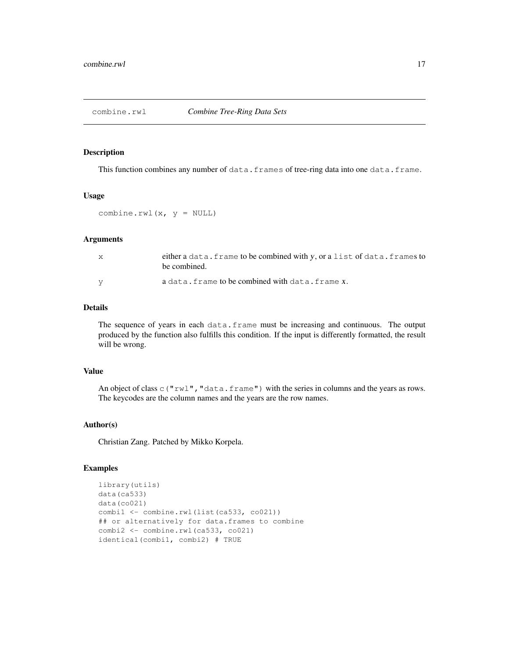# Description

This function combines any number of data.frames of tree-ring data into one data.frame.

## Usage

```
combine.rwl(x, y = NULL)
```
#### Arguments

| either a data. frame to be combined with y, or a list of data. frames to<br>be combined. |
|------------------------------------------------------------------------------------------|
| a data. frame to be combined with data. frame x.                                         |

# Details

The sequence of years in each data.frame must be increasing and continuous. The output produced by the function also fulfills this condition. If the input is differently formatted, the result will be wrong.

## Value

An object of class c("rwl", "data.frame") with the series in columns and the years as rows. The keycodes are the column names and the years are the row names.

# Author(s)

Christian Zang. Patched by Mikko Korpela.

## Examples

```
library(utils)
data(ca533)
data(co021)
combil <- combine.rwl(list(ca533, co021))
## or alternatively for data.frames to combine
combi2 <- combine.rwl(ca533, co021)
identical(combi1, combi2) # TRUE
```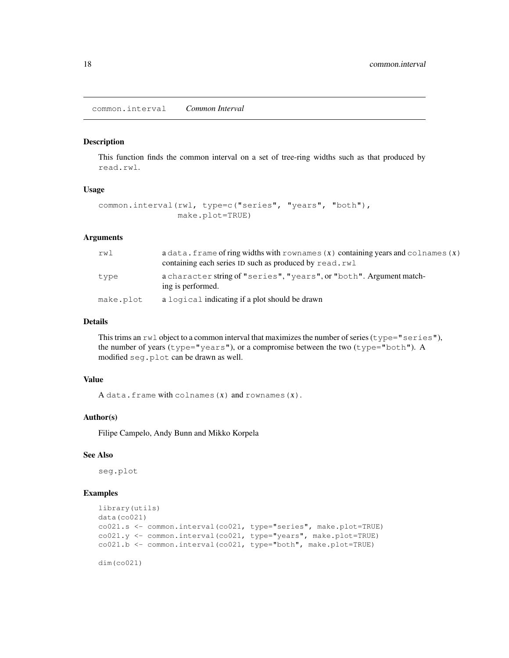common.interval *Common Interval*

#### Description

This function finds the common interval on a set of tree-ring widths such as that produced by read.rwl.

#### Usage

```
common.interval(rwl, type=c("series", "years", "both"),
                make.plot=TRUE)
```
# Arguments

| rwl       | $a$ data. frame of ring widths with rownames $(x)$ containing years and colnames $(x)$<br>containing each series ID such as produced by read.rwl |
|-----------|--------------------------------------------------------------------------------------------------------------------------------------------------|
| type      | a character string of "series", "years", or "both". Argument match-<br>ing is performed.                                                         |
| make.plot | a logical indicating if a plot should be drawn                                                                                                   |

# Details

This trims an  $rwl$  object to a common interval that maximizes the number of series ( $type="series"$ ), the number of years (type="years"), or a compromise between the two (type="both"). A modified seg.plot can be drawn as well.

#### Value

A data.frame with colnames  $(x)$  and rownames $(x)$ .

## Author(s)

Filipe Campelo, Andy Bunn and Mikko Korpela

# See Also

seg.plot

# Examples

```
library(utils)
data(co021)
co021.s <- common.interval(co021, type="series", make.plot=TRUE)
co021.y <- common.interval(co021, type="years", make.plot=TRUE)
co021.b <- common.interval(co021, type="both", make.plot=TRUE)
```
dim(co021)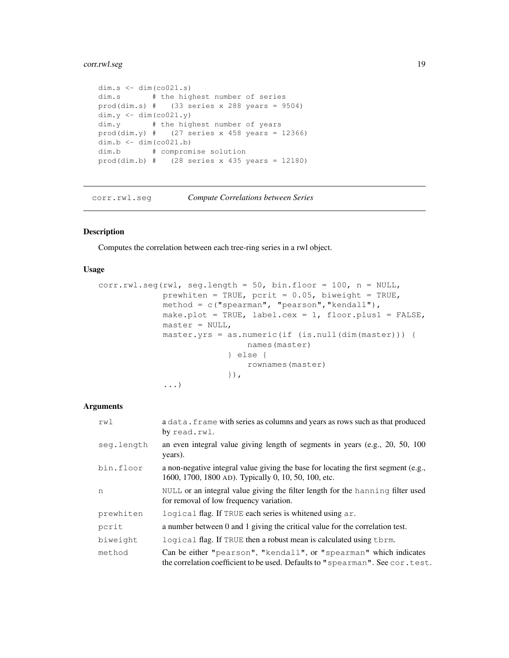# corr.rwl.seg 19

```
dim.s \leftarrow dim(\cos(0.21.s)dim.s # the highest number of series
prod(dim.s) # (33 series x 288 years = 9504)
dim.y \leftarrow dim(co021.y)
dim.y # the highest number of years
prod(dim.y) # (27 series x 458 years = 12366)
dim.b <- dim(co021.b)
dim.b # compromise solution
prod(dim.b) # (28 series x 435 years = 12180)
```
corr.rwl.seg *Compute Correlations between Series*

# Description

Computes the correlation between each tree-ring series in a rwl object.

# Usage

```
corr.runlseg(rwl, seq.length = 50, bin.float = 100, n = NULL,prewhiten = TRUE, pcrit = 0.05, biweight = TRUE,
             method = c("spearman", "pearson","kendall"),
             make.plot = TRUE, label.cex = 1, floor.plus1 = FALSE,
             master = NULL,
             master.yrs = as.numeric(if (is.null(dim(master))) {
                              names(master)
                          } else {
                              rownames(master)
                          }),
             ...)
```
## Arguments

| rwl        | a data. frame with series as columns and years as rows such as that produced<br>by read.rwl.                                                       |
|------------|----------------------------------------------------------------------------------------------------------------------------------------------------|
| seq.length | an even integral value giving length of segments in years (e.g., 20, 50, 100)<br>years).                                                           |
| bin.floor  | a non-negative integral value giving the base for locating the first segment (e.g.,<br>1600, 1700, 1800 AD). Typically 0, 10, 50, 100, etc.        |
| n          | NULL or an integral value giving the filter length for the hanning filter used<br>for removal of low frequency variation.                          |
| prewhiten  | logical flag. If TRUE each series is whitened using ar.                                                                                            |
| pcrit      | a number between 0 and 1 giving the critical value for the correlation test.                                                                       |
| biweight   | logical flag. If TRUE then a robust mean is calculated using them.                                                                                 |
| method     | Can be either "pearson", "kendall", or "spearman" which indicates<br>the correlation coefficient to be used. Defaults to "spearman". See cor.test. |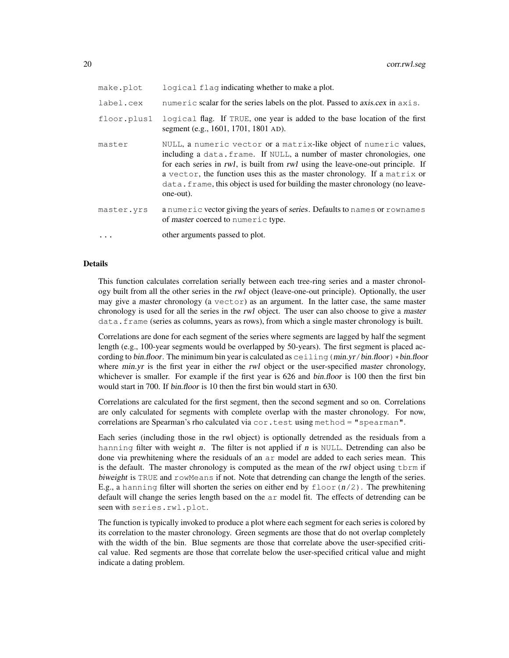| make.plot   | logical flag indicating whether to make a plot.                                                                                                                                                                                                                                                                                                                                                            |
|-------------|------------------------------------------------------------------------------------------------------------------------------------------------------------------------------------------------------------------------------------------------------------------------------------------------------------------------------------------------------------------------------------------------------------|
| label.cex   | numeric scalar for the series labels on the plot. Passed to <i>axis.cex</i> in $axis.$                                                                                                                                                                                                                                                                                                                     |
| floor.plus1 | logical flag. If TRUE, one year is added to the base location of the first<br>segment (e.g., 1601, 1701, 1801 AD).                                                                                                                                                                                                                                                                                         |
| master      | NULL, a numeric vector or a matrix-like object of numeric values,<br>including a data. frame. If NULL, a number of master chronologies, one<br>for each series in rwl, is built from rwl using the leave-one-out principle. If<br>a vector, the function uses this as the master chronology. If a matrix or<br>data. frame, this object is used for building the master chronology (no leave-<br>one-out). |
| master.yrs  | a numeric vector giving the years of series. Defaults to names or rownames<br>of master coerced to numeric type.                                                                                                                                                                                                                                                                                           |
| $\ddots$    | other arguments passed to plot.                                                                                                                                                                                                                                                                                                                                                                            |

## Details

This function calculates correlation serially between each tree-ring series and a master chronology built from all the other series in the rwl object (leave-one-out principle). Optionally, the user may give a master chronology (a  $vector$ ) as an argument. In the latter case, the same master chronology is used for all the series in the rwl object. The user can also choose to give a master data.frame (series as columns, years as rows), from which a single master chronology is built.

Correlations are done for each segment of the series where segments are lagged by half the segment length (e.g., 100-year segments would be overlapped by 50-years). The first segment is placed according to bin.floor. The minimum bin year is calculated as  $ceil$  ing (min.yr/bin.floor)  $*bin$ .floor where min.yr is the first year in either the rwl object or the user-specified master chronology, whichever is smaller. For example if the first year is 626 and *bin.floor* is 100 then the first bin would start in 700. If bin.floor is 10 then the first bin would start in 630.

Correlations are calculated for the first segment, then the second segment and so on. Correlations are only calculated for segments with complete overlap with the master chronology. For now, correlations are Spearman's rho calculated via cor.test using method = "spearman".

Each series (including those in the rwl object) is optionally detrended as the residuals from a hanning filter with weight  $n$ . The filter is not applied if  $n$  is NULL. Detrending can also be done via prewhitening where the residuals of an ar model are added to each series mean. This is the default. The master chronology is computed as the mean of the rwl object using  $\pm$ brm if biweight is TRUE and rowMeans if not. Note that detrending can change the length of the series. E.g., a hanning filter will shorten the series on either end by  $floor(n/2)$ . The prewhitening default will change the series length based on the ar model fit. The effects of detrending can be seen with series.rwl.plot.

The function is typically invoked to produce a plot where each segment for each series is colored by its correlation to the master chronology. Green segments are those that do not overlap completely with the width of the bin. Blue segments are those that correlate above the user-specified critical value. Red segments are those that correlate below the user-specified critical value and might indicate a dating problem.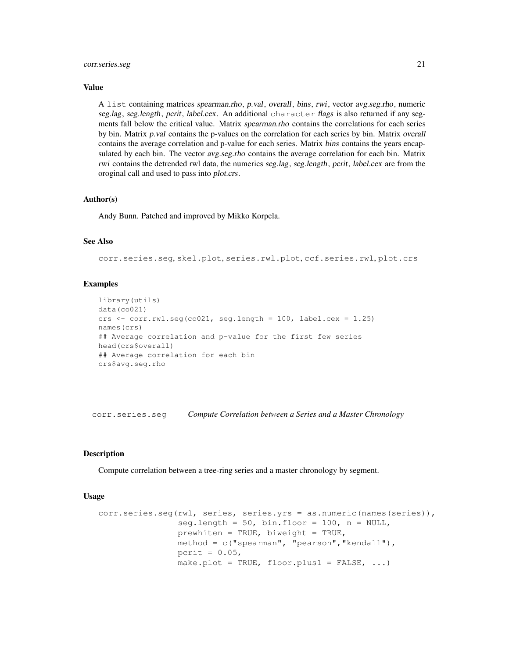#### corr.series.seg 21

#### Value

A list containing matrices spearman.rho, p.val, overall, bins, rwi, vector avg.seg.rho, numeric seg.lag, seg.length, pcrit, label.cex. An additional character flags is also returned if any segments fall below the critical value. Matrix spearman.rho contains the correlations for each series by bin. Matrix p.val contains the p-values on the correlation for each series by bin. Matrix overall contains the average correlation and p-value for each series. Matrix bins contains the years encapsulated by each bin. The vector *avg.seg.rho* contains the average correlation for each bin. Matrix rwi contains the detrended rwl data, the numerics seg.lag, seg.length, pcrit, label.cex are from the oroginal call and used to pass into plot.crs.

#### Author(s)

Andy Bunn. Patched and improved by Mikko Korpela.

# See Also

corr.series.seg, skel.plot, series.rwl.plot, ccf.series.rwl, plot.crs

## Examples

```
library(utils)
data(co021)
crs \leq corr.rwl.seg(co021, seg.length = 100, label.cex = 1.25)
names(crs)
## Average correlation and p-value for the first few series
head(crs$overall)
## Average correlation for each bin
crs$avg.seg.rho
```
corr.series.seg *Compute Correlation between a Series and a Master Chronology*

#### Description

Compute correlation between a tree-ring series and a master chronology by segment.

## Usage

```
corr.series.seg(rwl, series, series.yrs = as.numeric(names(series)),
                seg.length = 50, bin.floor = 100, n = NULL,
                prewhiten = TRUE, biveight = TRUE,method = c("spearman", "pearson","kendall"),
                pcrit = 0.05,
                make.plot = TRUE, floor.plus1 = FALSE, \ldots)
```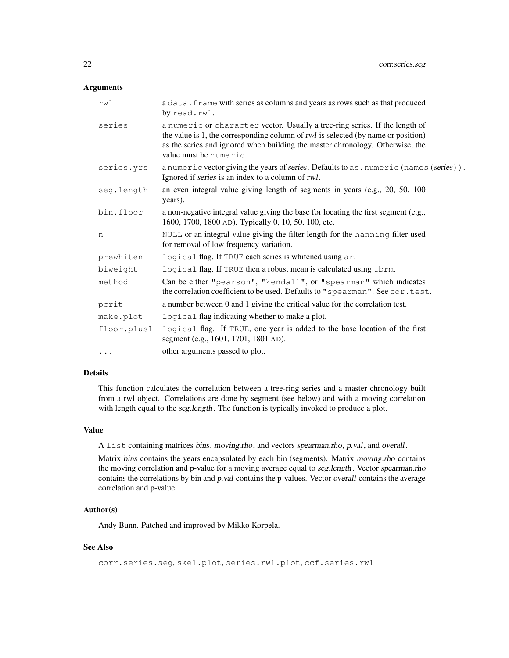## Arguments

| rwl         | a data. frame with series as columns and years as rows such as that produced<br>by read.rwl.                                                                                                                                                                                |  |
|-------------|-----------------------------------------------------------------------------------------------------------------------------------------------------------------------------------------------------------------------------------------------------------------------------|--|
| series      | a numeric or character vector. Usually a tree-ring series. If the length of<br>the value is 1, the corresponding column of rwl is selected (by name or position)<br>as the series and ignored when building the master chronology. Otherwise, the<br>value must be numeric. |  |
| series.yrs  | a numeric vector giving the years of series. Defaults to as . numeric (names (series)).<br>Ignored if series is an index to a column of rwl.                                                                                                                                |  |
| seg.length  | an even integral value giving length of segments in years (e.g., 20, 50, 100)<br>years).                                                                                                                                                                                    |  |
| bin.floor   | a non-negative integral value giving the base for locating the first segment (e.g.,<br>1600, 1700, 1800 AD). Typically 0, 10, 50, 100, etc.                                                                                                                                 |  |
| n           | NULL or an integral value giving the filter length for the hanning filter used<br>for removal of low frequency variation.                                                                                                                                                   |  |
| prewhiten   | logical flag. If TRUE each series is whitened using ar.                                                                                                                                                                                                                     |  |
| biweight    | logical flag. If TRUE then a robust mean is calculated using tbrm.                                                                                                                                                                                                          |  |
| method      | Can be either "pearson", "kendall", or "spearman" which indicates<br>the correlation coefficient to be used. Defaults to "spearman". See cor.test.                                                                                                                          |  |
| pcrit       | a number between 0 and 1 giving the critical value for the correlation test.                                                                                                                                                                                                |  |
| make.plot   | logical flag indicating whether to make a plot.                                                                                                                                                                                                                             |  |
| floor.plus1 | logical flag. If TRUE, one year is added to the base location of the first<br>segment (e.g., 1601, 1701, 1801 AD).                                                                                                                                                          |  |
| $\cdots$    | other arguments passed to plot.                                                                                                                                                                                                                                             |  |

## Details

This function calculates the correlation between a tree-ring series and a master chronology built from a rwl object. Correlations are done by segment (see below) and with a moving correlation with length equal to the seg.length. The function is typically invoked to produce a plot.

# Value

A list containing matrices bins, moving.rho, and vectors spearman.rho, p.val, and overall.

Matrix bins contains the years encapsulated by each bin (segments). Matrix moving.rho contains the moving correlation and p-value for a moving average equal to seg.length. Vector spearman.rho contains the correlations by bin and  $p.val$  contains the p-values. Vector overall contains the average correlation and p-value.

## Author(s)

Andy Bunn. Patched and improved by Mikko Korpela.

# See Also

```
corr.series.seg, skel.plot, series.rwl.plot, ccf.series.rwl
```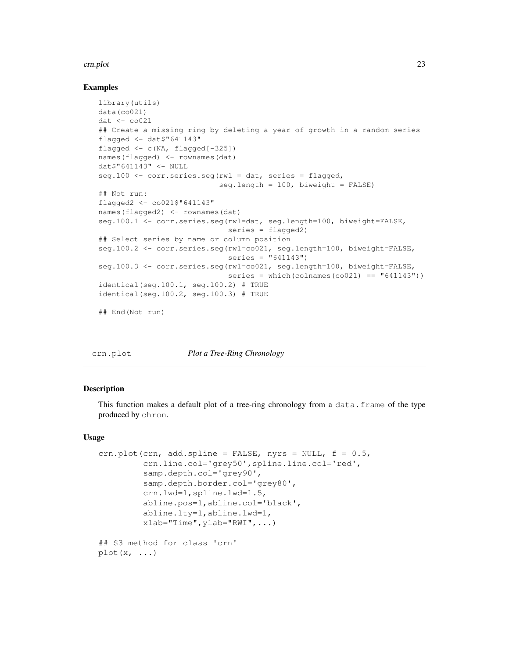#### crn.plot 23

## Examples

```
library(utils)
data(co021)
dat < -co021## Create a missing ring by deleting a year of growth in a random series
flagged <- dat$"641143"
flagged \leftarrow c(NA, flagged[-325])
names(flagged) <- rownames(dat)
dat$"641143" <- NULL
seq.100 \leq corr.series.seg(rwl = dat, series = flagged,
                           seq.length = 100, biweight = FALSE)
## Not run:
flagged2 <- co021$"641143"
names(flagged2) <- rownames(dat)
seg.100.1 <- corr.series.seg(rwl=dat, seg.length=100, biweight=FALSE,
                             series = flagged2)
## Select series by name or column position
seg.100.2 <- corr.series.seg(rwl=co021, seg.length=100, biweight=FALSE,
                             series = "641143")seg.100.3 <- corr.series.seg(rwl=co021, seg.length=100, biweight=FALSE,
                             series = which(colnames(co021) == "(641143"))
identical(seg.100.1, seg.100.2) # TRUE
identical(seg.100.2, seg.100.3) # TRUE
## End(Not run)
```
crn.plot *Plot a Tree-Ring Chronology*

## Description

This function makes a default plot of a tree-ring chronology from a data.frame of the type produced by chron.

#### Usage

```
crn.plot(crn, add.spline = FALSE, nyrs = NULL, f = 0.5,
         crn.line.col='grey50',spline.line.col='red',
         samp.depth.col='grey90',
         samp.depth.border.col='grey80',
         crn.lwd=1,spline.lwd=1.5,
         abline.pos=1,abline.col='black',
         abline.lty=1,abline.lwd=1,
         xlab="Time",ylab="RWI",...)
## S3 method for class 'crn'
plot(x, \ldots)
```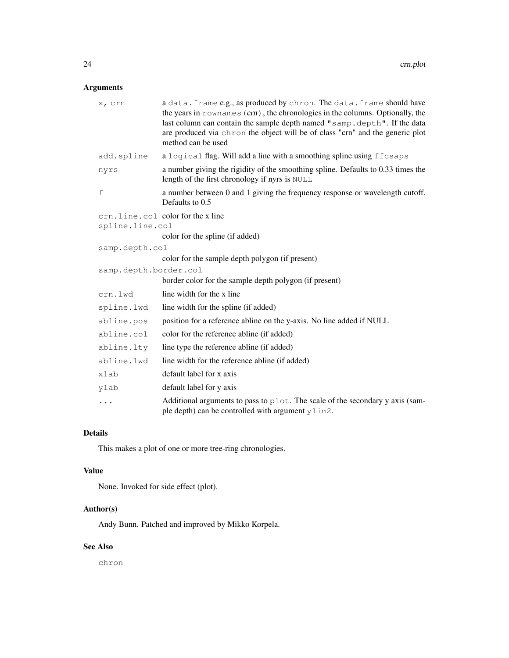# Arguments

| x, crn                | a data. frame e.g., as produced by chron. The data. frame should have<br>the years in rownames $(crn)$ , the chronologies in the columns. Optionally, the<br>last column can contain the sample depth named "samp.depth". If the data<br>are produced via chron the object will be of class "crn" and the generic plot<br>method can be used |
|-----------------------|----------------------------------------------------------------------------------------------------------------------------------------------------------------------------------------------------------------------------------------------------------------------------------------------------------------------------------------------|
| add.spline            | a logical flag. Will add a line with a smoothing spline using ffcsaps                                                                                                                                                                                                                                                                        |
| nyrs                  | a number giving the rigidity of the smoothing spline. Defaults to 0.33 times the<br>length of the first chronology if nyrs is NULL                                                                                                                                                                                                           |
| f                     | a number between 0 and 1 giving the frequency response or wavelength cutoff.<br>Defaults to 0.5                                                                                                                                                                                                                                              |
| spline.line.col       | crn.line.col color for the x line<br>color for the spline (if added)                                                                                                                                                                                                                                                                         |
| samp.depth.col        |                                                                                                                                                                                                                                                                                                                                              |
|                       | color for the sample depth polygon (if present)                                                                                                                                                                                                                                                                                              |
| samp.depth.border.col |                                                                                                                                                                                                                                                                                                                                              |
|                       | border color for the sample depth polygon (if present)                                                                                                                                                                                                                                                                                       |
| crn.lwd               | line width for the x line                                                                                                                                                                                                                                                                                                                    |
| spline.lwd            | line width for the spline (if added)                                                                                                                                                                                                                                                                                                         |
| abline.pos            | position for a reference abline on the y-axis. No line added if NULL                                                                                                                                                                                                                                                                         |
| abline.col            | color for the reference abline (if added)                                                                                                                                                                                                                                                                                                    |
| abline.lty            | line type the reference abline (if added)                                                                                                                                                                                                                                                                                                    |
| abline.lwd            | line width for the reference abline (if added)                                                                                                                                                                                                                                                                                               |
| xlab                  | default label for x axis                                                                                                                                                                                                                                                                                                                     |
| ylab                  | default label for y axis                                                                                                                                                                                                                                                                                                                     |
| .                     | Additional arguments to pass to plot. The scale of the secondary y axis (sam-<br>ple depth) can be controlled with argument ylim2.                                                                                                                                                                                                           |

# Details

This makes a plot of one or more tree-ring chronologies.

# Value

None. Invoked for side effect (plot).

# Author(s)

Andy Bunn. Patched and improved by Mikko Korpela.

# See Also

chron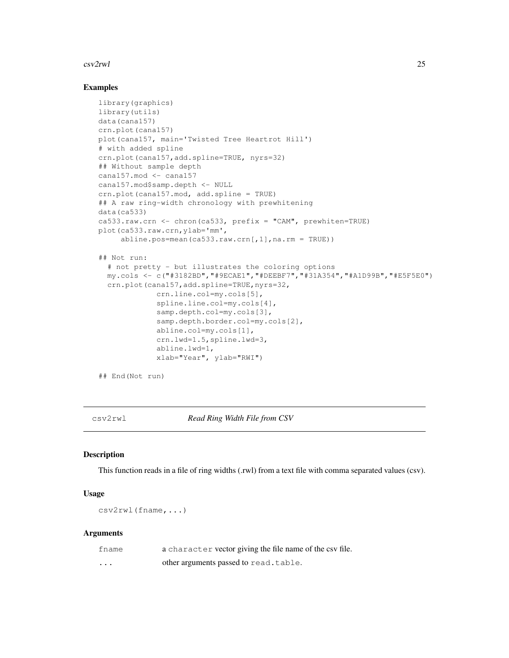#### $\frac{csv2rwl}{}$  25

## Examples

```
library(graphics)
library(utils)
data(cana157)
crn.plot(cana157)
plot(cana157, main='Twisted Tree Heartrot Hill')
# with added spline
crn.plot(cana157,add.spline=TRUE, nyrs=32)
## Without sample depth
cana157.mod <- cana157
cana157.mod$samp.depth <- NULL
crn.plot(cana157.mod, add.spline = TRUE)
## A raw ring-width chronology with prewhitening
data(ca533)
ca533.raw.crn <- chron(ca533, prefix = "CAM", prewhiten=TRUE)
plot(ca533.raw.crn,ylab='mm',
     abline.pos=mean(ca533.raw.crn[,1],na.rm = TRUE))
## Not run:
  # not pretty - but illustrates the coloring options
  my.cols <- c("#3182BD","#9ECAE1","#DEEBF7","#31A354","#A1D99B","#E5F5E0")
  crn.plot(cana157,add.spline=TRUE,nyrs=32,
             crn.line.col=my.cols[5],
             spline.line.col=my.cols[4],
             samp.depth.col=my.cols[3],
             samp.depth.border.col=my.cols[2],
             abline.col=my.cols[1],
             crn.lwd=1.5,spline.lwd=3,
             abline.lwd=1,
             xlab="Year", ylab="RWI")
## End(Not run)
```
csv2rwl *Read Ring Width File from CSV*

## Description

This function reads in a file of ring widths (.rwl) from a text file with comma separated values (csv).

## Usage

csv2rwl(fname,...)

#### Arguments

| fname    | a character vector giving the file name of the csv file. |
|----------|----------------------------------------------------------|
| $\cdots$ | other arguments passed to read.table.                    |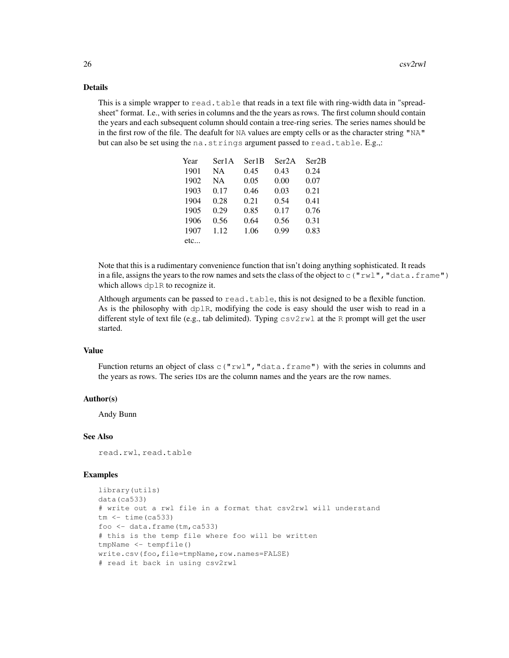# Details

This is a simple wrapper to  $\text{read}. \text{table}$  that reads in a text file with ring-width data in "spreadsheet" format. I.e., with series in columns and the the years as rows. The first column should contain the years and each subsequent column should contain a tree-ring series. The series names should be in the first row of the file. The deafult for NA values are empty cells or as the character string "NA" but can also be set using the na.strings argument passed to read.table.  $E.g.,:$ 

| Year | Ser1A | Ser1B | Ser2A | Ser <sub>2</sub> B |
|------|-------|-------|-------|--------------------|
| 1901 | NA.   | 0.45  | 0.43  | 0.24               |
| 1902 | NA.   | 0.05  | 0.00  | 0.07               |
| 1903 | 0.17  | 0.46  | 0.03  | 0.21               |
| 1904 | 0.28  | 0.21  | 0.54  | 0.41               |
| 1905 | 0.29  | 0.85  | 0.17  | 0.76               |
| 1906 | 0.56  | 0.64  | 0.56  | 0.31               |
| 1907 | 1.12  | 1.06  | 0.99  | 0.83               |
| etc  |       |       |       |                    |

Note that this is a rudimentary convenience function that isn't doing anything sophisticated. It reads in a file, assigns the years to the row names and sets the class of the object to  $\in$  ("rwl", "data.frame") which allows dplR to recognize it.

Although arguments can be passed to  $read.table$ , this is not designed to be a flexible function. As is the philosophy with dplR, modifying the code is easy should the user wish to read in a different style of text file (e.g., tab delimited). Typing  $csv2rwl$  at the R prompt will get the user started.

## Value

Function returns an object of class  $\subset$  ("rwl", "data.frame") with the series in columns and the years as rows. The series IDs are the column names and the years are the row names.

#### Author(s)

Andy Bunn

## See Also

read.rwl, read.table

#### Examples

```
library(utils)
data(ca533)
# write out a rwl file in a format that csv2rwl will understand
tm <- time(ca533)
foo \leftarrow data.frame(tm, ca533)
# this is the temp file where foo will be written
tmpName <- tempfile()
write.csv(foo,file=tmpName,row.names=FALSE)
# read it back in using csv2rwl
```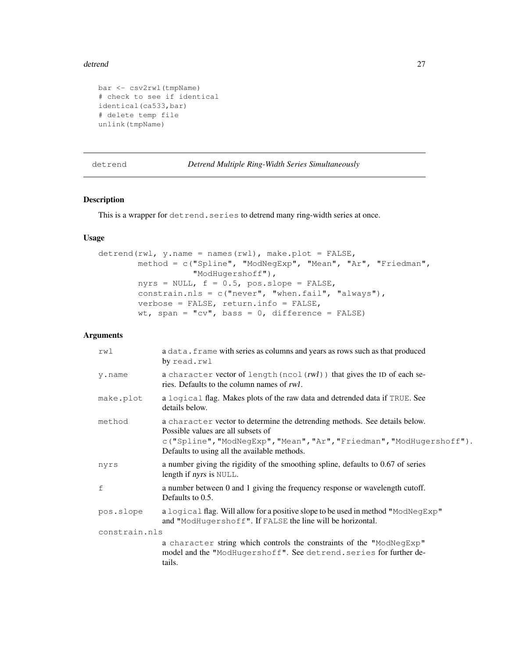#### detrend 27

```
bar <- csv2rwl(tmpName)
# check to see if identical
identical(ca533,bar)
# delete temp file
unlink(tmpName)
```

```
detrend Detrend Multiple Ring-Width Series Simultaneously
```
## Description

This is a wrapper for detrend.series to detrend many ring-width series at once.

# Usage

```
determined(rwl, y.name = names(rwl), make.plot = FALSE,method = c("Spline", "ModNegExp", "Mean", "Ar", "Friedman",
                   "ModHugershoff"),
        nyrs = NULL, f = 0.5, pos.slope = FALSE,
        constrain.nls = c("never", "when.fail", "always"),
        verbose = FALSE, return.info = FALSE,
        wt, span = "cv", bass = 0, difference = FALSE)
```
# Arguments

| rwl           | a data. frame with series as columns and years as rows such as that produced<br>by read.rwl                                                                                                                                              |
|---------------|------------------------------------------------------------------------------------------------------------------------------------------------------------------------------------------------------------------------------------------|
| y.name        | a character vector of length (ncol (rwl)) that gives the ID of each se-<br>ries. Defaults to the column names of rwl.                                                                                                                    |
| make.plot     | a logical flag. Makes plots of the raw data and detrended data if TRUE. See<br>details below.                                                                                                                                            |
| method        | a character vector to determine the detrending methods. See details below.<br>Possible values are all subsets of<br>c("Spline", "ModNegExp", "Mean", "Ar", "Friedman", "ModHugershoff").<br>Defaults to using all the available methods. |
| nyrs          | a number giving the rigidity of the smoothing spline, defaults to 0.67 of series<br>length if nyrs is NULL.                                                                                                                              |
| f             | a number between 0 and 1 giving the frequency response or wavelength cutoff.<br>Defaults to 0.5.                                                                                                                                         |
| pos.slope     | a logical flag. Will allow for a positive slope to be used in method "ModNegExp"<br>and "ModHugershoff". If FALSE the line will be horizontal.                                                                                           |
| constrain.nls |                                                                                                                                                                                                                                          |
|               | a character string which controls the constraints of the "ModNegExp"<br>model and the "ModHugershoff". See detrend. series for further de-<br>tails.                                                                                     |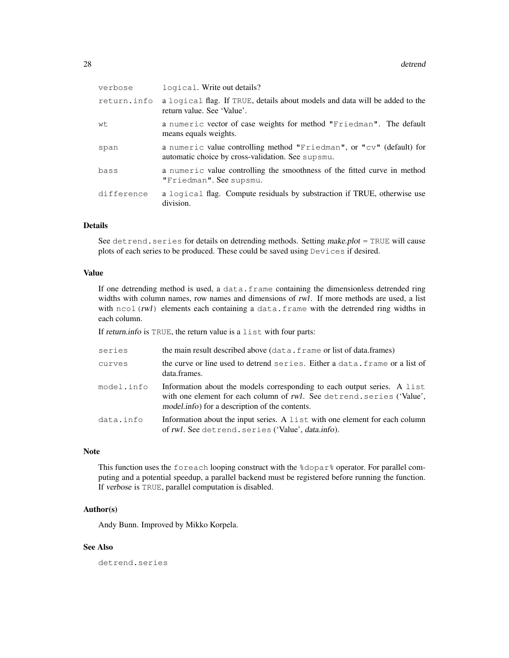| verbose     | logical. Write out details?                                                                                               |
|-------------|---------------------------------------------------------------------------------------------------------------------------|
| return.info | a logical flag. If TRUE, details about models and data will be added to the<br>return value. See 'Value'.                 |
| wt          | a numeric vector of case weights for method "Friedman". The default<br>means equals weights.                              |
| span        | a numeric value controlling method "Friedman", or "cv" (default) for<br>automatic choice by cross-validation. See supsmu. |
| bass        | a numeric value controlling the smoothness of the fitted curve in method<br>"Friedman". See supsmu.                       |
| difference  | a logical flag. Compute residuals by substraction if TRUE, otherwise use<br>division.                                     |
|             |                                                                                                                           |

# Details

See detrend.series for details on detrending methods. Setting make.plot = TRUE will cause plots of each series to be produced. These could be saved using Devices if desired.

## Value

If one detrending method is used, a data.frame containing the dimensionless detrended ring widths with column names, row names and dimensions of rwl. If more methods are used, a list with  $ncol(rwl)$  elements each containing a data.frame with the detrended ring widths in each column.

If return.info is TRUE, the return value is a list with four parts:

| series     | the main result described above (data. frame or list of data. frames)                                                                                                                                |
|------------|------------------------------------------------------------------------------------------------------------------------------------------------------------------------------------------------------|
| curves     | the curve or line used to detrend series. Either a data, frame or a list of<br>data.frames.                                                                                                          |
| model.info | Information about the models corresponding to each output series. A list<br>with one element for each column of rwl. See detrend. series ('Value',<br>model.info) for a description of the contents. |
| data.info  | Information about the input series. A list with one element for each column<br>of rwl. See detrend. series ('Value', <i>data.info</i> ).                                                             |

## Note

This function uses the foreach looping construct with the %dopar% operator. For parallel computing and a potential speedup, a parallel backend must be registered before running the function. If verbose is TRUE, parallel computation is disabled.

## Author(s)

Andy Bunn. Improved by Mikko Korpela.

# See Also

detrend.series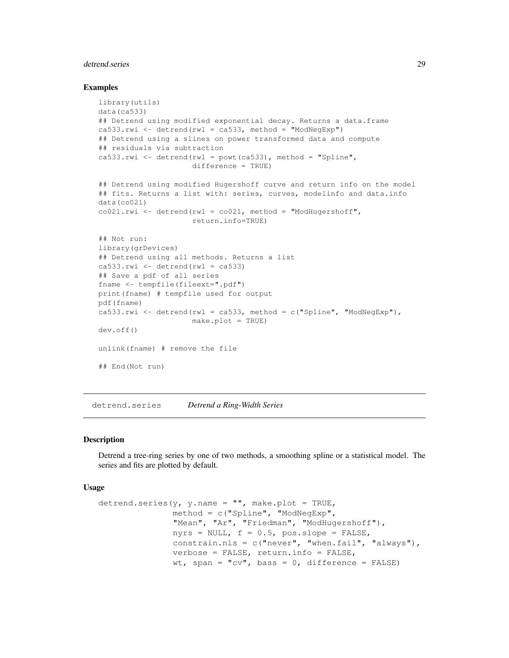# detrend.series 29

#### Examples

```
library(utils)
data(ca533)
## Detrend using modified exponential decay. Returns a data.frame
ca533.rwi <- detrend(rwl = ca533, method = "ModNeqExp")
## Detrend using a slines on power transformed data and compute
## residuals via subtraction
ca533.rwi <- detrend(rwl = powt(ca533), method = "Spline",
                     difference = TRUE)
## Detrend using modified Hugershoff curve and return info on the model
## fits. Returns a list with: series, curves, modelinfo and data.info
data(co021)
co021. rwi \leftarrow detrend(rwl = co021, method = "ModHugershoff",return.info=TRUE)
## Not run:
library(grDevices)
## Detrend using all methods. Returns a list
ca533.rwi \leftarrow detrend(rwl = ca533)## Save a pdf of all series
fname <- tempfile(fileext=".pdf")
print(fname) # tempfile used for output
pdf(fname)
ca533.rwi <- detrend(rwl = ca533, method = c("Spline", "ModNegExp"),
                     make.plot = TRUE)
dev.off()
unlink(fname) # remove the file
## End(Not run)
```
detrend.series *Detrend a Ring-Width Series*

#### Description

Detrend a tree-ring series by one of two methods, a smoothing spline or a statistical model. The series and fits are plotted by default.

## Usage

```
detrend.series(y, y.name = "", make.plot = TRUE,
               method = c("Spline", "ModNegExp",
               "Mean", "Ar", "Friedman", "ModHugershoff"),
               nyrs = NULL, f = 0.5, pos.slope = FALSE,
               constrain.nls = c("never", "when.fail", "always"),
               verbose = FALSE, return.info = FALSE,
               wt, span = "cv", bass = 0, difference = FALSE)
```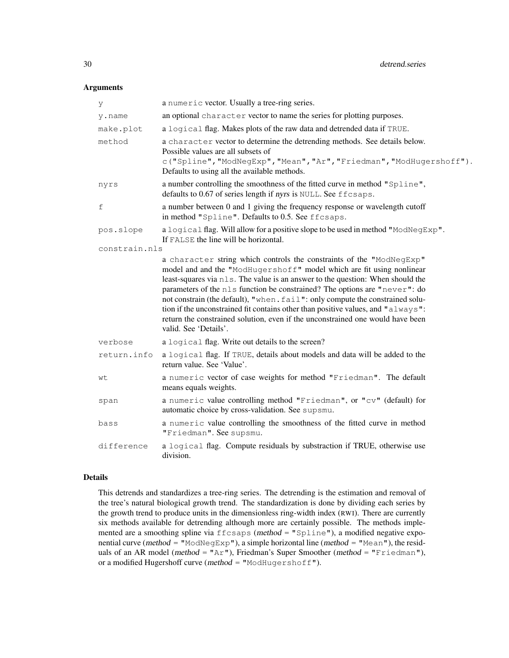# Arguments

| У             | a numeric vector. Usually a tree-ring series.                                                                                                                                                                                                                                                                                                                                                                                                                                                                                                                                                 |
|---------------|-----------------------------------------------------------------------------------------------------------------------------------------------------------------------------------------------------------------------------------------------------------------------------------------------------------------------------------------------------------------------------------------------------------------------------------------------------------------------------------------------------------------------------------------------------------------------------------------------|
| y.name        | an optional character vector to name the series for plotting purposes.                                                                                                                                                                                                                                                                                                                                                                                                                                                                                                                        |
| make.plot     | a logical flag. Makes plots of the raw data and detrended data if TRUE.                                                                                                                                                                                                                                                                                                                                                                                                                                                                                                                       |
| method        | a character vector to determine the detrending methods. See details below.<br>Possible values are all subsets of<br>c("Spline", "ModNegExp", "Mean", "Ar", "Friedman", "ModHugershoff").<br>Defaults to using all the available methods.                                                                                                                                                                                                                                                                                                                                                      |
| nyrs          | a number controlling the smoothness of the fitted curve in method "Spline",<br>defaults to 0.67 of series length if nyrs is NULL. See ffcsaps.                                                                                                                                                                                                                                                                                                                                                                                                                                                |
| f             | a number between 0 and 1 giving the frequency response or wavelength cutoff<br>in method "Spline". Defaults to 0.5. See ffcsaps.                                                                                                                                                                                                                                                                                                                                                                                                                                                              |
| pos.slope     | a logical flag. Will allow for a positive slope to be used in method "ModNegExp".<br>If FALSE the line will be horizontal.                                                                                                                                                                                                                                                                                                                                                                                                                                                                    |
| constrain.nls |                                                                                                                                                                                                                                                                                                                                                                                                                                                                                                                                                                                               |
|               | a character string which controls the constraints of the "ModNegExp"<br>model and and the "ModHugershoff" model which are fit using nonlinear<br>least-squares via nls. The value is an answer to the question: When should the<br>parameters of the nls function be constrained? The options are "never": do<br>not constrain (the default), "when. fail": only compute the constrained solu-<br>tion if the unconstrained fit contains other than positive values, and "always":<br>return the constrained solution, even if the unconstrained one would have been<br>valid. See 'Details'. |
| verbose       | a logical flag. Write out details to the screen?                                                                                                                                                                                                                                                                                                                                                                                                                                                                                                                                              |
| return.info   | a logical flag. If TRUE, details about models and data will be added to the<br>return value. See 'Value'.                                                                                                                                                                                                                                                                                                                                                                                                                                                                                     |
| wt            | a numeric vector of case weights for method "Friedman". The default<br>means equals weights.                                                                                                                                                                                                                                                                                                                                                                                                                                                                                                  |
| span          | a numeric value controlling method "Friedman", or "cv" (default) for<br>automatic choice by cross-validation. See supsmu.                                                                                                                                                                                                                                                                                                                                                                                                                                                                     |
| bass          | a numeric value controlling the smoothness of the fitted curve in method<br>"Friedman". See supsmu.                                                                                                                                                                                                                                                                                                                                                                                                                                                                                           |
| difference    | a logical flag. Compute residuals by substraction if TRUE, otherwise use<br>division.                                                                                                                                                                                                                                                                                                                                                                                                                                                                                                         |

# Details

This detrends and standardizes a tree-ring series. The detrending is the estimation and removal of the tree's natural biological growth trend. The standardization is done by dividing each series by the growth trend to produce units in the dimensionless ring-width index (RWI). There are currently six methods available for detrending although more are certainly possible. The methods implemented are a smoothing spline via  $ff \text{csaps}$  (method = " $Spline$ "), a modified negative exponential curve (method = "ModNegExp"), a simple horizontal line (method = "Mean"), the residuals of an AR model (method = "Ar"), Friedman's Super Smoother (method = "Friedman"), or a modified Hugershoff curve (method = "ModHugershoff").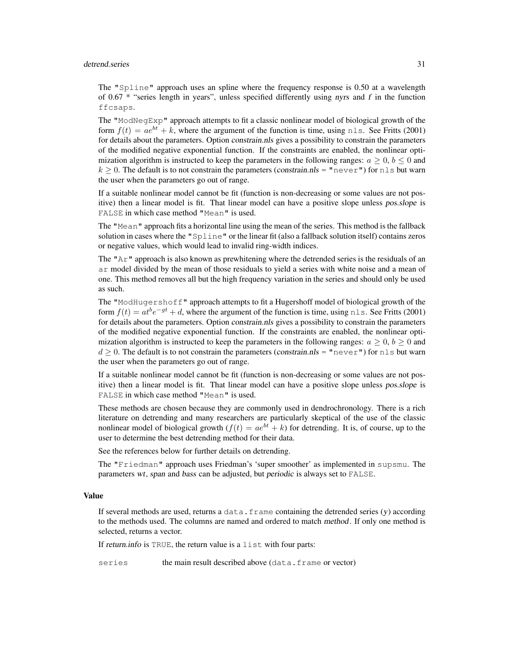#### detrend.series 31

The "Spline" approach uses an spline where the frequency response is 0.50 at a wavelength of 0.67  $*$  "series length in years", unless specified differently using nyrs and f in the function ffcsaps.

The "ModNegExp" approach attempts to fit a classic nonlinear model of biological growth of the form  $f(t) = ae^{bt} + k$ , where the argument of the function is time, using nls. See Fritts (2001) for details about the parameters. Option constrain.nls gives a possibility to constrain the parameters of the modified negative exponential function. If the constraints are enabled, the nonlinear optimization algorithm is instructed to keep the parameters in the following ranges:  $a \geq 0, b \leq 0$  and  $k > 0$ . The default is to not constrain the parameters (constrain.nls = "never") for nls but warn the user when the parameters go out of range.

If a suitable nonlinear model cannot be fit (function is non-decreasing or some values are not positive) then a linear model is fit. That linear model can have a positive slope unless pos.slope is FALSE in which case method "Mean" is used.

The "Mean" approach fits a horizontal line using the mean of the series. This method is the fallback solution in cases where the "Spline" or the linear fit (also a fallback solution itself) contains zeros or negative values, which would lead to invalid ring-width indices.

The " $Ar$ " approach is also known as prewhitening where the detrended series is the residuals of an ar model divided by the mean of those residuals to yield a series with white noise and a mean of one. This method removes all but the high frequency variation in the series and should only be used as such.

The "ModHugershoff" approach attempts to fit a Hugershoff model of biological growth of the form  $f(t) = at^b e^{-gt} + d$ , where the argument of the function is time, using nls. See Fritts (2001) for details about the parameters. Option constrain.nls gives a possibility to constrain the parameters of the modified negative exponential function. If the constraints are enabled, the nonlinear optimization algorithm is instructed to keep the parameters in the following ranges:  $a \geq 0$ ,  $b \geq 0$  and  $d \geq 0$ . The default is to not constrain the parameters (constrain.nls = "never") for nls but warn the user when the parameters go out of range.

If a suitable nonlinear model cannot be fit (function is non-decreasing or some values are not positive) then a linear model is fit. That linear model can have a positive slope unless pos.slope is FALSE in which case method "Mean" is used.

These methods are chosen because they are commonly used in dendrochronology. There is a rich literature on detrending and many researchers are particularly skeptical of the use of the classic nonlinear model of biological growth  $(f(t) = ae^{bt} + k)$  for detrending. It is, of course, up to the user to determine the best detrending method for their data.

See the references below for further details on detrending.

The "Friedman" approach uses Friedman's 'super smoother' as implemented in supsmu. The parameters wt, span and bass can be adjusted, but periodic is always set to FALSE.

## Value

If several methods are used, returns a  $data$ . frame containing the detrended series  $(y)$  according to the methods used. The columns are named and ordered to match method. If only one method is selected, returns a vector.

If return.info is TRUE, the return value is a list with four parts:

series the main result described above (data.frame or vector)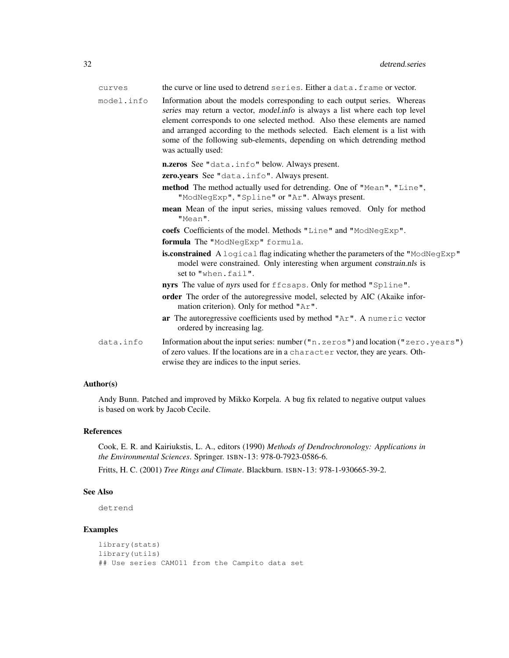| curves     | the curve or line used to detrend series. Either a data, frame or vector.                                                                                                                                                                                                                                                                                                                                               |
|------------|-------------------------------------------------------------------------------------------------------------------------------------------------------------------------------------------------------------------------------------------------------------------------------------------------------------------------------------------------------------------------------------------------------------------------|
| model.info | Information about the models corresponding to each output series. Whereas<br>series may return a vector, model.info is always a list where each top level<br>element corresponds to one selected method. Also these elements are named<br>and arranged according to the methods selected. Each element is a list with<br>some of the following sub-elements, depending on which detrending method<br>was actually used: |
|            | n.zeros See "data.info" below. Always present.                                                                                                                                                                                                                                                                                                                                                                          |
|            | <b>zero.years</b> See "data.info". Always present.                                                                                                                                                                                                                                                                                                                                                                      |
|            | method The method actually used for detrending. One of "Mean", "Line",<br>"ModNegExp", "Spline" or "Ar". Always present.                                                                                                                                                                                                                                                                                                |
|            | mean Mean of the input series, missing values removed. Only for method<br>"Mean".                                                                                                                                                                                                                                                                                                                                       |
|            | coefs Coefficients of the model. Methods "Line" and "ModNeqExp".                                                                                                                                                                                                                                                                                                                                                        |
|            | formula The "ModNegExp" formula.                                                                                                                                                                                                                                                                                                                                                                                        |
|            | <b>is.constrained</b> A logical flag indicating whether the parameters of the "ModNegExp"<br>model were constrained. Only interesting when argument constrain.nls is<br>set to "when.fail".                                                                                                                                                                                                                             |
|            | nyrs The value of nyrs used for ffcsaps. Only for method "Spline".                                                                                                                                                                                                                                                                                                                                                      |
|            | order The order of the autoregressive model, selected by AIC (Akaike infor-<br>mation criterion). Only for method "Ar".                                                                                                                                                                                                                                                                                                 |
|            | ar The autoregressive coefficients used by method "Ar". A numeric vector<br>ordered by increasing lag.                                                                                                                                                                                                                                                                                                                  |
| data.info  | Information about the input series: number ("n.zeros") and location ("zero.years")<br>of zero values. If the locations are in a character vector, they are years. Oth-<br>erwise they are indices to the input series.                                                                                                                                                                                                  |

# Author(s)

Andy Bunn. Patched and improved by Mikko Korpela. A bug fix related to negative output values is based on work by Jacob Cecile.

## References

Cook, E. R. and Kairiukstis, L. A., editors (1990) *Methods of Dendrochronology: Applications in the Environmental Sciences*. Springer. ISBN-13: 978-0-7923-0586-6.

Fritts, H. C. (2001) *Tree Rings and Climate*. Blackburn. ISBN-13: 978-1-930665-39-2.

# See Also

detrend

# Examples

```
library(stats)
library(utils)
## Use series CAM011 from the Campito data set
```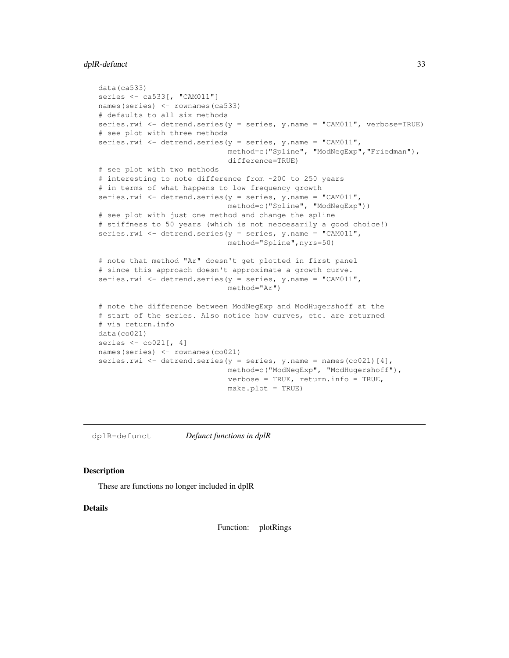# dplR-defunct 33

```
data(ca533)
series <- ca533[, "CAM011"]
names(series) <- rownames(ca533)
# defaults to all six methods
series.rwi <- detrend.series(y = series, y.name = "CAM011", verbose=TRUE)
# see plot with three methods
series.rwi <- detrend.series(y = series, y.name = "CAM011",
                             method=c("Spline", "ModNegExp","Friedman"),
                             difference=TRUE)
# see plot with two methods
# interesting to note difference from ~200 to 250 years
# in terms of what happens to low frequency growth
series.rwi <- detrend.series(y = series, y.name = "CAM011",
                             method=c("Spline", "ModNegExp"))
# see plot with just one method and change the spline
# stiffness to 50 years (which is not neccesarily a good choice!)
series.rwi <- detrend.series(y = series, y.name = "CAM011",
                             method="Spline",nyrs=50)
# note that method "Ar" doesn't get plotted in first panel
# since this approach doesn't approximate a growth curve.
series.rwi <- detrend.series(y = series, y.name = "CAM011",
                             method="Ar")
# note the difference between ModNegExp and ModHugershoff at the
# start of the series. Also notice how curves, etc. are returned
# via return.info
data(co021)
series <- co021[, 4]
names(series) <- rownames(co021)
series.rwi <- detrend.series(y = series, y.name = names(co021)[4],
                             method=c("ModNegExp", "ModHugershoff"),
                             verbose = TRUE, return.info = TRUE,
                             make.plot = TRUE)
```
dplR-defunct *Defunct functions in dplR*

## Description

These are functions no longer included in dplR

# Details

Function: plotRings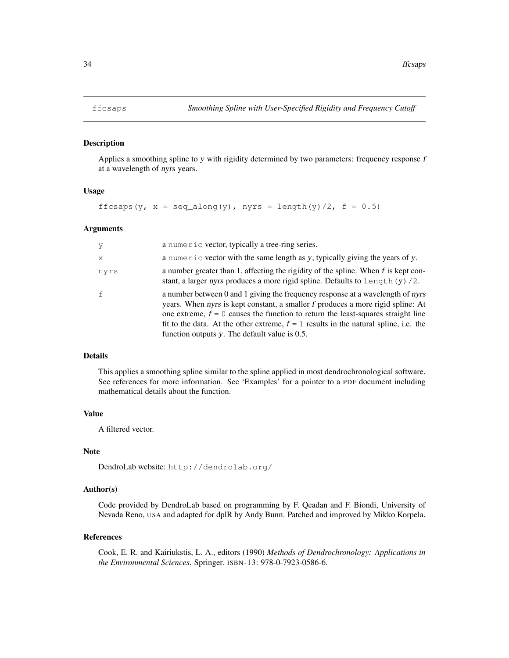#### Description

Applies a smoothing spline to y with rigidity determined by two parameters: frequency response  $f$ at a wavelength of nyrs years.

# Usage

```
ffcsaps(y, x = \text{seq\_along}(y), nyrs = \text{length}(y)/2, f = 0.5)
```
# Arguments

| y            | a numeric vector, typically a tree-ring series.                                                                                                                                                                                                                                                                                                                                                    |
|--------------|----------------------------------------------------------------------------------------------------------------------------------------------------------------------------------------------------------------------------------------------------------------------------------------------------------------------------------------------------------------------------------------------------|
| $\mathbf{x}$ | a numeric vector with the same length as y, typically giving the years of y.                                                                                                                                                                                                                                                                                                                       |
| nyrs         | a number greater than 1, affecting the rigidity of the spline. When f is kept con-<br>stant, a larger nyrs produces a more rigid spline. Defaults to length $(y)$ /2.                                                                                                                                                                                                                              |
| $\mathsf{f}$ | a number between 0 and 1 giving the frequency response at a wavelength of nyrs<br>years. When nyrs is kept constant, a smaller f produces a more rigid spline: At<br>one extreme, $f = 0$ causes the function to return the least-squares straight line<br>fit to the data. At the other extreme, $f = 1$ results in the natural spline, i.e. the<br>function outputs y. The default value is 0.5. |

# Details

This applies a smoothing spline similar to the spline applied in most dendrochronological software. See references for more information. See 'Examples' for a pointer to a PDF document including mathematical details about the function.

## Value

A filtered vector.

## Note

DendroLab website: http://dendrolab.org/

# Author(s)

Code provided by DendroLab based on programming by F. Qeadan and F. Biondi, University of Nevada Reno, USA and adapted for dplR by Andy Bunn. Patched and improved by Mikko Korpela.

#### References

Cook, E. R. and Kairiukstis, L. A., editors (1990) *Methods of Dendrochronology: Applications in the Environmental Sciences*. Springer. ISBN-13: 978-0-7923-0586-6.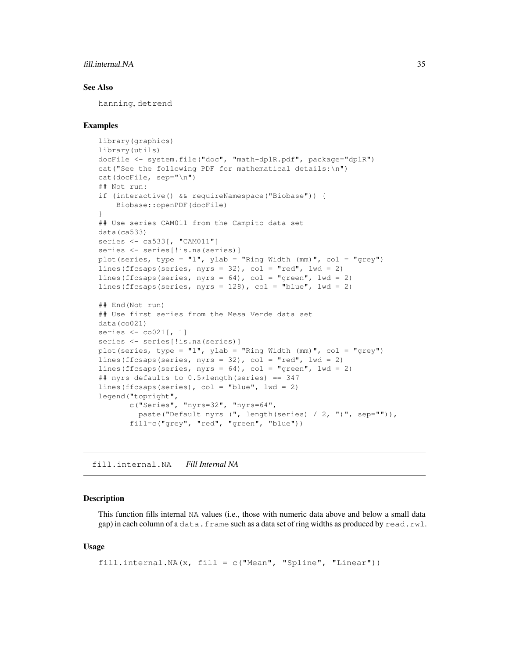# fill.internal.NA 35

# See Also

hanning, detrend

#### Examples

```
library(graphics)
library(utils)
docFile <- system.file("doc", "math-dplR.pdf", package="dplR")
cat("See the following PDF for mathematical details:\n")
cat(docFile, sep="\n")
## Not run:
if (interactive() && requireNamespace("Biobase")) {
   Biobase::openPDF(docFile)
}
## Use series CAM011 from the Campito data set
data(ca533)
series <- ca533[, "CAM011"]
series <- series[!is.na(series)]
plot(series, type = "l", ylab = "Ring Width (mm)", col = "grey")
lines(ffcsaps(series, nyrs = 32), col = "red", lwd = 2)
lines(ffcsaps(series, nyrs = 64), col = "green", lwd = 2)
lines(ffcsaps(series, nyrs = 128), col = "blue", 1wd = 2)
## End(Not run)
## Use first series from the Mesa Verde data set
data(co021)
series <- co021[, 1]
series <- series[!is.na(series)]
plot(series, type = "l", ylab = "Ring Width (mm)", col = "grey")
lines(ffcsaps(series, nyrs = 32), col = "red", lwd = 2)
lines(ffcsaps(series, nyrs = 64), col = "green", lwd = 2)
## nyrs defaults to 0.5*length(series) == 347
lines(ffcsaps(series), col = "blue", lwd = 2)
legend("topright",
       c("Series", "nyrs=32", "nyrs=64",
         paste("Default nyrs (", length(series) / 2, ")", sep="")),
       fill=c("grey", "red", "green", "blue"))
```
fill.internal.NA *Fill Internal NA*

# Description

This function fills internal NA values (i.e., those with numeric data above and below a small data gap) in each column of a data.frame such as a data set of ring widths as produced by read.rwl.

#### Usage

```
fill.internal.NA(x, fill = c("Mean", "Spline", "Linear"))
```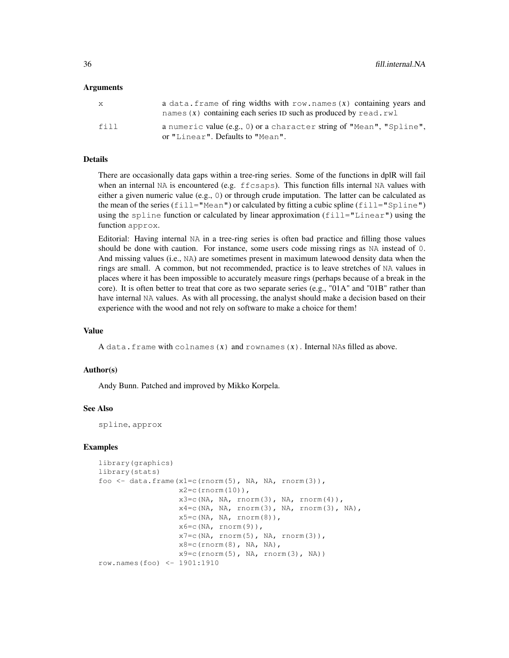#### Arguments

| X    | a data. frame of ring widths with $row.name(x)$ containing years and<br>names $(x)$ containing each series ID such as produced by read.rwl |
|------|--------------------------------------------------------------------------------------------------------------------------------------------|
| fill | a numeric value (e.g., 0) or a character string of "Mean", "Spline",<br>or "Linear". Defaults to "Mean".                                   |

#### Details

There are occasionally data gaps within a tree-ring series. Some of the functions in dplR will fail when an internal NA is encountered (e.g.  $ffcsaps$ ). This function fills internal NA values with either a given numeric value (e.g., 0) or through crude imputation. The latter can be calculated as the mean of the series (fill="Mean") or calculated by fitting a cubic spline (fill="Spline") using the spline function or calculated by linear approximation  $(f\text{-}\text{il} = "Linear")$  using the function approx.

Editorial: Having internal NA in a tree-ring series is often bad practice and filling those values should be done with caution. For instance, some users code missing rings as NA instead of 0. And missing values (i.e., NA) are sometimes present in maximum latewood density data when the rings are small. A common, but not recommended, practice is to leave stretches of NA values in places where it has been impossible to accurately measure rings (perhaps because of a break in the core). It is often better to treat that core as two separate series (e.g., "01A" and "01B" rather than have internal NA values. As with all processing, the analyst should make a decision based on their experience with the wood and not rely on software to make a choice for them!

#### Value

A data. frame with colnames  $(x)$  and rownames  $(x)$ . Internal NAs filled as above.

#### Author(s)

Andy Bunn. Patched and improved by Mikko Korpela.

# See Also

spline, approx

#### Examples

```
library(graphics)
library(stats)
foo \leftarrow data.frame(x1=c(rnorm(5), NA, NA, rnorm(3)),
                  x2=c (rnorm (10)),
                  x3=c(NA, NA, rnorm(3), NA, rnorm(4)),x4=c(NA, NA, rnorm(3), NA, rnorm(3), NA)x5=c(NA, NA, rnorm(8)),x6=c(NA, rnorm(9)),
                  x7=c(NA, rnorm(5), NA, rnorm(3)),x8=c(rnorm(8), NA, NA),x9=c(rnorm(5), NA, rnorm(3), NA)row.names(foo) <- 1901:1910
```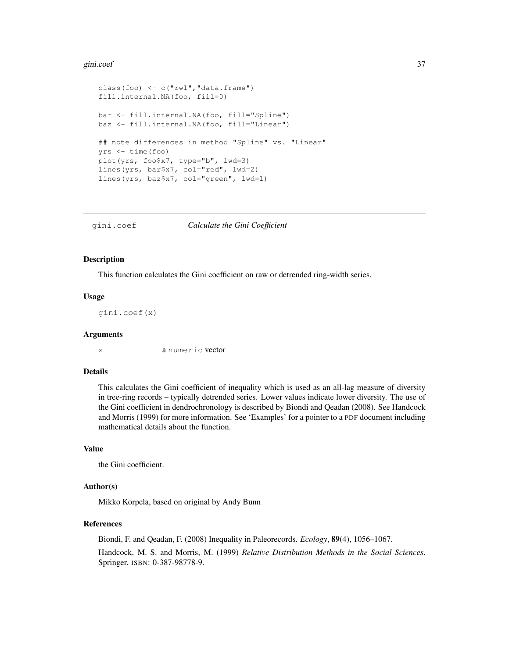#### gini.coef 37

```
class(foo) < -c("rwl", "data-frame")fill.internal.NA(foo, fill=0)
bar <- fill.internal.NA(foo, fill="Spline")
baz <- fill.internal.NA(foo, fill="Linear")
## note differences in method "Spline" vs. "Linear"
yrs <- time(foo)
plot(yrs, foo$x7, type="b", lwd=3)
lines(yrs, bar$x7, col="red", lwd=2)
lines(yrs, baz$x7, col="green", lwd=1)
```
gini.coef *Calculate the Gini Coefficient*

# Description

This function calculates the Gini coefficient on raw or detrended ring-width series.

#### Usage

gini.coef(x)

#### Arguments

x a numeric vector

## Details

This calculates the Gini coefficient of inequality which is used as an all-lag measure of diversity in tree-ring records – typically detrended series. Lower values indicate lower diversity. The use of the Gini coefficient in dendrochronology is described by Biondi and Qeadan (2008). See Handcock and Morris (1999) for more information. See 'Examples' for a pointer to a PDF document including mathematical details about the function.

#### Value

the Gini coefficient.

#### Author(s)

Mikko Korpela, based on original by Andy Bunn

#### References

Biondi, F. and Qeadan, F. (2008) Inequality in Paleorecords. *Ecology*, 89(4), 1056–1067. Handcock, M. S. and Morris, M. (1999) *Relative Distribution Methods in the Social Sciences*. Springer. ISBN: 0-387-98778-9.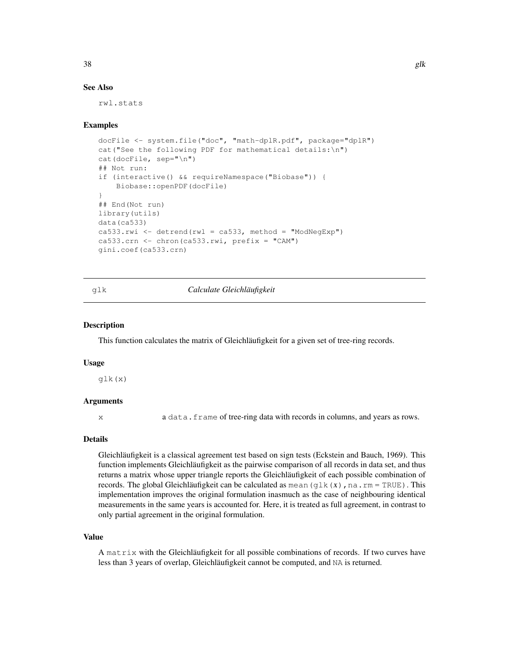## See Also

rwl.stats

## Examples

```
docFile <- system.file("doc", "math-dplR.pdf", package="dplR")
cat("See the following PDF for mathematical details:\n")
cat(docFile, sep="\n")
## Not run:
if (interactive() && requireNamespace("Biobase")) {
   Biobase::openPDF(docFile)
}
## End(Not run)
library(utils)
data(ca533)
ca533.rwi <- detrend(rwl = ca533, method = "ModNegExp")
ca533.crn <- chron(ca533.rwi, prefix = "CAM")
gini.coef(ca533.crn)
```
# glk *Calculate Gleichläufigkeit*

#### Description

This function calculates the matrix of Gleichläufigkeit for a given set of tree-ring records.

#### Usage

glk(x)

# Arguments

x a data.frame of tree-ring data with records in columns, and years as rows.

# Details

Gleichläufigkeit is a classical agreement test based on sign tests (Eckstein and Bauch, 1969). This function implements Gleichläufigkeit as the pairwise comparison of all records in data set, and thus returns a matrix whose upper triangle reports the Gleichläufigkeit of each possible combination of records. The global Gleichläufigkeit can be calculated as mean (glk  $(x)$ , na.rm = TRUE). This implementation improves the original formulation inasmuch as the case of neighbouring identical measurements in the same years is accounted for. Here, it is treated as full agreement, in contrast to only partial agreement in the original formulation.

#### Value

A matrix with the Gleichläufigkeit for all possible combinations of records. If two curves have less than 3 years of overlap, Gleichläufigkeit cannot be computed, and NA is returned.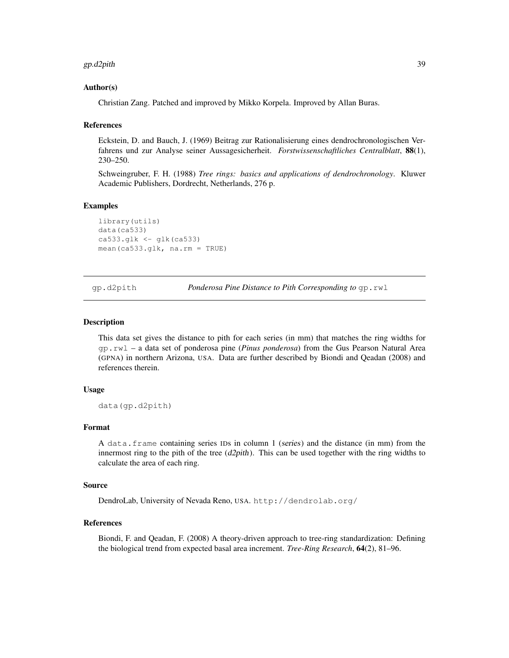#### gp.d2pith 39

## Author(s)

Christian Zang. Patched and improved by Mikko Korpela. Improved by Allan Buras.

#### References

Eckstein, D. and Bauch, J. (1969) Beitrag zur Rationalisierung eines dendrochronologischen Verfahrens und zur Analyse seiner Aussagesicherheit. *Forstwissenschaftliches Centralblatt*, 88(1), 230–250.

Schweingruber, F. H. (1988) *Tree rings: basics and applications of dendrochronology*. Kluwer Academic Publishers, Dordrecht, Netherlands, 276 p.

## Examples

```
library(utils)
data(ca533)
ca533.q1k < - q1k(ca533)mean(ca533.glk, na.rm = TRUE)
```
gp.d2pith *Ponderosa Pine Distance to Pith Corresponding to* gp.rwl

#### Description

This data set gives the distance to pith for each series (in mm) that matches the ring widths for gp.rwl – a data set of ponderosa pine (*Pinus ponderosa*) from the Gus Pearson Natural Area (GPNA) in northern Arizona, USA. Data are further described by Biondi and Qeadan (2008) and references therein.

## Usage

data(gp.d2pith)

#### Format

A data.frame containing series IDs in column 1 (series) and the distance (in mm) from the innermost ring to the pith of the tree  $(d2pith)$ . This can be used together with the ring widths to calculate the area of each ring.

#### Source

DendroLab, University of Nevada Reno, USA. http://dendrolab.org/

#### References

Biondi, F. and Qeadan, F. (2008) A theory-driven approach to tree-ring standardization: Defining the biological trend from expected basal area increment. *Tree-Ring Research*, 64(2), 81–96.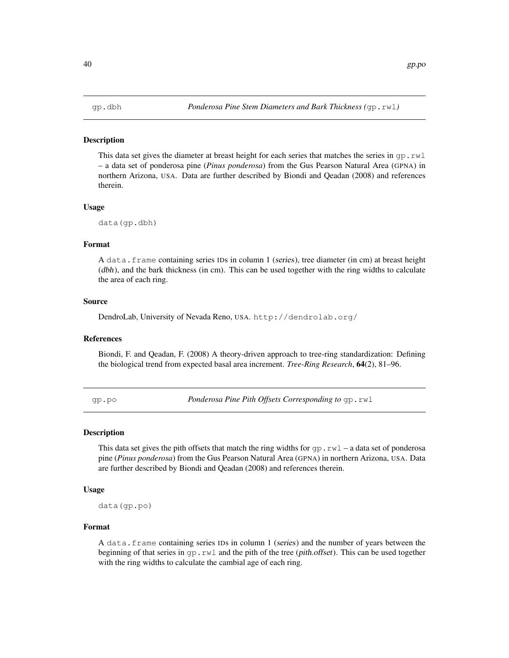#### **Description**

This data set gives the diameter at breast height for each series that matches the series in  $qp$ .  $rwl$ – a data set of ponderosa pine (*Pinus ponderosa*) from the Gus Pearson Natural Area (GPNA) in northern Arizona, USA. Data are further described by Biondi and Qeadan (2008) and references therein.

#### Usage

data(gp.dbh)

## Format

A data.frame containing series IDs in column 1 (series), tree diameter (in cm) at breast height (dbh), and the bark thickness (in cm). This can be used together with the ring widths to calculate the area of each ring.

# Source

DendroLab, University of Nevada Reno, USA. http://dendrolab.org/

## References

Biondi, F. and Qeadan, F. (2008) A theory-driven approach to tree-ring standardization: Defining the biological trend from expected basal area increment. *Tree-Ring Research*, 64(2), 81–96.

gp.po *Ponderosa Pine Pith Offsets Corresponding to* gp.rwl

## Description

This data set gives the pith offsets that match the ring widths for  $gp$ .  $rwl - a$  data set of ponderosa pine (*Pinus ponderosa*) from the Gus Pearson Natural Area (GPNA) in northern Arizona, USA. Data are further described by Biondi and Qeadan (2008) and references therein.

#### Usage

data(gp.po)

## Format

A data.frame containing series IDs in column 1 (series) and the number of years between the beginning of that series in  $qp$ .  $rwl$  and the pith of the tree (*pith.offset*). This can be used together with the ring widths to calculate the cambial age of each ring.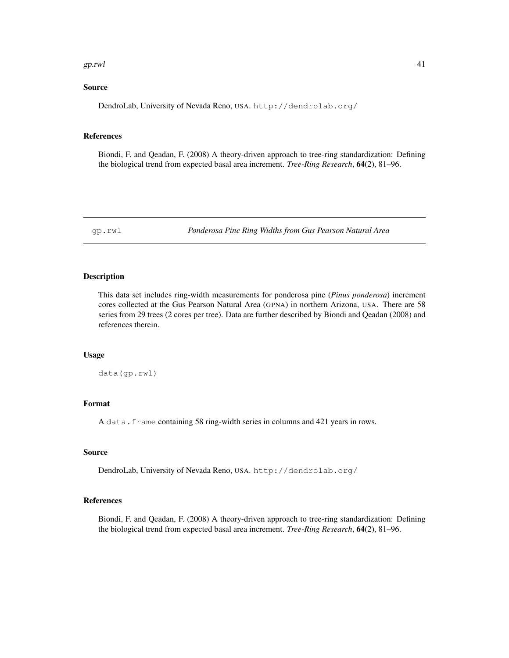#### $g$ p.rwl  $41$

## Source

DendroLab, University of Nevada Reno, USA. http://dendrolab.org/

## References

Biondi, F. and Qeadan, F. (2008) A theory-driven approach to tree-ring standardization: Defining the biological trend from expected basal area increment. *Tree-Ring Research*, 64(2), 81–96.

gp.rwl *Ponderosa Pine Ring Widths from Gus Pearson Natural Area*

## Description

This data set includes ring-width measurements for ponderosa pine (*Pinus ponderosa*) increment cores collected at the Gus Pearson Natural Area (GPNA) in northern Arizona, USA. There are 58 series from 29 trees (2 cores per tree). Data are further described by Biondi and Qeadan (2008) and references therein.

## Usage

data(gp.rwl)

## Format

A data.frame containing 58 ring-width series in columns and 421 years in rows.

## Source

DendroLab, University of Nevada Reno, USA. http://dendrolab.org/

## References

Biondi, F. and Qeadan, F. (2008) A theory-driven approach to tree-ring standardization: Defining the biological trend from expected basal area increment. *Tree-Ring Research*, 64(2), 81–96.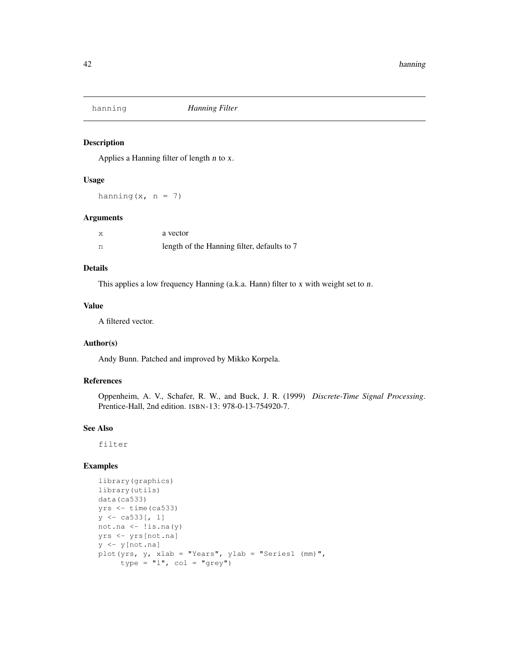# Description

Applies a Hanning filter of length n to x.

#### Usage

hanning  $(x, n = 7)$ 

# Arguments

| X | a vector                                    |
|---|---------------------------------------------|
| n | length of the Hanning filter, defaults to 7 |

# Details

This applies a low frequency Hanning (a.k.a. Hann) filter to x with weight set to n.

# Value

A filtered vector.

# Author(s)

Andy Bunn. Patched and improved by Mikko Korpela.

## References

Oppenheim, A. V., Schafer, R. W., and Buck, J. R. (1999) *Discrete-Time Signal Processing*. Prentice-Hall, 2nd edition. ISBN-13: 978-0-13-754920-7.

## See Also

filter

# Examples

```
library(graphics)
library(utils)
data(ca533)
yrs \leftarrow time(ca533)y \leftarrow ca533[, 1]not.na <- !is.na(y)
yrs <- yrs[not.na]
y <- y[not.na]
plot(yrs, y, xlab = "Years", ylab = "Series1 (mm)",
     type = "l", col = "grey")
```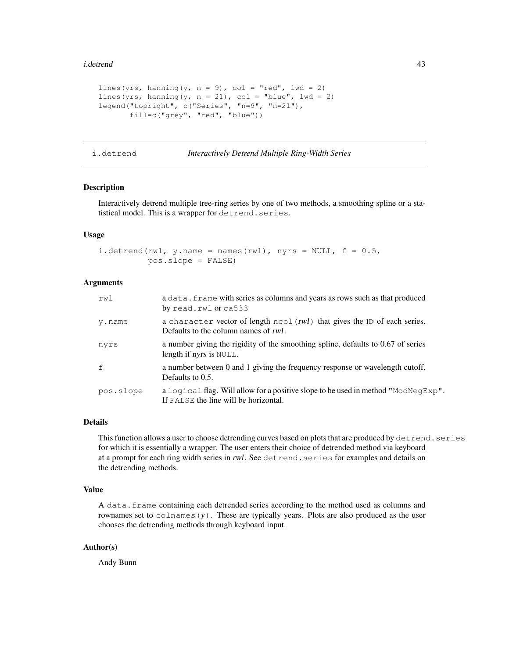#### i.detrend 43

```
lines(yrs, hanning(y, n = 9), col = "red", lwd = 2)
lines(yrs, hanning(y, n = 21), col = "blue", lwd = 2)
legend("topright", c("Series", "n=9", "n=21"),
       fill=c("grey", "red", "blue"))
```
i.detrend *Interactively Detrend Multiple Ring-Width Series*

# Description

Interactively detrend multiple tree-ring series by one of two methods, a smoothing spline or a statistical model. This is a wrapper for detrend.series.

#### Usage

i.detrend(rwl, y.name = names(rwl), nyrs = NULL,  $f = 0.5$ , pos.slope = FALSE)

## Arguments

| rw1       | a data. frame with series as columns and years as rows such as that produced<br>by read.rwl or ca533                       |
|-----------|----------------------------------------------------------------------------------------------------------------------------|
| y.name    | a character vector of length ncol (rwl) that gives the ID of each series.<br>Defaults to the column names of rwl.          |
| nyrs      | a number giving the rigidity of the smoothing spline, defaults to $0.67$ of series<br>length if <i>nyrs</i> is NULL.       |
| f         | a number between 0 and 1 giving the frequency response or wavelength cutoff.<br>Defaults to $0.5$ .                        |
| pos.slope | a logical flag. Will allow for a positive slope to be used in method "ModNegExp".<br>If FALSE the line will be horizontal. |

## Details

This function allows a user to choose detrending curves based on plots that are produced by detrend.series for which it is essentially a wrapper. The user enters their choice of detrended method via keyboard at a prompt for each ring width series in rwl. See detrend.series for examples and details on the detrending methods.

# Value

A data.frame containing each detrended series according to the method used as columns and rownames set to  $\text{colnames}(y)$ . These are typically years. Plots are also produced as the user chooses the detrending methods through keyboard input.

## Author(s)

Andy Bunn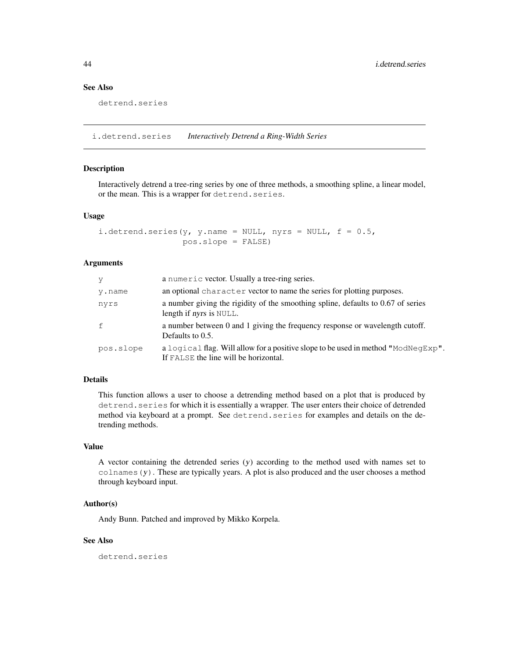# See Also

```
detrend.series
```
i.detrend.series *Interactively Detrend a Ring-Width Series*

# Description

Interactively detrend a tree-ring series by one of three methods, a smoothing spline, a linear model, or the mean. This is a wrapper for detrend.series.

# Usage

```
i.detrend.series(y, y.name = NULL, nyrs = NULL, f = 0.5,
                 pos.slope = FALSE)
```
#### **Arguments**

| - V       | a numeric vector. Usually a tree-ring series.                                                                              |
|-----------|----------------------------------------------------------------------------------------------------------------------------|
| y.name    | an optional character vector to name the series for plotting purposes.                                                     |
| nyrs      | a number giving the rigidity of the smoothing spline, defaults to 0.67 of series<br>length if <i>nyrs</i> is NULL.         |
| f         | a number between 0 and 1 giving the frequency response or wavelength cutoff.<br>Defaults to $0.5$ .                        |
| pos.slope | a logical flag. Will allow for a positive slope to be used in method "ModNegExp".<br>If FALSE the line will be horizontal. |

#### Details

This function allows a user to choose a detrending method based on a plot that is produced by detrend. series for which it is essentially a wrapper. The user enters their choice of detrended method via keyboard at a prompt. See detrend.series for examples and details on the detrending methods.

## Value

A vector containing the detrended series (y) according to the method used with names set to  $\text{colnames}(y)$ . These are typically years. A plot is also produced and the user chooses a method through keyboard input.

#### Author(s)

Andy Bunn. Patched and improved by Mikko Korpela.

# See Also

detrend.series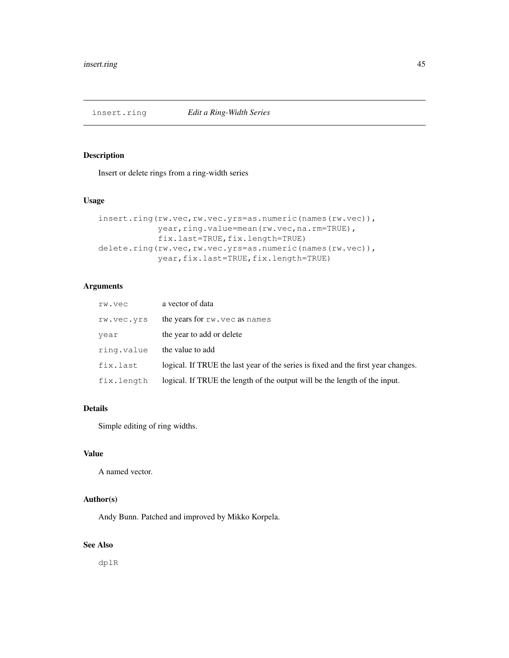# Description

Insert or delete rings from a ring-width series

# Usage

```
insert.ring(rw.vec,rw.vec.yrs=as.numeric(names(rw.vec)),
            year, ring.value=mean(rw.vec,na.rm=TRUE),
            fix.last=TRUE,fix.length=TRUE)
delete.ring(rw.vec,rw.vec.yrs=as.numeric(names(rw.vec)),
            year,fix.last=TRUE,fix.length=TRUE)
```
# Arguments

| rw.vec     | a vector of data                                                                  |
|------------|-----------------------------------------------------------------------------------|
| rw.vec.yrs | the years for rw. vec as names                                                    |
| year       | the year to add or delete                                                         |
| ring.value | the value to add                                                                  |
| fix.last   | logical. If TRUE the last year of the series is fixed and the first year changes. |
| fix.length | logical. If TRUE the length of the output will be the length of the input.        |

# Details

Simple editing of ring widths.

## Value

A named vector.

# Author(s)

Andy Bunn. Patched and improved by Mikko Korpela.

# See Also

dplR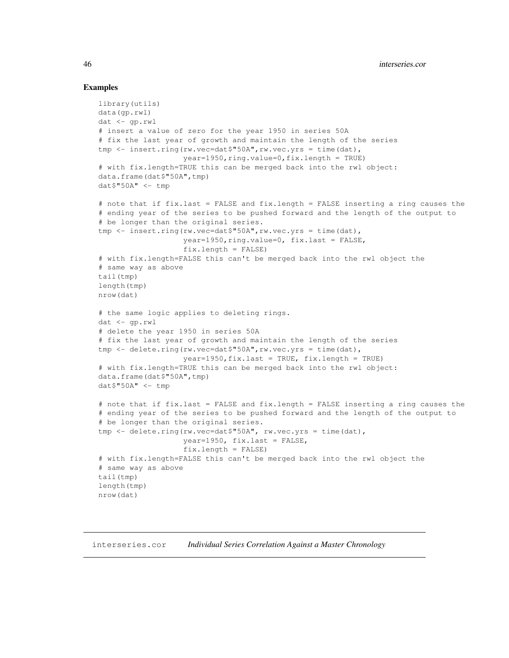# Examples

```
library(utils)
data(gp.rwl)
dat <- gp.rwl
# insert a value of zero for the year 1950 in series 50A
# fix the last year of growth and maintain the length of the series
tmp <- insert.ring(rw.vec=dat$"50A",rw.vec.yrs = time(dat),
                   year=1950,ring.value=0,fix.length = TRUE)
# with fix.length=TRUE this can be merged back into the rwl object:
data.frame(dat$"50A",tmp)
dat$ "50A" < - tmp
# note that if fix.last = FALSE and fix.length = FALSE inserting a ring causes the
# ending year of the series to be pushed forward and the length of the output to
# be longer than the original series.
tmp <- insert.ring(rw.vec=dat$"50A", rw.vec.yrs = time(dat),
                   year=1950, ring.value=0, fix.last = FALSE,
                   fix.length = FALSE)
# with fix.length=FALSE this can't be merged back into the rwl object the
# same way as above
tail(tmp)
length(tmp)
nrow(dat)
# the same logic applies to deleting rings.
dat <- qp.rwl
# delete the year 1950 in series 50A
# fix the last year of growth and maintain the length of the series
tmp <- delete.ring(rw.vec=dat$"50A", rw.vec.yrs = time(dat),
                   year=1950,fix.last = TRUE, fix.length = TRUE)
# with fix.length=TRUE this can be merged back into the rwl object:
data.frame(dat$"50A",tmp)
dat$"50A" <- tmp
# note that if fix.last = FALSE and fix.length = FALSE inserting a ring causes the
# ending year of the series to be pushed forward and the length of the output to
# be longer than the original series.
tmp <- delete.ring(rw.vec=dat$"50A", rw.vec.yrs = time(dat),
                   year=1950, fix.last = FALSE,
                   fix.length = FALSE)
# with fix.length=FALSE this can't be merged back into the rwl object the
# same way as above
tail(tmp)
length(tmp)
nrow(dat)
```
interseries.cor *Individual Series Correlation Against a Master Chronology*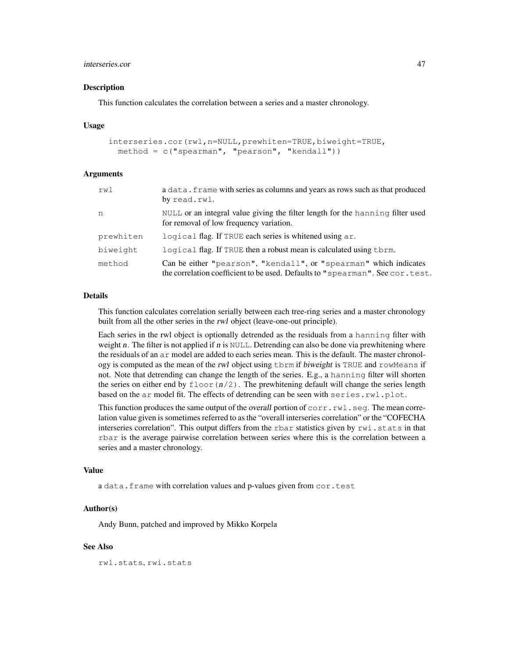# interseries.cor 47

#### **Description**

This function calculates the correlation between a series and a master chronology.

#### Usage

```
interseries.cor(rwl,n=NULL,prewhiten=TRUE,biweight=TRUE,
 method = c("spearman", "pearson", "kendall"))
```
## Arguments

| rwl       | a data. frame with series as columns and years as rows such as that produced<br>by read.rwl.                                                       |
|-----------|----------------------------------------------------------------------------------------------------------------------------------------------------|
| n         | NULL or an integral value giving the filter length for the hanning filter used<br>for removal of low frequency variation.                          |
| prewhiten | logical flag. If TRUE each series is whitened using ar.                                                                                            |
| biweight  | logical flag. If TRUE then a robust mean is calculated using thrm.                                                                                 |
| method    | Can be either "pearson", "kendall", or "spearman" which indicates<br>the correlation coefficient to be used. Defaults to "spearman". See cor.test. |

#### Details

This function calculates correlation serially between each tree-ring series and a master chronology built from all the other series in the rwl object (leave-one-out principle).

Each series in the rwl object is optionally detrended as the residuals from a hanning filter with weight n. The filter is not applied if n is  $NULL$ . Detrending can also be done via prewhitening where the residuals of an ar model are added to each series mean. This is the default. The master chronology is computed as the mean of the rwl object using tbrm if biweight is TRUE and rowMeans if not. Note that detrending can change the length of the series. E.g., a hanning filter will shorten the series on either end by  $f \text{loor}(n/2)$ . The prewhitening default will change the series length based on the  $ar$  model fit. The effects of detrending can be seen with  $series.run1.plot$ .

This function produces the same output of the overall portion of  $corr$ .  $rwl$ .  $seq$ . The mean correlation value given is sometimes referred to as the "overall interseries correlation" or the "COFECHA interseries correlation". This output differs from the rbar statistics given by rwi.stats in that rbar is the average pairwise correlation between series where this is the correlation between a series and a master chronology.

## Value

a data.frame with correlation values and p-values given from cor.test

## Author(s)

Andy Bunn, patched and improved by Mikko Korpela

## See Also

rwl.stats, rwi.stats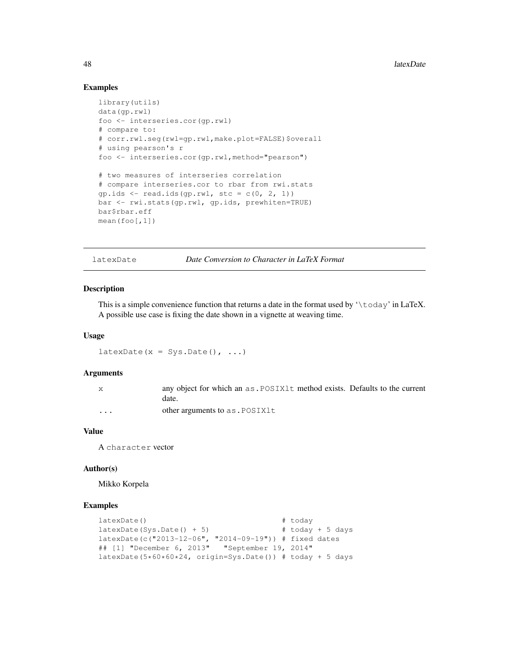# Examples

```
library(utils)
data(gp.rwl)
foo <- interseries.cor(gp.rwl)
# compare to:
# corr.rwl.seg(rwl=gp.rwl,make.plot=FALSE)$overall
# using pearson's r
foo <- interseries.cor(gp.rwl,method="pearson")
# two measures of interseries correlation
# compare interseries.cor to rbar from rwi.stats
gp.ids \leftarrow read.ids(gp.rwl, stc = c(0, 2, 1))bar <- rwi.stats(gp.rwl, gp.ids, prewhiten=TRUE)
bar$rbar.eff
mean(foo[,1])
```
latexDate *Date Conversion to Character in LaTeX Format*

## Description

This is a simple convenience function that returns a date in the format used by  $\cdot \cdot \cdot \cdot \cdot$  in LaTeX. A possible use case is fixing the date shown in a vignette at weaving time.

#### Usage

 $latesDate(x = Sys.DataFrame()$ , ...)

#### Arguments

| any object for which an as . POSIX1t method exists. Defaults to the current |
|-----------------------------------------------------------------------------|
| date.                                                                       |
|                                                                             |

... other arguments to as . POSIX1t

#### Value

A character vector

#### Author(s)

Mikko Korpela

#### Examples

```
latexDate() \qquad \qquad \qquad \qquad \qquad + today
latexDate(Sys.Date() + 5) # today + 5 days
latexDate(c("2013-12-06", "2014-09-19")) # fixed dates
## [1] "December 6, 2013"
latexDate(5*60*60*24, origin=Sys.Date()) # today + 5 days
```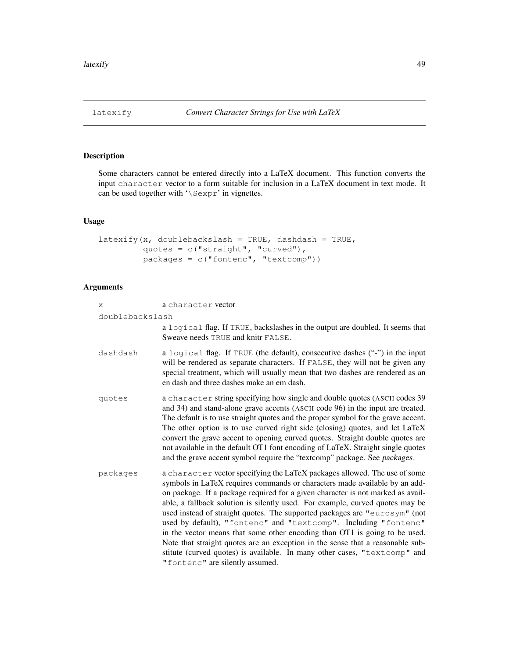# Description

Some characters cannot be entered directly into a LaTeX document. This function converts the input character vector to a form suitable for inclusion in a LaTeX document in text mode. It can be used together with '\Sexpr' in vignettes.

# Usage

```
latexify(x, doublebackslash = TRUE, dashdash = TRUE,
         quotes = c("straight", "curved"),
         packages = c("fontenc", "textcomp"))
```
# Arguments

| X.              | a character vector                                                                                                                                                                                                                                                                                                                                                                                                                                                                                                                                                                                                                                                                                                                                           |
|-----------------|--------------------------------------------------------------------------------------------------------------------------------------------------------------------------------------------------------------------------------------------------------------------------------------------------------------------------------------------------------------------------------------------------------------------------------------------------------------------------------------------------------------------------------------------------------------------------------------------------------------------------------------------------------------------------------------------------------------------------------------------------------------|
| doublebackslash |                                                                                                                                                                                                                                                                                                                                                                                                                                                                                                                                                                                                                                                                                                                                                              |
|                 | a logical flag. If TRUE, backslashes in the output are doubled. It seems that<br>Sweave needs TRUE and knitr FALSE.                                                                                                                                                                                                                                                                                                                                                                                                                                                                                                                                                                                                                                          |
| dashdash        | a logical flag. If TRUE (the default), consecutive dashes ("-") in the input<br>will be rendered as separate characters. If FALSE, they will not be given any<br>special treatment, which will usually mean that two dashes are rendered as an<br>en dash and three dashes make an em dash.                                                                                                                                                                                                                                                                                                                                                                                                                                                                  |
| quotes          | a character string specifying how single and double quotes (ASCII codes 39)<br>and 34) and stand-alone grave accents (ASCII code 96) in the input are treated.<br>The default is to use straight quotes and the proper symbol for the grave accent.<br>The other option is to use curved right side (closing) quotes, and let LaTeX<br>convert the grave accent to opening curved quotes. Straight double quotes are<br>not available in the default OT1 font encoding of LaTeX. Straight single quotes<br>and the grave accent symbol require the "textcomp" package. See packages.                                                                                                                                                                         |
| packages        | a character vector specifying the LaTeX packages allowed. The use of some<br>symbols in LaTeX requires commands or characters made available by an add-<br>on package. If a package required for a given character is not marked as avail-<br>able, a fallback solution is silently used. For example, curved quotes may be<br>used instead of straight quotes. The supported packages are "eurosym" (not<br>used by default), "fontenc" and "textcomp". Including "fontenc"<br>in the vector means that some other encoding than OT1 is going to be used.<br>Note that straight quotes are an exception in the sense that a reasonable sub-<br>stitute (curved quotes) is available. In many other cases, "textcomp" and<br>"fontenc" are silently assumed. |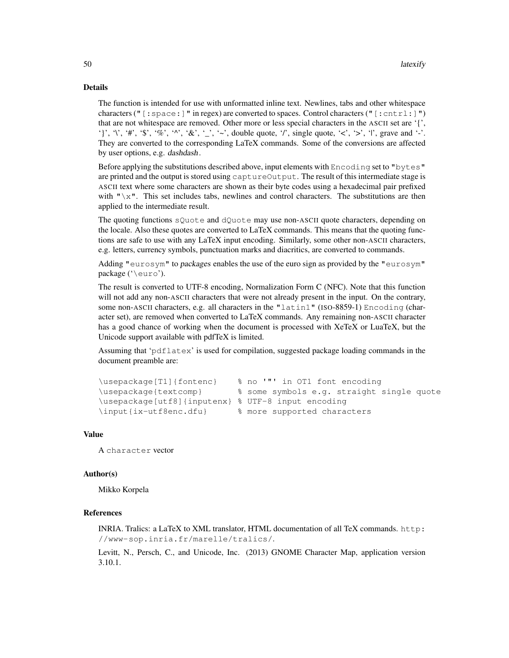# Details

The function is intended for use with unformatted inline text. Newlines, tabs and other whitespace characters ("[:space:]" in regex) are converted to spaces. Control characters ("[:cntrl:]") that are not whitespace are removed. Other more or less special characters in the ASCII set are '{', '}', '\', '#', '\$', '%', '^', '&', '\_', '~', double quote, '/', single quote, '<', '>', '|', grave and '-'. They are converted to the corresponding LaTeX commands. Some of the conversions are affected by user options, e.g. dashdash.

Before applying the substitutions described above, input elements with Encoding set to "bytes" are printed and the output is stored using captureOutput. The result of this intermediate stage is ASCII text where some characters are shown as their byte codes using a hexadecimal pair prefixed with " $\chi$ ". This set includes tabs, newlines and control characters. The substitutions are then applied to the intermediate result.

The quoting functions sQuote and dQuote may use non-ASCII quote characters, depending on the locale. Also these quotes are converted to LaTeX commands. This means that the quoting functions are safe to use with any LaTeX input encoding. Similarly, some other non-ASCII characters, e.g. letters, currency symbols, punctuation marks and diacritics, are converted to commands.

Adding "eurosym" to packages enables the use of the euro sign as provided by the "eurosym" package ('\euro').

The result is converted to UTF-8 encoding, Normalization Form C (NFC). Note that this function will not add any non-ASCII characters that were not already present in the input. On the contrary, some non-ASCII characters, e.g. all characters in the "latin1" (ISO-8859-1) Encoding (character set), are removed when converted to LaTeX commands. Any remaining non-ASCII character has a good chance of working when the document is processed with XeTeX or LuaTeX, but the Unicode support available with pdfTeX is limited.

Assuming that 'pdflatex' is used for compilation, suggested package loading commands in the document preamble are:

```
\usepackage[T1]{fontenc} % no '"' in OT1 font encoding
\usepackage{textcomp} % some symbols e.g. straight single quote
\usepackage[utf8]{inputenx} % UTF-8 input encoding
\input{ix-utf8enc.dfu} % more supported characters
```
#### Value

A character vector

## Author(s)

Mikko Korpela

## References

INRIA. Tralics: a LaTeX to XML translator, HTML documentation of all TeX commands. http: //www-sop.inria.fr/marelle/tralics/.

Levitt, N., Persch, C., and Unicode, Inc. (2013) GNOME Character Map, application version 3.10.1.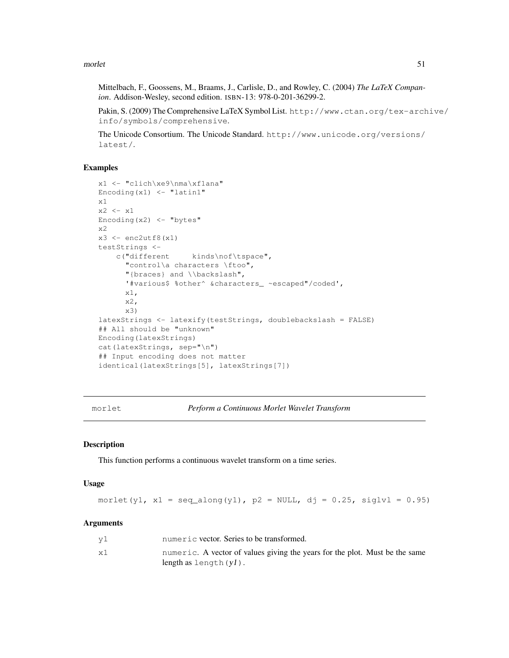morlet 51

Mittelbach, F., Goossens, M., Braams, J., Carlisle, D., and Rowley, C. (2004) *The LaTeX Companion*. Addison-Wesley, second edition. ISBN-13: 978-0-201-36299-2.

Pakin, S. (2009) The Comprehensive LaTeX Symbol List. http://www.ctan.org/tex-archive/ info/symbols/comprehensive.

The Unicode Consortium. The Unicode Standard. http://www.unicode.org/versions/ latest/.

## Examples

```
x1 <- "clich\xe9\nma\xf1ana"
Encoding(x1) \leq "latin1"
x1
x2 \leftarrow x1Encoding(x2) <- "bytes"
x2
x3 \leftarrow enc2utf8(x1)
testStrings <-
    c("different kinds\nof\tspace",
      "control\a characters \ftoo",
      "{braces} and \\backslash",
      '#various$ %other^ &characters_ ~escaped"/coded',
      x1,
      x2,
      x3)
latexStrings <- latexify(testStrings, doublebackslash = FALSE)
## All should be "unknown"
Encoding(latexStrings)
cat(latexStrings, sep="\n")
## Input encoding does not matter
identical(latexStrings[5], latexStrings[7])
```
morlet *Perform a Continuous Morlet Wavelet Transform*

## Description

This function performs a continuous wavelet transform on a time series.

#### Usage

```
morlet(y1, x1 = seq_along(y1), p2 = NULL, dj = 0.25, siglvl = 0.95)
```
#### Arguments

| v1 | numeric vector. Series to be transformed.                                                               |
|----|---------------------------------------------------------------------------------------------------------|
| x1 | numeric. A vector of values giving the years for the plot. Must be the same<br>$length as length(y1)$ . |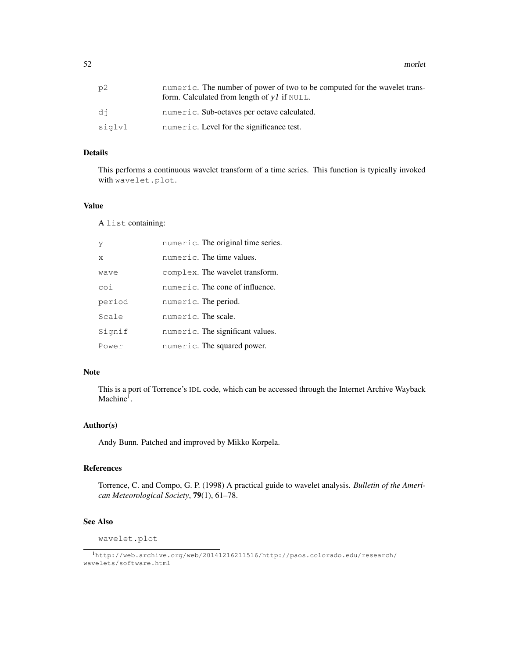52 morlet

| p2     | numeric. The number of power of two to be computed for the wavelet trans-<br>form. Calculated from length of $y1$ if NULL. |
|--------|----------------------------------------------------------------------------------------------------------------------------|
| di     | numeric. Sub-octaves per octave calculated.                                                                                |
| siglvl | numeric. Level for the significance test.                                                                                  |

#### Details

This performs a continuous wavelet transform of a time series. This function is typically invoked with wavelet.plot.

## Value

A list containing:

| У            | numeric. The original time series. |
|--------------|------------------------------------|
| $\mathsf{x}$ | numeric. The time values.          |
| wave         | complex. The wavelet transform.    |
| coi          | numeric. The cone of influence.    |
| period       | numeric. The period.               |
| Scale        | numeric. The scale.                |
| Signif       | numeric. The significant values.   |
| Power        | numeric. The squared power.        |

# Note

This is a port of Torrence's IDL code, which can be accessed through the Internet Archive Wayback Machine<sup>1</sup>.

## Author(s)

Andy Bunn. Patched and improved by Mikko Korpela.

## References

Torrence, C. and Compo, G. P. (1998) A practical guide to wavelet analysis. *Bulletin of the American Meteorological Society*, 79(1), 61–78.

# See Also

wavelet.plot

<sup>1</sup>http://web.archive.org/web/20141216211516/http://paos.colorado.edu/research/ wavelets/software.html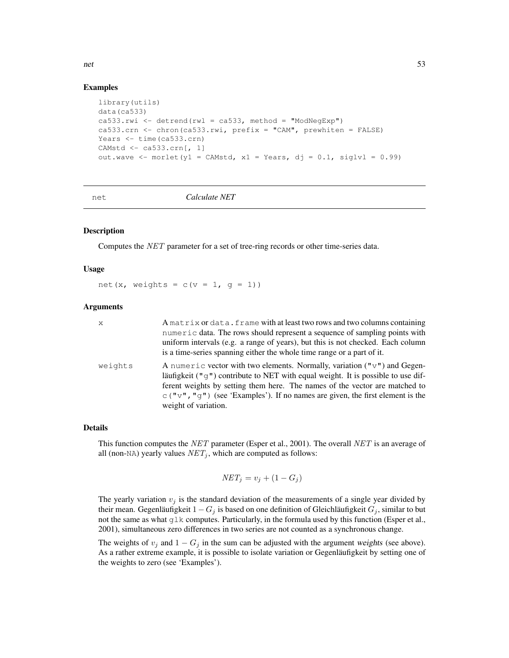# Examples

```
library(utils)
data(ca533)
ca533.rwi \leftarrow detrend(rwl = ca533, method = "ModNeqExp")ca533.crn <- chron(ca533.rwi, prefix = "CAM", prewhiten = FALSE)
Years <- time(ca533.crn)
CAMstd <- ca533.crn[, 1]
out.wave \leq morlet(y1 = CAMstd, x1 = Years, dj = 0.1, siglv1 = 0.99)
```
#### net *Calculate NET*

## Description

Computes the NET parameter for a set of tree-ring records or other time-series data.

#### Usage

net(x, weights =  $c(v = 1, g = 1)$ )

#### **Arguments**

| X       | A matrix or data. frame with at least two rows and two columns containing<br>numeric data. The rows should represent a sequence of sampling points with<br>uniform intervals (e.g. a range of years), but this is not checked. Each column<br>is a time-series spanning either the whole time range or a part of it.                                                                           |
|---------|------------------------------------------------------------------------------------------------------------------------------------------------------------------------------------------------------------------------------------------------------------------------------------------------------------------------------------------------------------------------------------------------|
| weights | A numeric vector with two elements. Normally, variation $(\mathbb{T} \vee \mathbb{T})$ and Gegen-<br>läufigkeit ( $\pi q \pi$ ) contribute to NET with equal weight. It is possible to use dif-<br>ferent weights by setting them here. The names of the vector are matched to<br>$\circ$ ("v", "q") (see 'Examples'). If no names are given, the first element is the<br>weight of variation. |

#### Details

This function computes the NET parameter (Esper et al., 2001). The overall NET is an average of all (non-NA) yearly values  $NET_j$ , which are computed as follows:

$$
NET_j = v_j + (1 - G_j)
$$

The yearly variation  $v_j$  is the standard deviation of the measurements of a single year divided by their mean. Gegenläufigkeit  $1 - G_j$  is based on one definition of Gleichläufigkeit  $G_j$ , similar to but not the same as what glk computes. Particularly, in the formula used by this function (Esper et al., 2001), simultaneous zero differences in two series are not counted as a synchronous change.

The weights of  $v_j$  and  $1 - G_j$  in the sum can be adjusted with the argument weights (see above). As a rather extreme example, it is possible to isolate variation or Gegenläufigkeit by setting one of the weights to zero (see 'Examples').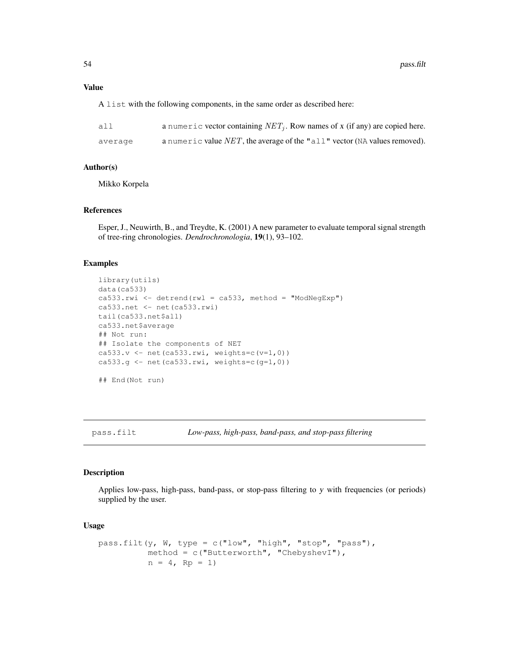## Value

A list with the following components, in the same order as described here:

| all     | a numeric vector containing $NETi$ . Row names of x (if any) are copied here. |
|---------|-------------------------------------------------------------------------------|
| average | a numeric value $NET$ , the average of the "all" vector (NA values removed).  |

## Author(s)

Mikko Korpela

# References

Esper, J., Neuwirth, B., and Treydte, K. (2001) A new parameter to evaluate temporal signal strength of tree-ring chronologies. *Dendrochronologia*, 19(1), 93–102.

## Examples

```
library(utils)
data(ca533)
ca533.rwi <- detrend(rwl = ca533, method = "ModNeqExp")
ca533.net <- net(ca533.rwi)
tail(ca533.net$all)
ca533.net$average
## Not run:
## Isolate the components of NET
ca533.v \leftarrow net(ca533.rwi, weights=c(v=1,0))ca533.g \leftarrow net(ca533.rwi, weights=c(q=1,0))
## End(Not run)
```
pass.filt *Low-pass, high-pass, band-pass, and stop-pass filtering*

#### Description

Applies low-pass, high-pass, band-pass, or stop-pass filtering to y with frequencies (or periods) supplied by the user.

#### Usage

```
pass.filt(y, W, type = c("low", "high", "stop", "pass"),
          method = c("Butterworth", "ChebyshevI"),
         n = 4, Rp = 1)
```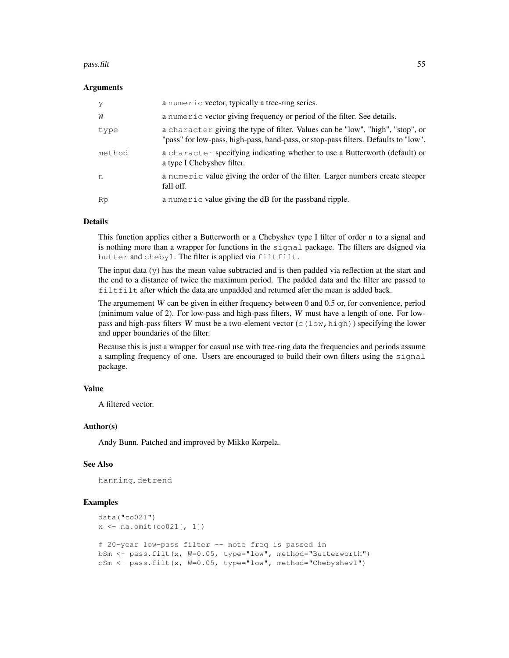#### pass.filt 55

#### Arguments

| V      | a numeric vector, typically a tree-ring series.                                                                                                                       |
|--------|-----------------------------------------------------------------------------------------------------------------------------------------------------------------------|
| W      | a numeric vector giving frequency or period of the filter. See details.                                                                                               |
| type   | a character giving the type of filter. Values can be "low", "high", "stop", or<br>"pass" for low-pass, high-pass, band-pass, or stop-pass filters. Defaults to "low". |
| method | a character specifying indicating whether to use a Butterworth (default) or<br>a type I Chebyshev filter.                                                             |
| n      | a numeric value giving the order of the filter. Larger numbers create steeper<br>fall off.                                                                            |
| Rp     | a numeric value giving the dB for the passband ripple.                                                                                                                |

## Details

This function applies either a Butterworth or a Chebyshev type I filter of order  $n$  to a signal and is nothing more than a wrapper for functions in the signal package. The filters are dsigned via butter and cheby1. The filter is applied via filtfilt.

The input data  $(y)$  has the mean value subtracted and is then padded via reflection at the start and the end to a distance of twice the maximum period. The padded data and the filter are passed to filtfilt after which the data are unpadded and returned afer the mean is added back.

The argumement  $W$  can be given in either frequency between 0 and 0.5 or, for convenience, period (minimum value of 2). For low-pass and high-pass filters,  $W$  must have a length of one. For lowpass and high-pass filters W must be a two-element vector ( $c(1ow,high)$ ) specifying the lower and upper boundaries of the filter.

Because this is just a wrapper for casual use with tree-ring data the frequencies and periods assume a sampling frequency of one. Users are encouraged to build their own filters using the signal package.

# Value

A filtered vector.

#### Author(s)

Andy Bunn. Patched and improved by Mikko Korpela.

## See Also

hanning, detrend

#### Examples

```
data("co021")
x \leftarrow na{\cdot\text{omit}(co021[, 1]})# 20-year low-pass filter -- note freq is passed in
bSm <- pass.filt(x, W=0.05, type="low", method="Butterworth")
cSm <- pass.filt(x, W=0.05, type="low", method="ChebyshevI")
```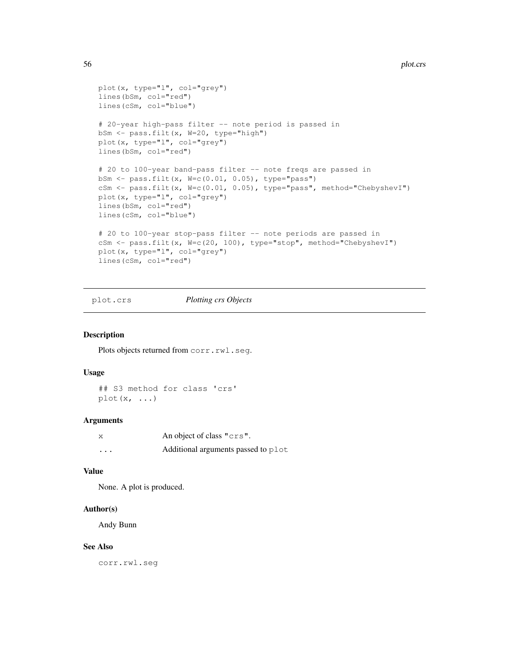```
plot(x, type="l", col="grey")
lines(bSm, col="red")
lines(cSm, col="blue")
# 20-year high-pass filter -- note period is passed in
bSm <- pass.filt(x, W=20, type="high")
plot(x, type="l", col="grey")
lines(bSm, col="red")
# 20 to 100-year band-pass filter -- note freqs are passed in
bSm <- pass.filt(x, W=c(0.01, 0.05), type="pass")
cSm <- pass.filt(x, W=c(0.01, 0.05), type="pass", method="ChebyshevI")
plot(x, type="l", col="grey")
lines(bSm, col="red")
lines(cSm, col="blue")
# 20 to 100-year stop-pass filter -- note periods are passed in
cSm <- pass.filt(x, W=c(20, 100), type="stop", method="ChebyshevI")
plot(x, type="l", col="grey")
lines(cSm, col="red")
```
## plot.crs *Plotting crs Objects*

#### Description

Plots objects returned from corr.rwl.seg.

## Usage

## S3 method for class 'crs'  $plot(x, \ldots)$ 

#### Arguments

| X        | An object of class "crs".           |
|----------|-------------------------------------|
| $\cdots$ | Additional arguments passed to plot |

#### Value

None. A plot is produced.

#### Author(s)

Andy Bunn

## See Also

corr.rwl.seg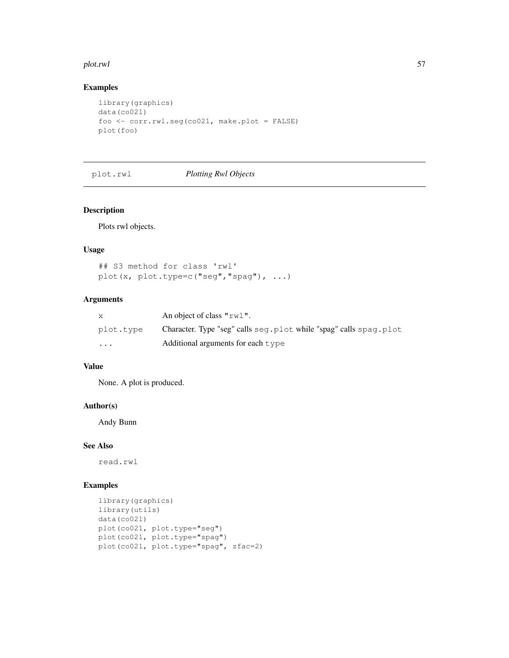#### plot.rwl 57

# Examples

```
library(graphics)
data(co021)
foo <- corr.rwl.seg(co021, make.plot = FALSE)
plot(foo)
```
plot.rwl *Plotting Rwl Objects*

# Description

Plots rwl objects.

## Usage

```
## S3 method for class 'rwl'
plot(x, plot.type=c("seg","spag"), ...)
```
# Arguments

| X         | An object of class " $rw1$ ".                                       |
|-----------|---------------------------------------------------------------------|
| plot.type | Character. Type "seg" calls seg. plot while "spag" calls spag. plot |
| $\cdot$   | Additional arguments for each $t$ vpe                               |

# Value

None. A plot is produced.

# Author(s)

Andy Bunn

## See Also

read.rwl

# Examples

```
library(graphics)
library(utils)
data(co021)
plot(co021, plot.type="seg")
plot(co021, plot.type="spag")
plot(co021, plot.type="spag", zfac=2)
```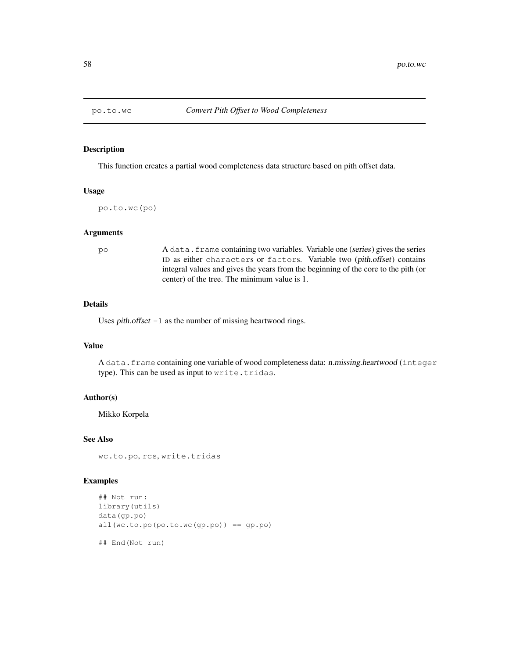### Description

This function creates a partial wood completeness data structure based on pith offset data.

# Usage

po.to.wc(po)

# Arguments

po A data.frame containing two variables. Variable one (series) gives the series ID as either characters or factors. Variable two (pith.offset) contains integral values and gives the years from the beginning of the core to the pith (or center) of the tree. The minimum value is 1.

# Details

Uses *pith.offset*  $-1$  as the number of missing heartwood rings.

#### Value

A data.frame containing one variable of wood completeness data: n.missing.heartwood (integer type). This can be used as input to write.tridas.

# Author(s)

Mikko Korpela

## See Also

wc.to.po, rcs, write.tridas

# Examples

```
## Not run:
library(utils)
data(gp.po)
all(wc.to.po(po.to.wc(gp.po)) == gp.po)
## End(Not run)
```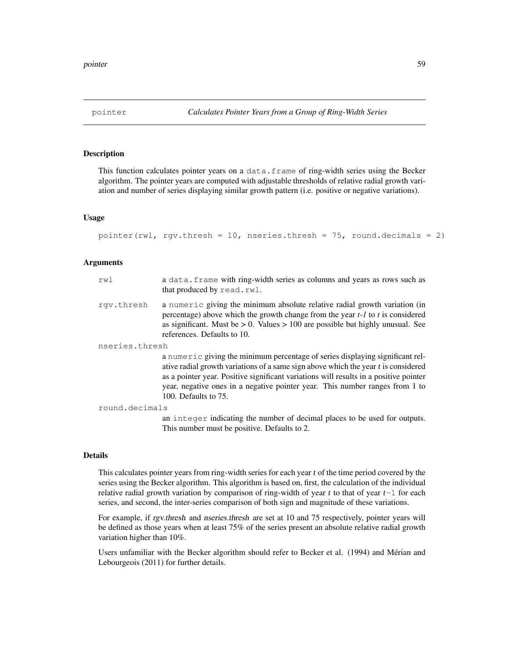## Description

This function calculates pointer years on a data.frame of ring-width series using the Becker algorithm. The pointer years are computed with adjustable thresholds of relative radial growth variation and number of series displaying similar growth pattern (i.e. positive or negative variations).

## Usage

```
pointer(rwl, rgv.thresh = 10, nseries.thresh = 75, round.decimals = 2)
```
#### Arguments

| rwl            | a data. frame with ring-width series as columns and years as rows such as<br>that produced by read.rwl.                                                                                                                                                                                                                                                              |
|----------------|----------------------------------------------------------------------------------------------------------------------------------------------------------------------------------------------------------------------------------------------------------------------------------------------------------------------------------------------------------------------|
| rqv.thresh     | a numeric giving the minimum absolute relative radial growth variation (in<br>percentage) above which the growth change from the year $t-1$ to $t$ is considered<br>as significant. Must be $> 0$ . Values $> 100$ are possible but highly unusual. See<br>references. Defaults to 10.                                                                               |
| nseries.thresh |                                                                                                                                                                                                                                                                                                                                                                      |
|                | a numeric giving the minimum percentage of series displaying significant rel-<br>ative radial growth variations of a same sign above which the year t is considered<br>as a pointer year. Positive significant variations will results in a positive pointer<br>year, negative ones in a negative pointer year. This number ranges from 1 to<br>100. Defaults to 75. |
| round.decimals |                                                                                                                                                                                                                                                                                                                                                                      |
|                | an integer indicating the number of decimal places to be used for outputs.<br>This number must be positive. Defaults to 2.                                                                                                                                                                                                                                           |

## Details

This calculates pointer years from ring-width series for each year t of the time period covered by the series using the Becker algorithm. This algorithm is based on, first, the calculation of the individual relative radial growth variation by comparison of ring-width of year t to that of year  $t-1$  for each series, and second, the inter-series comparison of both sign and magnitude of these variations.

For example, if rgv.thresh and nseries.thresh are set at 10 and 75 respectively, pointer years will be defined as those years when at least 75% of the series present an absolute relative radial growth variation higher than 10%.

Users unfamiliar with the Becker algorithm should refer to Becker et al. (1994) and Mérian and Lebourgeois (2011) for further details.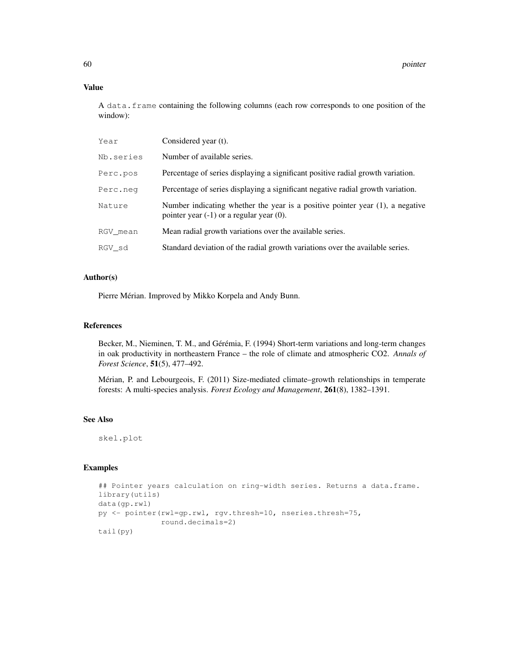# Value

A data.frame containing the following columns (each row corresponds to one position of the window):

| Year      | Considered year (t).                                                                                                           |
|-----------|--------------------------------------------------------------------------------------------------------------------------------|
| Nb.series | Number of available series.                                                                                                    |
| Perc.pos  | Percentage of series displaying a significant positive radial growth variation.                                                |
| Perc.neq  | Percentage of series displaying a significant negative radial growth variation.                                                |
| Nature    | Number indicating whether the year is a positive pointer year (1), a negative<br>pointer year $(-1)$ or a regular year $(0)$ . |
| RGV mean  | Mean radial growth variations over the available series.                                                                       |
| RGV sd    | Standard deviation of the radial growth variations over the available series.                                                  |

# Author(s)

Pierre Mérian. Improved by Mikko Korpela and Andy Bunn.

# References

Becker, M., Nieminen, T. M., and Gérémia, F. (1994) Short-term variations and long-term changes in oak productivity in northeastern France – the role of climate and atmospheric CO2. *Annals of Forest Science*, 51(5), 477–492.

Mérian, P. and Lebourgeois, F. (2011) Size-mediated climate–growth relationships in temperate forests: A multi-species analysis. *Forest Ecology and Management*, 261(8), 1382–1391.

# See Also

skel.plot

# Examples

```
## Pointer years calculation on ring-width series. Returns a data.frame.
library(utils)
data(gp.rwl)
py <- pointer(rwl=gp.rwl, rgv.thresh=10, nseries.thresh=75,
              round.decimals=2)
tail(py)
```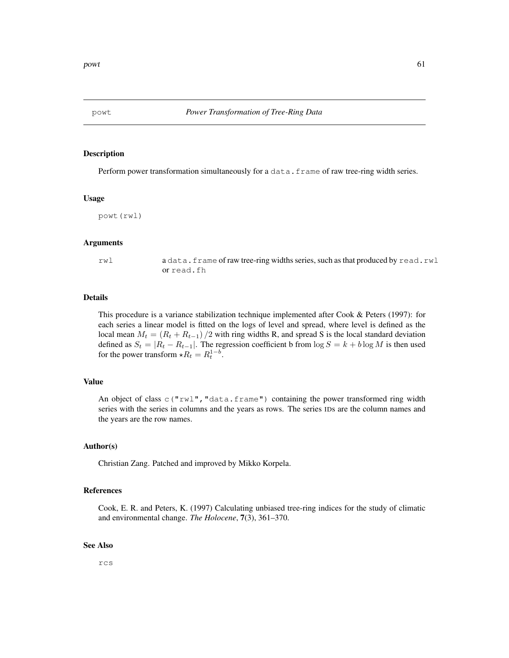## Description

Perform power transformation simultaneously for a data.frame of raw tree-ring width series.

#### Usage

powt(rwl)

## Arguments

rwl a data.frame of raw tree-ring widths series, such as that produced by read.rwl or read.fh

# Details

This procedure is a variance stabilization technique implemented after Cook & Peters (1997): for each series a linear model is fitted on the logs of level and spread, where level is defined as the local mean  $M_t = (R_t + R_{t-1})/2$  with ring widths R, and spread S is the local standard deviation defined as  $S_t = |R_t - R_{t-1}|$ . The regression coefficient b from  $\log S = k + b \log M$  is then used for the power transform  $\star R_t = R_t^{1-b}$ .

## Value

An object of class  $c("rwl", "data.fname")$  containing the power transformed ring width series with the series in columns and the years as rows. The series IDs are the column names and the years are the row names.

## Author(s)

Christian Zang. Patched and improved by Mikko Korpela.

## References

Cook, E. R. and Peters, K. (1997) Calculating unbiased tree-ring indices for the study of climatic and environmental change. *The Holocene*, 7(3), 361–370.

#### See Also

rcs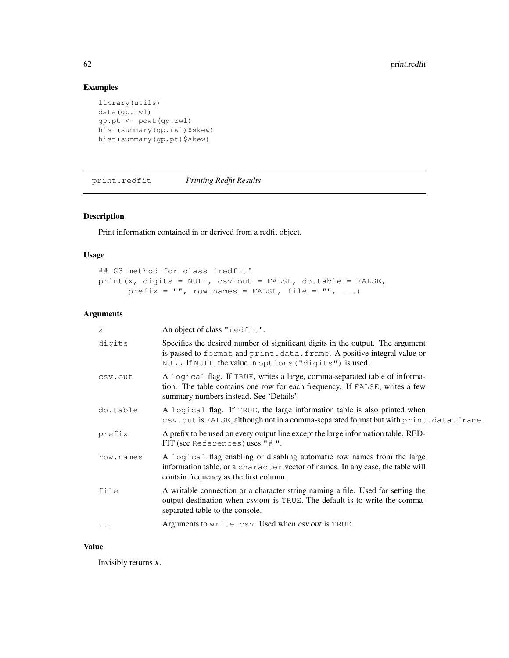# Examples

```
library(utils)
data(gp.rwl)
gp.pt <- powt(gp.rwl)
hist(summary(gp.rwl)$skew)
hist(summary(gp.pt)$skew)
```
print.redfit *Printing Redfit Results*

# Description

Print information contained in or derived from a redfit object.

## Usage

```
## S3 method for class 'redfit'
print(x, digits = NULL, csv.out = FALSE, do.table = FALSE,
     prefix = "", row.names = FALSE, file = "", ...)
```
# Arguments

| X         | An object of class "redfit".                                                                                                                                                                                        |
|-----------|---------------------------------------------------------------------------------------------------------------------------------------------------------------------------------------------------------------------|
| digits    | Specifies the desired number of significant digits in the output. The argument<br>is passed to format and print.data.frame. A positive integral value or<br>NULL. If NULL, the value in options ("digits") is used. |
| csv.out   | A logical flag. If TRUE, writes a large, comma-separated table of informa-<br>tion. The table contains one row for each frequency. If FALSE, writes a few<br>summary numbers instead. See 'Details'.                |
| do.table  | A logical flag. If TRUE, the large information table is also printed when<br>csv.out is FALSE, although not in a comma-separated format but with print.data.frame.                                                  |
| prefix    | A prefix to be used on every output line except the large information table. RED-<br>FIT (see References) uses $"$ $# "$ .                                                                                          |
| row.names | A logical flag enabling or disabling automatic row names from the large<br>information table, or a character vector of names. In any case, the table will<br>contain frequency as the first column.                 |
| file      | A writable connection or a character string naming a file. Used for setting the<br>output destination when <i>csv.out</i> is TRUE. The default is to write the comma-<br>separated table to the console.            |
|           | Arguments to write.csv. Used when csv.out is TRUE.                                                                                                                                                                  |

## Value

Invisibly returns x.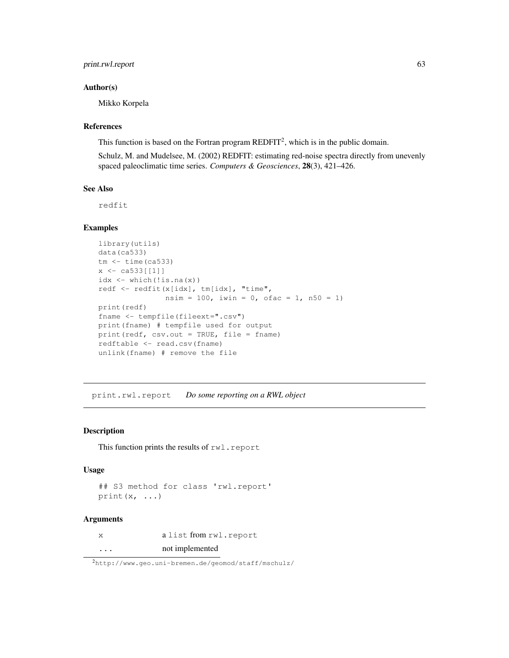# print.rwl.report 63

## Author(s)

Mikko Korpela

## References

This function is based on the Fortran program  $REDFIT<sup>2</sup>$ , which is in the public domain.

Schulz, M. and Mudelsee, M. (2002) REDFIT: estimating red-noise spectra directly from unevenly spaced paleoclimatic time series. *Computers & Geosciences*, 28(3), 421–426.

# See Also

redfit

# Examples

```
library(utils)
data(ca533)
tm < - time(ca533)x \leftarrow ca533[[1]]idx \leftarrow which(!is.na(x))redf <- redfit(x[idx], tm[idx], "time",
                nsim = 100, iwin = 0, ofac = 1, n50 = 1)
print(redf)
fname <- tempfile(fileext=".csv")
print(fname) # tempfile used for output
print(redf, csv.out = TRUE, file = fname)
redftable <- read.csv(fname)
unlink(fname) # remove the file
```
print.rwl.report *Do some reporting on a RWL object*

## Description

This function prints the results of rwl.report

## Usage

```
## S3 method for class 'rwl.report'
print(x, \ldots)
```
#### Arguments

x a list from rwl.report ... not implemented

<sup>2</sup>http://www.geo.uni-bremen.de/geomod/staff/mschulz/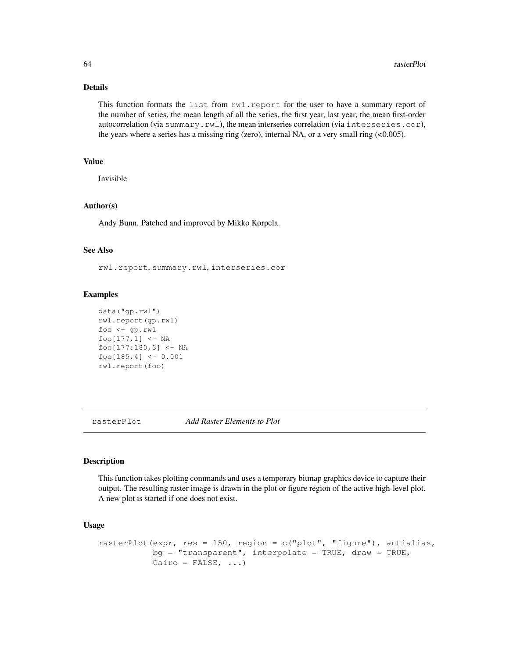# Details

This function formats the list from rwl.report for the user to have a summary report of the number of series, the mean length of all the series, the first year, last year, the mean first-order autocorrelation (via summary.rwl), the mean interseries correlation (via interseries.cor), the years where a series has a missing ring (zero), internal NA, or a very small ring  $( $0.005$ ).$ 

# Value

Invisible

## Author(s)

Andy Bunn. Patched and improved by Mikko Korpela.

## See Also

rwl.report, summary.rwl, interseries.cor

#### Examples

```
data("gp.rwl")
rwl.report(gp.rwl)
foo <- gp.rwl
foo[177,1] <- NA
foo[177:180,3] <- NA
foo[185,4] <- 0.001
rwl.report(foo)
```
rasterPlot *Add Raster Elements to Plot*

# Description

This function takes plotting commands and uses a temporary bitmap graphics device to capture their output. The resulting raster image is drawn in the plot or figure region of the active high-level plot. A new plot is started if one does not exist.

## Usage

```
rasterPlot(expr, res = 150, region = c("plot", "figure"), antialias,bg = "transparent", interpolate = TRUE, draw = TRUE,
          Cairo = FALSE, ...)
```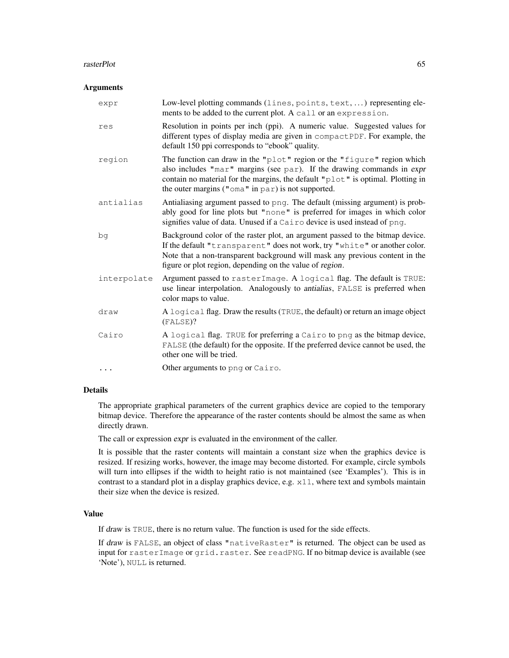#### rasterPlot 65

#### **Arguments**

| expr        | Low-level plotting commands (lines, points, text, ) representing ele-<br>ments to be added to the current plot. A call or an expression.                                                                                                                                                               |
|-------------|--------------------------------------------------------------------------------------------------------------------------------------------------------------------------------------------------------------------------------------------------------------------------------------------------------|
| res         | Resolution in points per inch (ppi). A numeric value. Suggested values for<br>different types of display media are given in compactPDF. For example, the<br>default 150 ppi corresponds to "ebook" quality.                                                                                            |
| region      | The function can draw in the "plot" region or the "figure" region which<br>also includes "mar" margins (see par). If the drawing commands in expr<br>contain no material for the margins, the default " $p$ lot" is optimal. Plotting in<br>the outer margins (" $\circ$ ma" in par) is not supported. |
| antialias   | Antialiasing argument passed to png. The default (missing argument) is prob-<br>ably good for line plots but "none" is preferred for images in which color<br>signifies value of data. Unused if a Cairo device is used instead of png.                                                                |
| bg          | Background color of the raster plot, an argument passed to the bitmap device.<br>If the default "transparent" does not work, try "white" or another color.<br>Note that a non-transparent background will mask any previous content in the<br>figure or plot region, depending on the value of region. |
| interpolate | Argument passed to rasterImage. A logical flag. The default is TRUE:<br>use linear interpolation. Analogously to antialias, FALSE is preferred when<br>color maps to value.                                                                                                                            |
| draw        | A logical flag. Draw the results (TRUE, the default) or return an image object<br>(FALSE)?                                                                                                                                                                                                             |
| Cairo       | A logical flag. TRUE for preferring a Cairo to png as the bitmap device,<br>FALSE (the default) for the opposite. If the preferred device cannot be used, the<br>other one will be tried.                                                                                                              |
|             | Other arguments to png or Cairo.                                                                                                                                                                                                                                                                       |

# Details

The appropriate graphical parameters of the current graphics device are copied to the temporary bitmap device. Therefore the appearance of the raster contents should be almost the same as when directly drawn.

The call or expression expr is evaluated in the environment of the caller.

It is possible that the raster contents will maintain a constant size when the graphics device is resized. If resizing works, however, the image may become distorted. For example, circle symbols will turn into ellipses if the width to height ratio is not maintained (see 'Examples'). This is in contrast to a standard plot in a display graphics device, e.g. x11, where text and symbols maintain their size when the device is resized.

## Value

If draw is TRUE, there is no return value. The function is used for the side effects.

If draw is FALSE, an object of class "nativeRaster" is returned. The object can be used as input for rasterImage or grid.raster. See readPNG. If no bitmap device is available (see 'Note'), NULL is returned.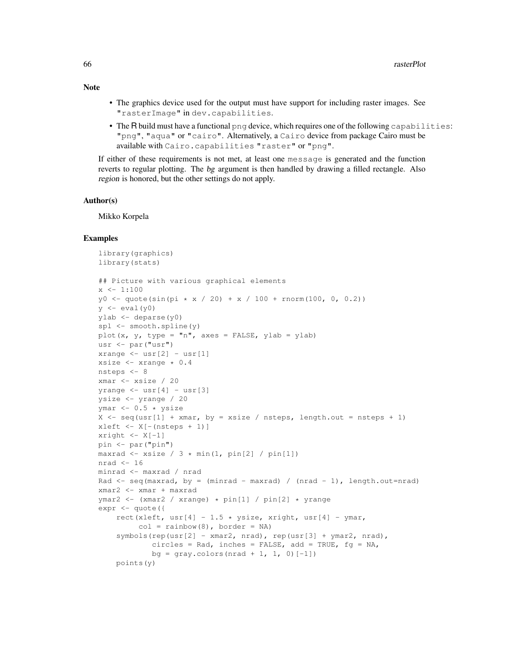- The graphics device used for the output must have support for including raster images. See "rasterImage" in dev.capabilities.
- The R build must have a functional png device, which requires one of the following capabilities: "png", "aqua" or "cairo". Alternatively, a Cairo device from package Cairo must be available with Cairo.capabilities "raster" or "png".

If either of these requirements is not met, at least one message is generated and the function reverts to regular plotting. The bg argument is then handled by drawing a filled rectangle. Also region is honored, but the other settings do not apply.

#### Author(s)

Mikko Korpela

## Examples

```
library(graphics)
library(stats)
## Picture with various graphical elements
x \leftarrow 1:100y0 \leq - quote(sin(pi * x / 20) + x / 100 + rnorm(100, 0, 0.2))
y \leftarrow \text{eval}(y0)ylab <- deparse(y0)
spl <- smooth.spline(y)
plot(x, y, type = "n", axes = FALSE, ylab = ylab)
usr <- par("usr")
xrange \leftarrow usr[2] - usr[1]
xsize <- xrange * 0.4
nsteps <- 8
xmar <- xsize / 20
yrange \leq - usr[4] - usr[3]
ysize <- yrange / 20
ymar <-0.5 * ysize
X \leftarrow \text{seq}(\text{usr}[1] + \text{xmar}, \text{ by } = \text{xsize} / \text{nsteps}, \text{length.out } = \text{nsteps } + 1)xleft \arrow X[-(\text{nsteps} + 1)]xright < - X[-1]pin <- par("pin")
maxrad \le xsize / 3 \star min(1, pin[2] / pin[1])
nrad <-16minrad <- maxrad / nrad
Rad \le seq(maxrad, by = (minrad - maxrad) / (nrad - 1), length.out=nrad)
xmar2 <- xmar + maxrad
ymar2 <- (xmar2 / xrange) * pin[1] / pin[2] * yrange
expr <- quote({
    rect(xleft, usr[4] - 1.5 * ysize, xright, usr[4] - ymar,
          col = rainbow(8), border = NA)
    symbols(rep(usr[2] - xmar2, nrad), rep(usr[3] + ymar2, nrad),
             circles = Rad, inches = FALSE, add = TRUE, fg = NA,
             bg = gray.colors(nrad + 1, 1, 0)[-1])
    points(y)
```
# Note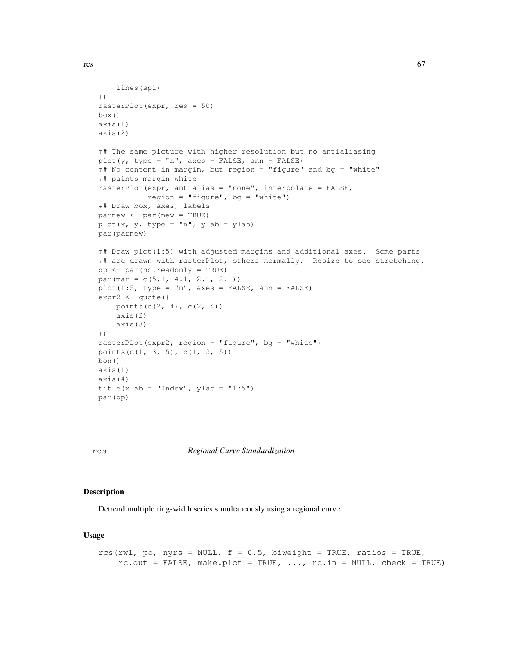```
lines(spl)
})
rasterPlot(expr, res = 50)
box()
axis(1)
axis(2)
## The same picture with higher resolution but no antialiasing
plot(y, type = "n", axes = FALSE, ann = FALSE)
## No content in margin, but region = "figure" and bg = "white"
## paints margin white
rasterPlot(expr, antialias = "none", interpolate = FALSE,
           region = "figure", bg = "white")
## Draw box, axes, labels
parnew <- par(new = TRUE)
plot(x, y, type = "n", ylab = ylab)
par(parnew)
## Draw plot(1:5) with adjusted margins and additional axes. Some parts
## are drawn with rasterPlot, others normally. Resize to see stretching.
op <- par(no.readonly = TRUE)
par(mar = c(5.1, 4.1, 2.1, 2.1))
plot(1:5, type = "n", axes = FALSE, ann = FALSE)
expr2 <- quote({
    points(c(2, 4), c(2, 4))
    axis(2)
    axis(3)
})
rasterPlot(expr2, region = "figure", bg = "white")
points(c(1, 3, 5), c(1, 3, 5))
box()
axis(1)
axis(4)
title(xlab = "Index", ylab = "1:5")
par(op)
```
rcs *Regional Curve Standardization*

#### Description

Detrend multiple ring-width series simultaneously using a regional curve.

## Usage

```
rcs(rwl, po, nyrs = NULL, f = 0.5, biweight = TRUE, ratios = TRUE,
   rc.out = FALSE, make.plot = TRUE, ..., rc.in = NULL, check = TRUE)
```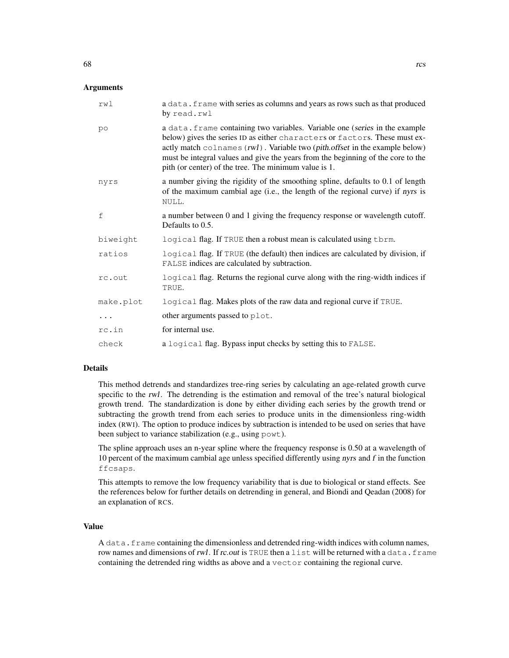| rwl          | a data. frame with series as columns and years as rows such as that produced<br>by read.rwl                                                                                                                                                                                                                                                                                                            |
|--------------|--------------------------------------------------------------------------------------------------------------------------------------------------------------------------------------------------------------------------------------------------------------------------------------------------------------------------------------------------------------------------------------------------------|
| po           | a data. frame containing two variables. Variable one (series in the example<br>below) gives the series ID as either characters or factors. These must ex-<br>actly match $\text{colnames}(rwl)$ . Variable two ( <i>pith.offset</i> in the example below)<br>must be integral values and give the years from the beginning of the core to the<br>pith (or center) of the tree. The minimum value is 1. |
| nyrs         | a number giving the rigidity of the smoothing spline, defaults to 0.1 of length<br>of the maximum cambial age (i.e., the length of the regional curve) if nyrs is<br>NULL.                                                                                                                                                                                                                             |
| $\mathsf{f}$ | a number between 0 and 1 giving the frequency response or wavelength cutoff.<br>Defaults to 0.5.                                                                                                                                                                                                                                                                                                       |
| biweight     | logical flag. If TRUE then a robust mean is calculated using thrm.                                                                                                                                                                                                                                                                                                                                     |
| ratios       | logical flag. If TRUE (the default) then indices are calculated by division, if<br>FALSE indices are calculated by subtraction.                                                                                                                                                                                                                                                                        |
| rc.out       | logical flag. Returns the regional curve along with the ring-width indices if<br>TRUE.                                                                                                                                                                                                                                                                                                                 |
| make.plot    | logical flag. Makes plots of the raw data and regional curve if TRUE.                                                                                                                                                                                                                                                                                                                                  |
| .            | other arguments passed to plot.                                                                                                                                                                                                                                                                                                                                                                        |
| rc.in        | for internal use.                                                                                                                                                                                                                                                                                                                                                                                      |
| check        | a logical flag. Bypass input checks by setting this to FALSE.                                                                                                                                                                                                                                                                                                                                          |

#### Details

This method detrends and standardizes tree-ring series by calculating an age-related growth curve specific to the rwl. The detrending is the estimation and removal of the tree's natural biological growth trend. The standardization is done by either dividing each series by the growth trend or subtracting the growth trend from each series to produce units in the dimensionless ring-width index (RWI). The option to produce indices by subtraction is intended to be used on series that have been subject to variance stabilization (e.g., using powt).

The spline approach uses an n-year spline where the frequency response is 0.50 at a wavelength of 10 percent of the maximum cambial age unless specified differently using nyrs and  $f$  in the function ffcsaps.

This attempts to remove the low frequency variability that is due to biological or stand effects. See the references below for further details on detrending in general, and Biondi and Qeadan (2008) for an explanation of RCS.

## Value

A data.frame containing the dimensionless and detrended ring-width indices with column names, row names and dimensions of rwl. If rc.out is TRUE then a list will be returned with a data.frame containing the detrended ring widths as above and a vector containing the regional curve.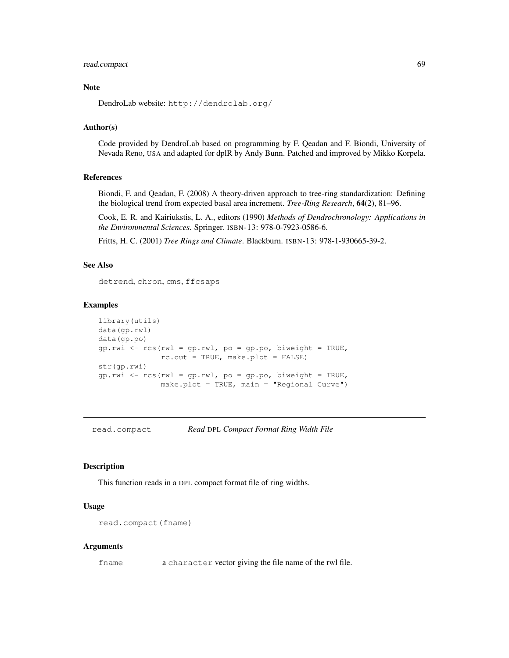## read.compact 69

# Note

DendroLab website: http://dendrolab.org/

# Author(s)

Code provided by DendroLab based on programming by F. Qeadan and F. Biondi, University of Nevada Reno, USA and adapted for dplR by Andy Bunn. Patched and improved by Mikko Korpela.

#### References

Biondi, F. and Qeadan, F. (2008) A theory-driven approach to tree-ring standardization: Defining the biological trend from expected basal area increment. *Tree-Ring Research*, 64(2), 81–96.

Cook, E. R. and Kairiukstis, L. A., editors (1990) *Methods of Dendrochronology: Applications in the Environmental Sciences*. Springer. ISBN-13: 978-0-7923-0586-6.

Fritts, H. C. (2001) *Tree Rings and Climate*. Blackburn. ISBN-13: 978-1-930665-39-2.

## See Also

detrend, chron, cms, ffcsaps

#### Examples

```
library(utils)
data(gp.rwl)
data(gp.po)
gp.rwi \leftarrow rcs(rwl = gp.rwl, po = gp.po, biweight = TRUE,rc.out = TRUE, make.plot = FALSE)
str(gp.rwi)
gp.rwi \leftarrow rcs(rwl = gp.rwl, po = gp.po, biweight = TRUE,make.plot = TRUE, main = "Regional Curve")
```
read.compact *Read* DPL *Compact Format Ring Width File*

#### Description

This function reads in a DPL compact format file of ring widths.

## Usage

```
read.compact(fname)
```
## Arguments

fname a character vector giving the file name of the rwl file.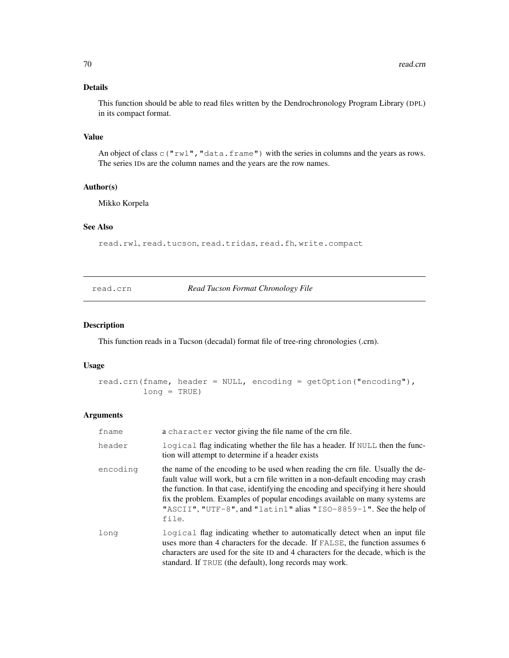# Details

This function should be able to read files written by the Dendrochronology Program Library (DPL) in its compact format.

## Value

An object of class  $\subset$  ("rwl", "data.frame") with the series in columns and the years as rows. The series IDs are the column names and the years are the row names.

# Author(s)

Mikko Korpela

# See Also

read.rwl, read.tucson, read.tridas, read.fh, write.compact

read.crn *Read Tucson Format Chronology File*

## Description

This function reads in a Tucson (decadal) format file of tree-ring chronologies (.crn).

# Usage

```
read.crn(fname, header = NULL, encoding = getOption("encoding"),
        long = TRUE)
```
# Arguments

| fname    | a character vector giving the file name of the crn file.                                                                                                                                                                                                                                                                                                                                                                 |
|----------|--------------------------------------------------------------------------------------------------------------------------------------------------------------------------------------------------------------------------------------------------------------------------------------------------------------------------------------------------------------------------------------------------------------------------|
| header   | logical flag indicating whether the file has a header. If NULL then the func-<br>tion will attempt to determine if a header exists                                                                                                                                                                                                                                                                                       |
| encoding | the name of the encoding to be used when reading the crn file. Usually the de-<br>fault value will work, but a crn file written in a non-default encoding may crash<br>the function. In that case, identifying the encoding and specifying it here should<br>fix the problem. Examples of popular encodings available on many systems are<br>"ASCII", "UTF-8", and "latin1" alias "ISO-8859-1". See the help of<br>file. |
| long     | logical flag indicating whether to automatically detect when an input file<br>uses more than 4 characters for the decade. If FALSE, the function assumes 6<br>characters are used for the site ID and 4 characters for the decade, which is the<br>standard. If TRUE (the default), long records may work.                                                                                                               |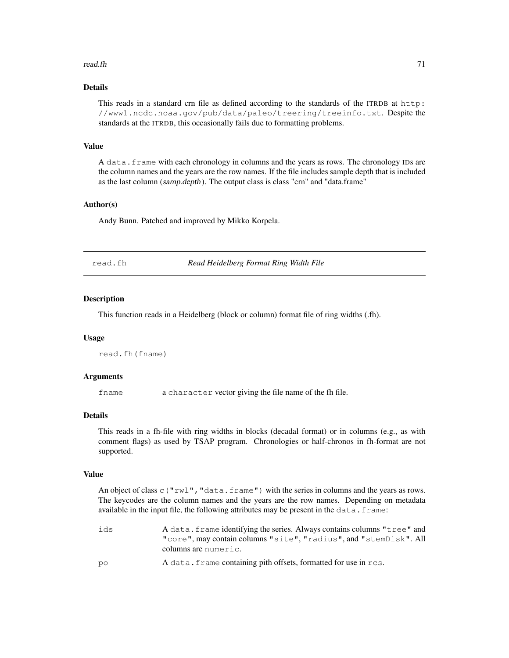#### read.fh 71

# Details

This reads in a standard crn file as defined according to the standards of the ITRDB at http: //www1.ncdc.noaa.gov/pub/data/paleo/treering/treeinfo.txt. Despite the standards at the ITRDB, this occasionally fails due to formatting problems.

# Value

A data.frame with each chronology in columns and the years as rows. The chronology IDs are the column names and the years are the row names. If the file includes sample depth that is included as the last column (samp.depth). The output class is class "crn" and "data.frame"

# Author(s)

Andy Bunn. Patched and improved by Mikko Korpela.

| Read Heidelberg Format Ring Width File<br>read.fh |
|---------------------------------------------------|
|---------------------------------------------------|

#### Description

This function reads in a Heidelberg (block or column) format file of ring widths (.fh).

#### Usage

```
read.fh(fname)
```
#### Arguments

fname a character vector giving the file name of the fh file.

# Details

This reads in a fh-file with ring widths in blocks (decadal format) or in columns (e.g., as with comment flags) as used by TSAP program. Chronologies or half-chronos in fh-format are not supported.

#### Value

An object of class  $\text{c}$  ("rwl", "data.frame") with the series in columns and the years as rows. The keycodes are the column names and the years are the row names. Depending on metadata available in the input file, the following attributes may be present in the data.frame:

ids A data.frame identifying the series. Always contains columns "tree" and "core", may contain columns "site", "radius", and "stemDisk". All columns are numeric. po A data.frame containing pith offsets, formatted for use in rcs.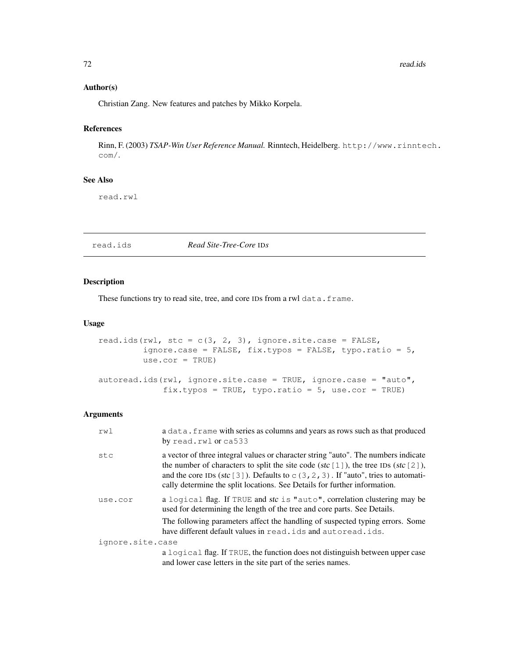## Author(s)

Christian Zang. New features and patches by Mikko Korpela.

# References

Rinn, F. (2003) *TSAP-Win User Reference Manual.* Rinntech, Heidelberg. http://www.rinntech. com/.

## See Also

read.rwl

read.ids *Read Site-Tree-Core* ID*s*

# Description

These functions try to read site, tree, and core IDs from a rwl data.frame.

## Usage

```
read.ids(rwl, stc = c(3, 2, 3), ignore.site.case = FALSE,
         ignore.case = FALSE, fix.typos = FALSE, typo.ratio = 5,
         use.cor = TRUE)
autoread.ids(rwl, ignore.site.case = TRUE, ignore.case = "auto",
             fix.typos = TRUE, typo.ratio = 5, use.cor = TRUE)
```
#### Arguments

| rwl              | a data. frame with series as columns and years as rows such as that produced<br>by read.rwl or ca533                                                                                                                                                                                                                                                      |
|------------------|-----------------------------------------------------------------------------------------------------------------------------------------------------------------------------------------------------------------------------------------------------------------------------------------------------------------------------------------------------------|
| stc              | a vector of three integral values or character string "auto". The numbers indicate<br>the number of characters to split the site code (stc $[1]$ ), the tree IDs (stc $[2]$ ),<br>and the core IDs (stc [3]). Defaults to $\subset$ (3, 2, 3). If "auto", tries to automati-<br>cally determine the split locations. See Details for further information. |
| use.cor          | a logical flag. If TRUE and stc is "auto", correlation clustering may be<br>used for determining the length of the tree and core parts. See Details.                                                                                                                                                                                                      |
|                  | The following parameters affect the handling of suspected typing errors. Some<br>have different default values in read, ids and autoread, ids.                                                                                                                                                                                                            |
| ignore.site.case |                                                                                                                                                                                                                                                                                                                                                           |
|                  | a logical flag. If TRUE, the function does not distinguish between upper case<br>and lower case letters in the site part of the series names.                                                                                                                                                                                                             |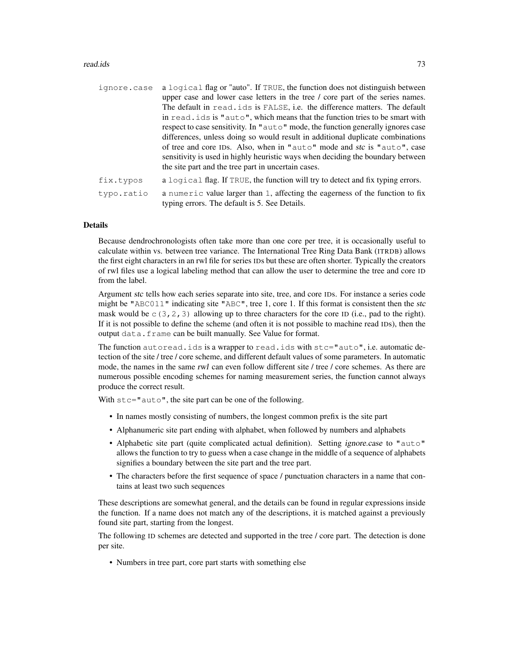#### read.ids **73**

| ignore.case | a logical flag or "auto". If TRUE, the function does not distinguish between                                                   |
|-------------|--------------------------------------------------------------------------------------------------------------------------------|
|             | upper case and lower case letters in the tree / core part of the series names.                                                 |
|             | The default in read, ids is FALSE, i.e. the difference matters. The default                                                    |
|             | in read, ids is " $\alpha$ uto", which means that the function tries to be smart with                                          |
|             | respect to case sensitivity. In "auto" mode, the function generally ignores case                                               |
|             | differences, unless doing so would result in additional duplicate combinations                                                 |
|             | of tree and core IDs. Also, when in "auto" mode and stc is "auto", case                                                        |
|             | sensitivity is used in highly heuristic ways when deciding the boundary between                                                |
|             | the site part and the tree part in uncertain cases.                                                                            |
| fix.typos   | a logical flag. If TRUE, the function will try to detect and fix typing errors.                                                |
| typo.ratio  | a numeric value larger than 1, affecting the eagerness of the function to fix<br>typing errors. The default is 5. See Details. |

#### Details

Because dendrochronologists often take more than one core per tree, it is occasionally useful to calculate within vs. between tree variance. The International Tree Ring Data Bank (ITRDB) allows the first eight characters in an rwl file for series IDs but these are often shorter. Typically the creators of rwl files use a logical labeling method that can allow the user to determine the tree and core ID from the label.

Argument stc tells how each series separate into site, tree, and core IDs. For instance a series code might be "ABC011" indicating site "ABC", tree 1, core 1. If this format is consistent then the stc mask would be  $\subset (3, 2, 3)$  allowing up to three characters for the core ID (i.e., pad to the right). If it is not possible to define the scheme (and often it is not possible to machine read IDs), then the output data.frame can be built manually. See Value for format.

The function autoread.ids is a wrapper to read.ids with stc="auto", i.e. automatic detection of the site / tree / core scheme, and different default values of some parameters. In automatic mode, the names in the same rwl can even follow different site / tree / core schemes. As there are numerous possible encoding schemes for naming measurement series, the function cannot always produce the correct result.

With  $\text{stc} = \text{"auto", the site part can be one of the following.}$ 

- In names mostly consisting of numbers, the longest common prefix is the site part
- Alphanumeric site part ending with alphabet, when followed by numbers and alphabets
- Alphabetic site part (quite complicated actual definition). Setting *ignore.case* to "auto" allows the function to try to guess when a case change in the middle of a sequence of alphabets signifies a boundary between the site part and the tree part.
- The characters before the first sequence of space / punctuation characters in a name that contains at least two such sequences

These descriptions are somewhat general, and the details can be found in regular expressions inside the function. If a name does not match any of the descriptions, it is matched against a previously found site part, starting from the longest.

The following ID schemes are detected and supported in the tree / core part. The detection is done per site.

• Numbers in tree part, core part starts with something else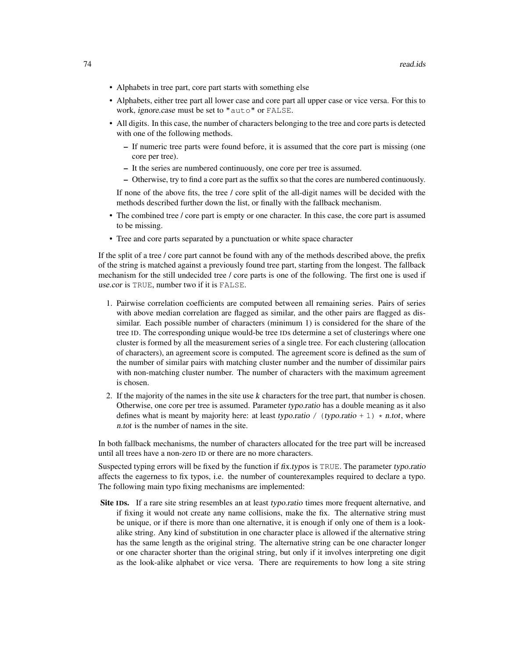- Alphabets in tree part, core part starts with something else
- Alphabets, either tree part all lower case and core part all upper case or vice versa. For this to work, ignore.case must be set to "auto" or FALSE.
- All digits. In this case, the number of characters belonging to the tree and core parts is detected with one of the following methods.
	- If numeric tree parts were found before, it is assumed that the core part is missing (one core per tree).
	- It the series are numbered continuously, one core per tree is assumed.
	- Otherwise, try to find a core part as the suffix so that the cores are numbered continuously.

If none of the above fits, the tree / core split of the all-digit names will be decided with the methods described further down the list, or finally with the fallback mechanism.

- The combined tree / core part is empty or one character. In this case, the core part is assumed to be missing.
- Tree and core parts separated by a punctuation or white space character

If the split of a tree / core part cannot be found with any of the methods described above, the prefix of the string is matched against a previously found tree part, starting from the longest. The fallback mechanism for the still undecided tree / core parts is one of the following. The first one is used if use.cor is TRUE, number two if it is FALSE.

- 1. Pairwise correlation coefficients are computed between all remaining series. Pairs of series with above median correlation are flagged as similar, and the other pairs are flagged as dissimilar. Each possible number of characters (minimum 1) is considered for the share of the tree ID. The corresponding unique would-be tree IDs determine a set of clusterings where one cluster is formed by all the measurement series of a single tree. For each clustering (allocation of characters), an agreement score is computed. The agreement score is defined as the sum of the number of similar pairs with matching cluster number and the number of dissimilar pairs with non-matching cluster number. The number of characters with the maximum agreement is chosen.
- 2. If the majority of the names in the site use k characters for the tree part, that number is chosen. Otherwise, one core per tree is assumed. Parameter typo.ratio has a double meaning as it also defines what is meant by majority here: at least typo.ratio / (typo.ratio + 1)  $\star$  n.tot, where n.tot is the number of names in the site.

In both fallback mechanisms, the number of characters allocated for the tree part will be increased until all trees have a non-zero ID or there are no more characters.

Suspected typing errors will be fixed by the function if fix.typos is TRUE. The parameter typo.ratio affects the eagerness to fix typos, i.e. the number of counterexamples required to declare a typo. The following main typo fixing mechanisms are implemented:

Site IDs. If a rare site string resembles an at least typo.ratio times more frequent alternative, and if fixing it would not create any name collisions, make the fix. The alternative string must be unique, or if there is more than one alternative, it is enough if only one of them is a lookalike string. Any kind of substitution in one character place is allowed if the alternative string has the same length as the original string. The alternative string can be one character longer or one character shorter than the original string, but only if it involves interpreting one digit as the look-alike alphabet or vice versa. There are requirements to how long a site string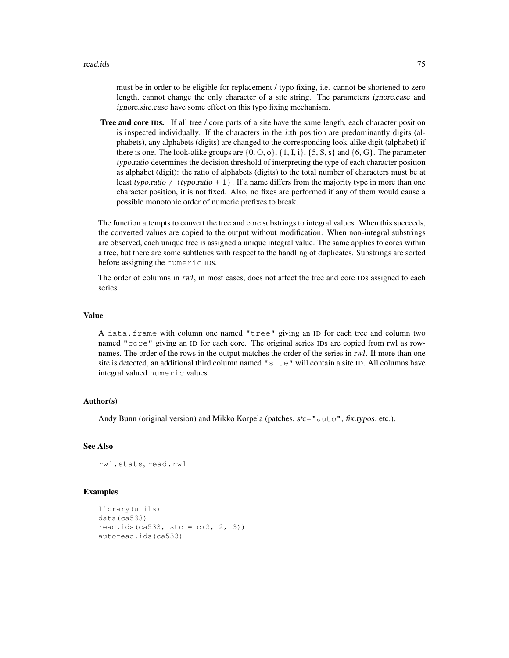must be in order to be eligible for replacement / typo fixing, i.e. cannot be shortened to zero length, cannot change the only character of a site string. The parameters ignore.case and ignore.site.case have some effect on this typo fixing mechanism.

Tree and core IDs. If all tree / core parts of a site have the same length, each character position is inspected individually. If the characters in the *i*:th position are predominantly digits (alphabets), any alphabets (digits) are changed to the corresponding look-alike digit (alphabet) if there is one. The look-alike groups are  $\{0, 0, 0\}$ ,  $\{1, I, i\}$ ,  $\{5, S, s\}$  and  $\{6, G\}$ . The parameter typo.ratio determines the decision threshold of interpreting the type of each character position as alphabet (digit): the ratio of alphabets (digits) to the total number of characters must be at least typo.ratio / (typo.ratio + 1). If a name differs from the majority type in more than one character position, it is not fixed. Also, no fixes are performed if any of them would cause a possible monotonic order of numeric prefixes to break.

The function attempts to convert the tree and core substrings to integral values. When this succeeds, the converted values are copied to the output without modification. When non-integral substrings are observed, each unique tree is assigned a unique integral value. The same applies to cores within a tree, but there are some subtleties with respect to the handling of duplicates. Substrings are sorted before assigning the numeric IDs.

The order of columns in rwl, in most cases, does not affect the tree and core IDs assigned to each series.

#### Value

A data.frame with column one named "tree" giving an ID for each tree and column two named "core" giving an ID for each core. The original series IDs are copied from rwl as rownames. The order of the rows in the output matches the order of the series in rwl. If more than one site is detected, an additional third column named "site" will contain a site ID. All columns have integral valued numeric values.

## Author(s)

Andy Bunn (original version) and Mikko Korpela (patches,  $ste = "auto", fix.typos, etc.).$ 

## See Also

```
rwi.stats, read.rwl
```

```
library(utils)
data(ca533)
read.ids(ca533, stc = c(3, 2, 3))
autoread.ids(ca533)
```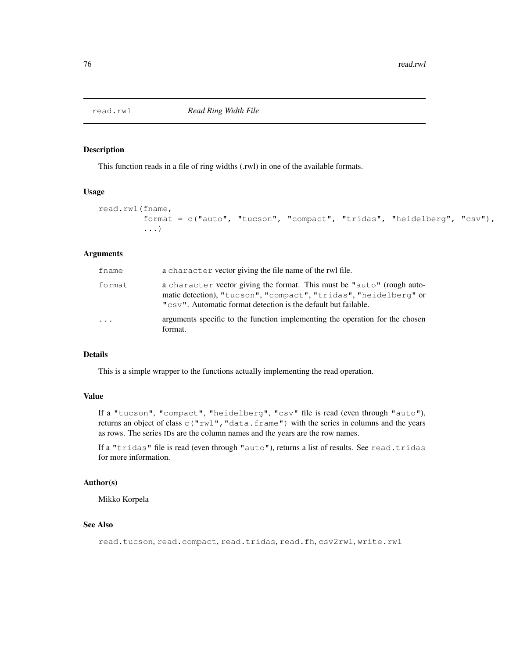This function reads in a file of ring widths (.rwl) in one of the available formats.

## Usage

```
read.rwl(fname,
         format = c("auto", "tucson", "compact", "tridas", "heidelberg", "csv"),
         ...)
```
## Arguments

| fname     | a character vector giving the file name of the rwl file.                                                                                                                                                     |
|-----------|--------------------------------------------------------------------------------------------------------------------------------------------------------------------------------------------------------------|
| format    | a character vector giving the format. This must be "auto" (rough auto-<br>matic detection), "tucson", "compact", "tridas", "heidelberg" or<br>"CSV". Automatic format detection is the default but failable. |
| $\ddotsc$ | arguments specific to the function implementing the operation for the chosen<br>format.                                                                                                                      |

## Details

This is a simple wrapper to the functions actually implementing the read operation.

## Value

If a "tucson", "compact", "heidelberg", "csv" file is read (even through "auto"), returns an object of class  $c("rwl", "data frame")$  with the series in columns and the years as rows. The series IDs are the column names and the years are the row names.

If a "tridas" file is read (even through "auto"), returns a list of results. See read.tridas for more information.

#### Author(s)

Mikko Korpela

## See Also

read.tucson, read.compact, read.tridas, read.fh, csv2rwl, write.rwl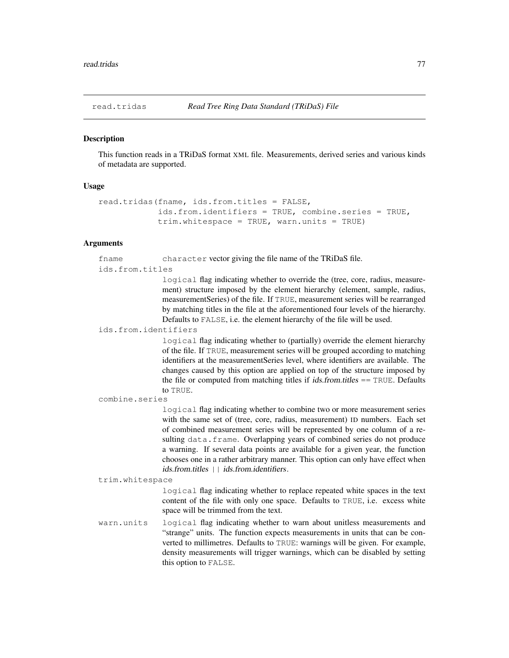This function reads in a TRiDaS format XML file. Measurements, derived series and various kinds of metadata are supported.

#### Usage

```
read.tridas(fname, ids.from.titles = FALSE,
            ids.from.identifiers = TRUE, combine.series = TRUE,
            trim.whitespace = TRUE, warn.units = TRUE)
```
## **Arguments**

fname character vector giving the file name of the TRiDaS file. ids.from.titles

> logical flag indicating whether to override the (tree, core, radius, measurement) structure imposed by the element hierarchy (element, sample, radius, measurementSeries) of the file. If TRUE, measurement series will be rearranged by matching titles in the file at the aforementioned four levels of the hierarchy. Defaults to FALSE, i.e. the element hierarchy of the file will be used.

ids.from.identifiers

logical flag indicating whether to (partially) override the element hierarchy of the file. If TRUE, measurement series will be grouped according to matching identifiers at the measurementSeries level, where identifiers are available. The changes caused by this option are applied on top of the structure imposed by the file or computed from matching titles if  $ids. from. titles = TRUE$ . Defaults to TRUE.

combine.series

logical flag indicating whether to combine two or more measurement series with the same set of (tree, core, radius, measurement) ID numbers. Each set of combined measurement series will be represented by one column of a resulting data.frame. Overlapping years of combined series do not produce a warning. If several data points are available for a given year, the function chooses one in a rather arbitrary manner. This option can only have effect when ids.from.titles | | ids.from.identifiers.

trim.whitespace

logical flag indicating whether to replace repeated white spaces in the text content of the file with only one space. Defaults to TRUE, i.e. excess white space will be trimmed from the text.

warn.units logical flag indicating whether to warn about unitless measurements and "strange" units. The function expects measurements in units that can be converted to millimetres. Defaults to TRUE: warnings will be given. For example, density measurements will trigger warnings, which can be disabled by setting this option to FALSE.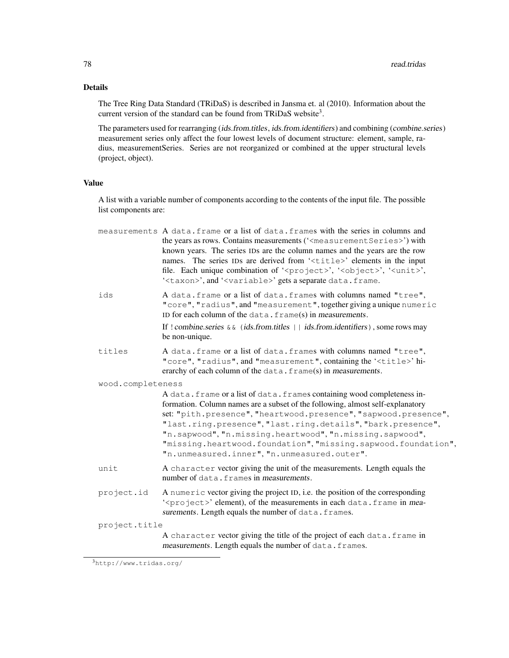# Details

The Tree Ring Data Standard (TRiDaS) is described in Jansma et. al (2010). Information about the current version of the standard can be found from TRiDaS website<sup>3</sup>.

The parameters used for rearranging (ids.from.titles, ids.from.identifiers) and combining (combine.series) measurement series only affect the four lowest levels of document structure: element, sample, radius, measurementSeries. Series are not reorganized or combined at the upper structural levels (project, object).

# Value

A list with a variable number of components according to the contents of the input file. The possible list components are:

|                   | measurements A data. frame or a list of data. frames with the series in columns and<br>the years as rows. Contains measurements (' <measurement series="">') with<br/>known years. The series IDs are the column names and the years are the row<br/>names. The series IDs are derived from '<title>' elements in the input<br/>file. Each unique combination of '<project>', '<object>', '<unit>',<br/>'<taxon>', and '<variable>' gets a separate data.frame.</variable></taxon></unit></object></project></title></measurement> |
|-------------------|------------------------------------------------------------------------------------------------------------------------------------------------------------------------------------------------------------------------------------------------------------------------------------------------------------------------------------------------------------------------------------------------------------------------------------------------------------------------------------------------------------------------------------|
| ids               | A data. frame or a list of data. frames with columns named "tree",<br>"core", "radius", and "measurement", together giving a unique numeric<br>ID for each column of the data. frame(s) in measurements.                                                                                                                                                                                                                                                                                                                           |
|                   | If ! combine.series $\&\&$ (ids.from.titles    ids.from.identifiers), some rows may<br>be non-unique.                                                                                                                                                                                                                                                                                                                                                                                                                              |
| titles            | A data. frame or a list of data. frames with columns named "tree",<br>"core", "radius", and "measurement", containing the ' <title>' hi-<br/>erarchy of each column of the data. frame(s) in measurements.</title>                                                                                                                                                                                                                                                                                                                 |
| wood.completeness |                                                                                                                                                                                                                                                                                                                                                                                                                                                                                                                                    |
|                   | A data. frame or a list of data. frames containing wood completeness in-<br>formation. Column names are a subset of the following, almost self-explanatory<br>set: "pith.presence", "heartwood.presence", "sapwood.presence",<br>"last.ring.presence", "last.ring.details", "bark.presence",<br>"n.sapwood", "n.missing.heartwood", "n.missing.sapwood",<br>"missing.heartwood.foundation", "missing.sapwood.foundation",<br>"n.unmeasured.inner", "n.unmeasured.outer".                                                           |
| unit              | A character vector giving the unit of the measurements. Length equals the<br>number of data. frames in measurements.                                                                                                                                                                                                                                                                                                                                                                                                               |
| project.id        | A numeric vector giving the project ID, i.e. the position of the corresponding<br>' <project>' element), of the measurements in each data.frame in mea-<br/>surements. Length equals the number of data. frames.</project>                                                                                                                                                                                                                                                                                                         |
| project.title     |                                                                                                                                                                                                                                                                                                                                                                                                                                                                                                                                    |
|                   | A character vector giving the title of the project of each data. frame in<br>measurements. Length equals the number of data. frames.                                                                                                                                                                                                                                                                                                                                                                                               |

<sup>3</sup>http://www.tridas.org/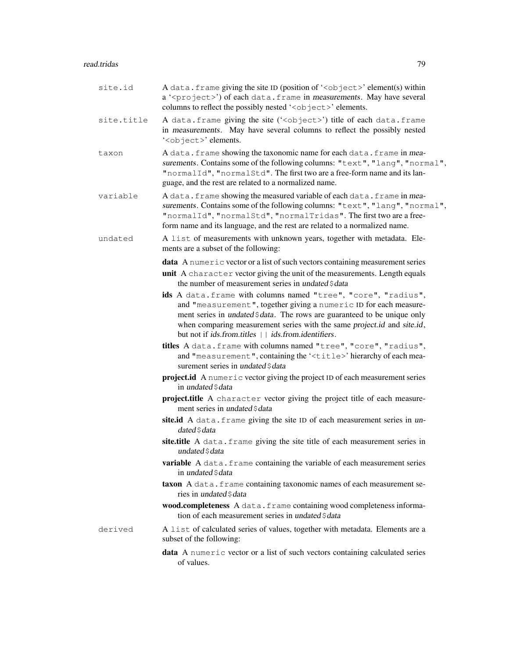# read.tridas 79

| site.id    | A data. frame giving the site ID (position of ' <object>' element(s) within<br/>a '<project>') of each data.frame in measurements. May have several<br/>columns to reflect the possibly nested '<object>' elements.</object></project></object>                                                                                                                                  |
|------------|----------------------------------------------------------------------------------------------------------------------------------------------------------------------------------------------------------------------------------------------------------------------------------------------------------------------------------------------------------------------------------|
| site.title | A data. frame giving the site (' <object>') title of each data. frame<br/>in measurements. May have several columns to reflect the possibly nested<br/>'<object>' elements.</object></object>                                                                                                                                                                                    |
| taxon      | A data. frame showing the taxonomic name for each data. frame in mea-<br>surements. Contains some of the following columns: "text", "lang", "normal",<br>"normalId", "normalStd". The first two are a free-form name and its lan-<br>guage, and the rest are related to a normalized name.                                                                                       |
| variable   | A data. frame showing the measured variable of each data. frame in mea-<br>surements. Contains some of the following columns: "text", "lang", "normal",<br>"normalId", "normalStd", "normalTridas". The first two are a free-<br>form name and its language, and the rest are related to a normalized name.                                                                      |
| undated    | A list of measurements with unknown years, together with metadata. Ele-<br>ments are a subset of the following:                                                                                                                                                                                                                                                                  |
|            | <b>data</b> A numeric vector or a list of such vectors containing measurement series                                                                                                                                                                                                                                                                                             |
|            | unit A character vector giving the unit of the measurements. Length equals<br>the number of measurement series in undated \$data                                                                                                                                                                                                                                                 |
|            | ids A data. frame with columns named "tree", "core", "radius",<br>and "measurement", together giving a numeric ID for each measure-<br>ment series in <i>undated</i> \$ <i>data</i> . The rows are guaranteed to be unique only<br>when comparing measurement series with the same project.id and site.id,<br>but not if <i>ids.from.titles</i>     <i>ids.from.identifiers.</i> |
|            | titles A data. frame with columns named "tree", "core", "radius",<br>and "measurement", containing the ' <title>' hierarchy of each mea-<br/>surement series in undated \$ data</title>                                                                                                                                                                                          |
|            | project.id A numeric vector giving the project ID of each measurement series<br>in undated \$ data                                                                                                                                                                                                                                                                               |
|            | project.title A character vector giving the project title of each measure-<br>ment series in undated \$ data                                                                                                                                                                                                                                                                     |
|            | site.id A data. frame giving the site ID of each measurement series in un-<br>dated \$ data                                                                                                                                                                                                                                                                                      |
|            | site.title A data. frame giving the site title of each measurement series in<br>undated \$ data                                                                                                                                                                                                                                                                                  |
|            | variable A data. frame containing the variable of each measurement series<br>in undated \$data                                                                                                                                                                                                                                                                                   |
|            | taxon A data. frame containing taxonomic names of each measurement se-<br>ries in undated \$ data                                                                                                                                                                                                                                                                                |
|            | wood.completeness A data. frame containing wood completeness informa-<br>tion of each measurement series in undated \$data                                                                                                                                                                                                                                                       |
| derived    | A list of calculated series of values, together with metadata. Elements are a<br>subset of the following:                                                                                                                                                                                                                                                                        |
|            | data A numeric vector or a list of such vectors containing calculated series<br>of values.                                                                                                                                                                                                                                                                                       |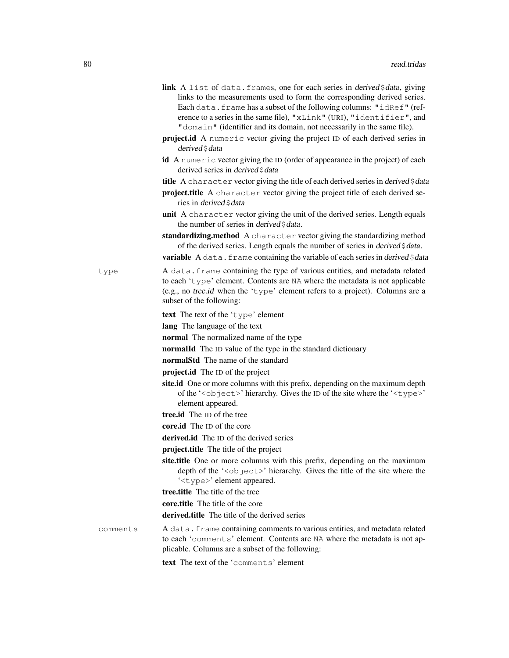- link A list of data.frames, one for each series in derived \$data, giving links to the measurements used to form the corresponding derived series. Each data.frame has a subset of the following columns: "idRef" (reference to a series in the same file), "xLink" (URI), "identifier", and "domain" (identifier and its domain, not necessarily in the same file).
- project.id A numeric vector giving the project ID of each derived series in derived \$ data
- id A numeric vector giving the ID (order of appearance in the project) of each derived series in derived \$data
- title A character vector giving the title of each derived series in derived  $\frac{1}{4}$ data
- project.title A character vector giving the project title of each derived series in derived \$data
- unit A character vector giving the unit of the derived series. Length equals the number of series in derived \$data.
- standardizing.method A character vector giving the standardizing method of the derived series. Length equals the number of series in derived \$data.

**variable** A data.frame containing the variable of each series in derived \$data

type A data.frame containing the type of various entities, and metadata related to each 'type' element. Contents are NA where the metadata is not applicable (e.g., no tree.id when the 'type' element refers to a project). Columns are a subset of the following:

text The text of the 'type' element

lang The language of the text

normal The normalized name of the type

- normalId The ID value of the type in the standard dictionary
- normalStd The name of the standard
- project.id The ID of the project
- site.id One or more columns with this prefix, depending on the maximum depth of the '<object>' hierarchy. Gives the ID of the site where the '<type>' element appeared.
- tree.id The ID of the tree
- core.id The ID of the core
- derived.id The ID of the derived series
- project.title The title of the project
- site.title One or more columns with this prefix, depending on the maximum depth of the '<object>' hierarchy. Gives the title of the site where the '<type>' element appeared.
- tree.title The title of the tree
- core.title The title of the core
- derived.title The title of the derived series
- comments A data.frame containing comments to various entities, and metadata related to each 'comments' element. Contents are NA where the metadata is not applicable. Columns are a subset of the following:

text The text of the 'comments' element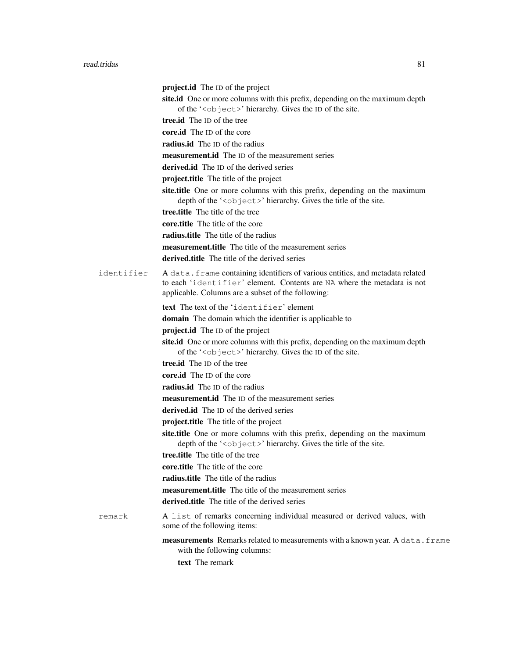|            | project.id The ID of the project                                                                                                                                                                                |
|------------|-----------------------------------------------------------------------------------------------------------------------------------------------------------------------------------------------------------------|
|            | site.id One or more columns with this prefix, depending on the maximum depth<br>of the ' <object>' hierarchy. Gives the ID of the site.</object>                                                                |
|            | tree.id The ID of the tree                                                                                                                                                                                      |
|            | core.id The ID of the core                                                                                                                                                                                      |
|            | radius.id The ID of the radius                                                                                                                                                                                  |
|            | <b>measurement.id</b> The ID of the measurement series                                                                                                                                                          |
|            | derived.id The ID of the derived series                                                                                                                                                                         |
|            | project.title The title of the project                                                                                                                                                                          |
|            | site.title One or more columns with this prefix, depending on the maximum<br>depth of the ' <object>' hierarchy. Gives the title of the site.</object>                                                          |
|            | tree.title The title of the tree                                                                                                                                                                                |
|            | core.title The title of the core                                                                                                                                                                                |
|            | radius.title The title of the radius                                                                                                                                                                            |
|            | <b>measurement.title</b> The title of the measurement series                                                                                                                                                    |
|            | derived.title The title of the derived series                                                                                                                                                                   |
| identifier | A data. frame containing identifiers of various entities, and metadata related<br>to each 'identifier' element. Contents are NA where the metadata is not<br>applicable. Columns are a subset of the following: |
|            | text The text of the 'identifier' element                                                                                                                                                                       |
|            | <b>domain</b> The domain which the identifier is applicable to                                                                                                                                                  |
|            | project.id The ID of the project                                                                                                                                                                                |
|            | site.id One or more columns with this prefix, depending on the maximum depth<br>of the ' <object>' hierarchy. Gives the ID of the site.</object>                                                                |
|            | <b>tree.id</b> The ID of the tree                                                                                                                                                                               |
|            | core.id The ID of the core                                                                                                                                                                                      |
|            | radius.id The ID of the radius                                                                                                                                                                                  |
|            | <b>measurement.id</b> The ID of the measurement series                                                                                                                                                          |
|            | derived.id The ID of the derived series                                                                                                                                                                         |
|            | project.title The title of the project                                                                                                                                                                          |
|            | site.title One or more columns with this prefix, depending on the maximum<br>depth of the ' <object>' hierarchy. Gives the title of the site.</object>                                                          |
|            | tree.title The title of the tree                                                                                                                                                                                |
|            | core, title The title of the core                                                                                                                                                                               |
|            | radius.title The title of the radius                                                                                                                                                                            |
|            | <b>measurement.title</b> The title of the measurement series                                                                                                                                                    |
|            | <b>derived.title</b> The title of the derived series                                                                                                                                                            |
| remark     | A list of remarks concerning individual measured or derived values, with<br>some of the following items:                                                                                                        |
|            | measurements Remarks related to measurements with a known year. A data. frame<br>with the following columns:                                                                                                    |

text The remark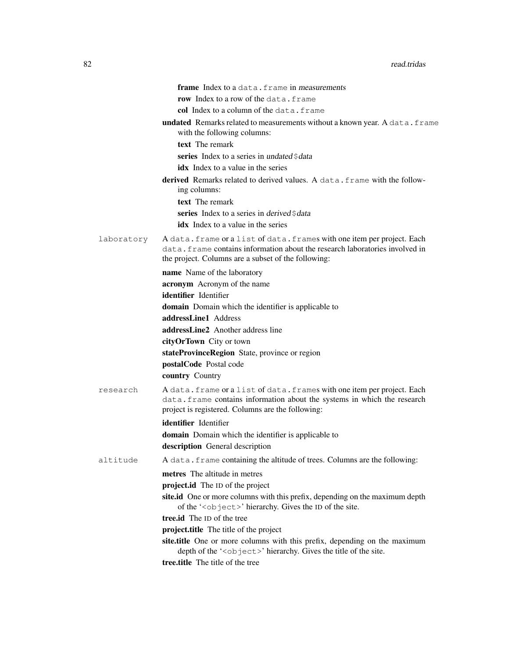|            | frame Index to a data. frame in measurements                                                                                                                                                                   |
|------------|----------------------------------------------------------------------------------------------------------------------------------------------------------------------------------------------------------------|
|            | <b>row</b> Index to a row of the data.frame                                                                                                                                                                    |
|            | col Index to a column of the data, frame                                                                                                                                                                       |
|            | undated Remarks related to measurements without a known year. A data. frame<br>with the following columns:                                                                                                     |
|            | text The remark                                                                                                                                                                                                |
|            | series Index to a series in undated \$data                                                                                                                                                                     |
|            | <b>idx</b> Index to a value in the series                                                                                                                                                                      |
|            | <b>derived</b> Remarks related to derived values. A data, frame with the follow-<br>ing columns:                                                                                                               |
|            | text The remark                                                                                                                                                                                                |
|            | series Index to a series in derived \$data                                                                                                                                                                     |
|            | <b>idx</b> Index to a value in the series                                                                                                                                                                      |
| laboratory | A data. frame or a list of data. frames with one item per project. Each<br>data. frame contains information about the research laboratories involved in<br>the project. Columns are a subset of the following: |
|            | name Name of the laboratory                                                                                                                                                                                    |
|            | acronym Acronym of the name                                                                                                                                                                                    |
|            | identifier Identifier                                                                                                                                                                                          |
|            | <b>domain</b> Domain which the identifier is applicable to                                                                                                                                                     |
|            | addressLine1 Address                                                                                                                                                                                           |
|            | addressLine2 Another address line                                                                                                                                                                              |
|            | cityOrTown City or town                                                                                                                                                                                        |
|            | stateProvinceRegion State, province or region                                                                                                                                                                  |
|            | postalCode Postal code                                                                                                                                                                                         |
|            | <b>country Country</b>                                                                                                                                                                                         |
| research   | A data. frame or a list of data. frames with one item per project. Each<br>data. frame contains information about the systems in which the research<br>project is registered. Columns are the following:       |
|            | identifier Identifier                                                                                                                                                                                          |
|            | <b>domain</b> Domain which the identifier is applicable to                                                                                                                                                     |
|            | description General description                                                                                                                                                                                |
| altitude   | A data. frame containing the altitude of trees. Columns are the following:                                                                                                                                     |
|            | metres The altitude in metres                                                                                                                                                                                  |
|            | project.id The ID of the project                                                                                                                                                                               |
|            | site.id One or more columns with this prefix, depending on the maximum depth<br>of the ' <object>' hierarchy. Gives the ID of the site.</object>                                                               |
|            | tree.id The ID of the tree                                                                                                                                                                                     |
|            | project.title The title of the project                                                                                                                                                                         |
|            | site.title One or more columns with this prefix, depending on the maximum<br>depth of the ' <object>' hierarchy. Gives the title of the site.</object>                                                         |
|            | tree.title The title of the tree                                                                                                                                                                               |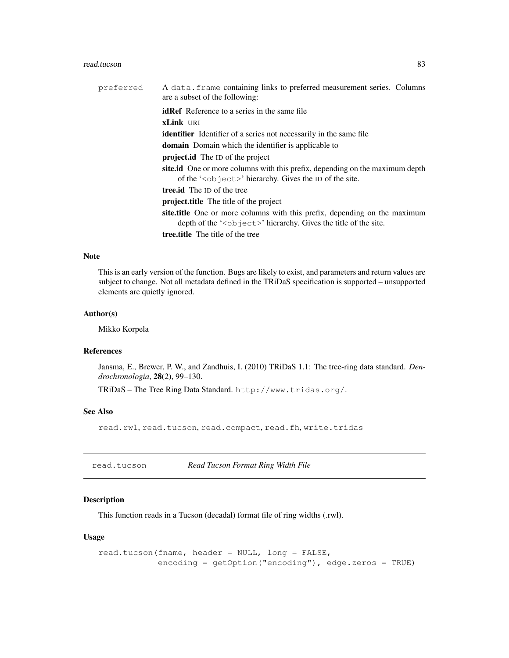#### read.tucson 83

| preferred | A data. frame containing links to preferred measurement series. Columns<br>are a subset of the following:                                                         |
|-----------|-------------------------------------------------------------------------------------------------------------------------------------------------------------------|
|           | <b>idRef</b> Reference to a series in the same file                                                                                                               |
|           | <b>xLink</b> URI                                                                                                                                                  |
|           | <b>identifier</b> Identifier of a series not necessarily in the same file                                                                                         |
|           | <b>domain</b> Domain which the identifier is applicable to                                                                                                        |
|           | <b>project.id</b> The ID of the project                                                                                                                           |
|           | site.id One or more columns with this prefix, depending on the maximum depth<br>of the ' $\langle$ ob ject $\rangle$ ' hierarchy. Gives the ID of the site.       |
|           | <b>tree.id</b> The ID of the tree                                                                                                                                 |
|           | <b>project.title</b> The title of the project                                                                                                                     |
|           | site.title One or more columns with this prefix, depending on the maximum<br>depth of the ' $\langle$ ob ject $\rangle$ ' hierarchy. Gives the title of the site. |
|           | <b>tree.title</b> The title of the tree                                                                                                                           |

## Note

This is an early version of the function. Bugs are likely to exist, and parameters and return values are subject to change. Not all metadata defined in the TRiDaS specification is supported – unsupported elements are quietly ignored.

## Author(s)

Mikko Korpela

## References

Jansma, E., Brewer, P. W., and Zandhuis, I. (2010) TRiDaS 1.1: The tree-ring data standard. *Dendrochronologia*, 28(2), 99–130.

TRiDaS – The Tree Ring Data Standard. http://www.tridas.org/.

# See Also

read.rwl, read.tucson, read.compact, read.fh, write.tridas

read.tucson *Read Tucson Format Ring Width File*

## Description

This function reads in a Tucson (decadal) format file of ring widths (.rwl).

## Usage

```
read.tucson(fname, header = NULL, long = FALSE,
            encoding = getOption("encoding"), edge.zeros = TRUE)
```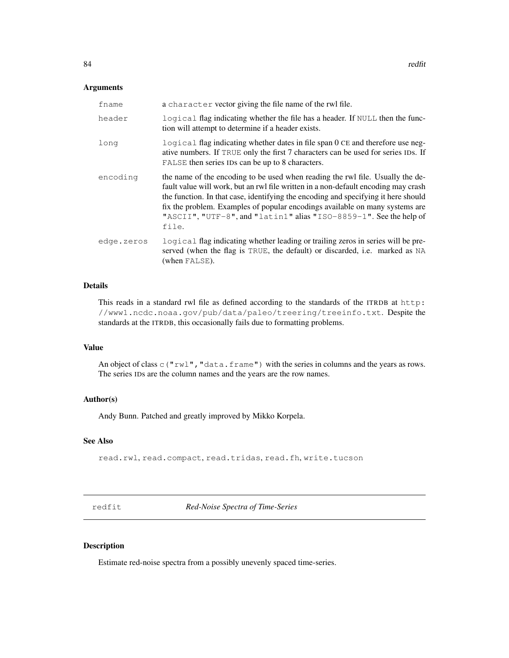## Arguments

| fname      | a character vector giving the file name of the rwl file.                                                                                                                                                                                                                                                                                                                                                                  |
|------------|---------------------------------------------------------------------------------------------------------------------------------------------------------------------------------------------------------------------------------------------------------------------------------------------------------------------------------------------------------------------------------------------------------------------------|
| header     | logical flag indicating whether the file has a header. If NULL then the func-<br>tion will attempt to determine if a header exists.                                                                                                                                                                                                                                                                                       |
| long       | logical flag indicating whether dates in file span 0 CE and therefore use neg-<br>ative numbers. If TRUE only the first 7 characters can be used for series IDs. If<br>FALSE then series IDs can be up to 8 characters.                                                                                                                                                                                                   |
| encoding   | the name of the encoding to be used when reading the rwl file. Usually the de-<br>fault value will work, but an rwl file written in a non-default encoding may crash<br>the function. In that case, identifying the encoding and specifying it here should<br>fix the problem. Examples of popular encodings available on many systems are<br>"ASCII", "UTF-8", and "latin1" alias "ISO-8859-1". See the help of<br>file. |
| edge.zeros | logical flag indicating whether leading or trailing zeros in series will be pre-<br>served (when the flag is TRUE, the default) or discarded, i.e. marked as NA<br>(when FALSE).                                                                                                                                                                                                                                          |

# Details

This reads in a standard rwl file as defined according to the standards of the ITRDB at http: //www1.ncdc.noaa.gov/pub/data/paleo/treering/treeinfo.txt. Despite the standards at the ITRDB, this occasionally fails due to formatting problems.

# Value

An object of class  $\subset$  ("rwl", "data.frame") with the series in columns and the years as rows. The series IDs are the column names and the years are the row names.

## Author(s)

Andy Bunn. Patched and greatly improved by Mikko Korpela.

## See Also

read.rwl, read.compact, read.tridas, read.fh, write.tucson

redfit *Red-Noise Spectra of Time-Series*

#### Description

Estimate red-noise spectra from a possibly unevenly spaced time-series.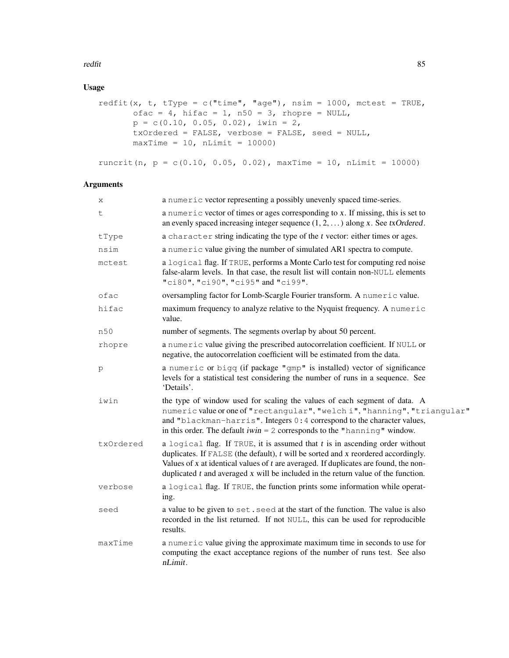#### redfit 85

# Usage

```
redfit(x, t, tType = c("time", "age"), nsim = 1000, mctest = TRUE,
       ofac = 4, hifac = 1, n50 = 3, rhopre = NULL,
       p = c(0.10, 0.05, 0.02), iwin = 2,
       txOrdered = FALSE, verbose = FALSE, seed = NULL,
      maxTime = 10, nLimit = 10000)
```
runcrit(n,  $p = c(0.10, 0.05, 0.02)$ , maxTime = 10, nLimit = 10000)

# Arguments

| Χ         | a numeric vector representing a possibly unevenly spaced time-series.                                                                                                                                                                                                                                                                                         |
|-----------|---------------------------------------------------------------------------------------------------------------------------------------------------------------------------------------------------------------------------------------------------------------------------------------------------------------------------------------------------------------|
| t         | a numeric vector of times or ages corresponding to x. If missing, this is set to<br>an evenly spaced increasing integer sequence $(1, 2, )$ along x. See txOrdered.                                                                                                                                                                                           |
| tType     | a character string indicating the type of the t vector: either times or ages.                                                                                                                                                                                                                                                                                 |
| nsim      | a numeric value giving the number of simulated AR1 spectra to compute.                                                                                                                                                                                                                                                                                        |
| mctest    | a logical flag. If TRUE, performs a Monte Carlo test for computing red noise<br>false-alarm levels. In that case, the result list will contain non-NULL elements<br>"ci80", "ci90", "ci95" and "ci99".                                                                                                                                                        |
| ofac      | oversampling factor for Lomb-Scargle Fourier transform. A numeric value.                                                                                                                                                                                                                                                                                      |
| hifac     | maximum frequency to analyze relative to the Nyquist frequency. A numeric<br>value.                                                                                                                                                                                                                                                                           |
| n50       | number of segments. The segments overlap by about 50 percent.                                                                                                                                                                                                                                                                                                 |
| rhopre    | a numeric value giving the prescribed autocorrelation coefficient. If NULL or<br>negative, the autocorrelation coefficient will be estimated from the data.                                                                                                                                                                                                   |
| p         | a numeric or bigg (if package "gmp" is installed) vector of significance<br>levels for a statistical test considering the number of runs in a sequence. See<br>'Details'.                                                                                                                                                                                     |
| iwin      | the type of window used for scaling the values of each segment of data. A<br>numeric value or one of "rectangular", "welch i", "hanning", "triangular"<br>and "blackman-harris". Integers 0:4 correspond to the character values,<br>in this order. The default $iwin = 2$ corresponds to the "hanning" window.                                               |
| txOrdered | a logical flag. If TRUE, it is assumed that $t$ is in ascending order without<br>duplicates. If $FALSE$ (the default), $t$ will be sorted and $x$ reordered accordingly.<br>Values of $x$ at identical values of $t$ are averaged. If duplicates are found, the non-<br>duplicated $t$ and averaged $x$ will be included in the return value of the function. |
| verbose   | a logical flag. If TRUE, the function prints some information while operat-<br>ing.                                                                                                                                                                                                                                                                           |
| seed      | a value to be given to set. seed at the start of the function. The value is also<br>recorded in the list returned. If not NULL, this can be used for reproducible<br>results.                                                                                                                                                                                 |
| maxTime   | a numeric value giving the approximate maximum time in seconds to use for<br>computing the exact acceptance regions of the number of runs test. See also<br>nLimit.                                                                                                                                                                                           |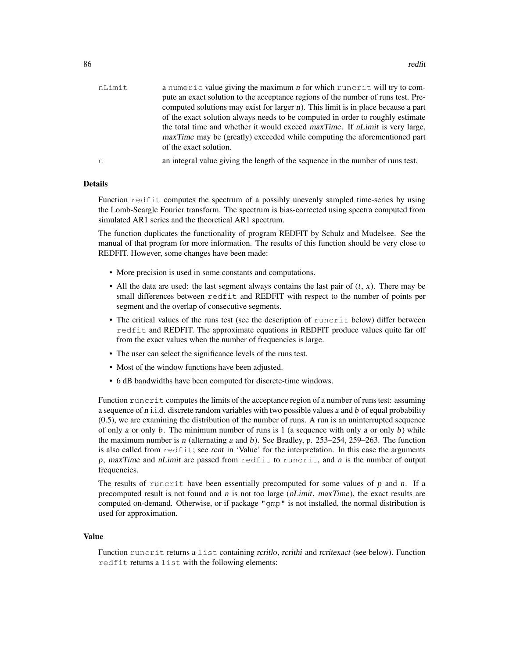| nLimit | a numeric value giving the maximum n for which runcrit will try to com-              |
|--------|--------------------------------------------------------------------------------------|
|        | pute an exact solution to the acceptance regions of the number of runs test. Pre-    |
|        | computed solutions may exist for larger $n$ ). This limit is in place because a part |
|        | of the exact solution always needs to be computed in order to roughly estimate       |
|        | the total time and whether it would exceed maxTime. If nLimit is very large,         |
|        | maxTime may be (greatly) exceeded while computing the aforementioned part            |
|        | of the exact solution.                                                               |
| n      | an integral value giving the length of the sequence in the number of runs test.      |

#### Details

Function redfit computes the spectrum of a possibly unevenly sampled time-series by using the Lomb-Scargle Fourier transform. The spectrum is bias-corrected using spectra computed from simulated AR1 series and the theoretical AR1 spectrum.

The function duplicates the functionality of program REDFIT by Schulz and Mudelsee. See the manual of that program for more information. The results of this function should be very close to REDFIT. However, some changes have been made:

- More precision is used in some constants and computations.
- All the data are used: the last segment always contains the last pair of  $(t, x)$ . There may be small differences between redfit and REDFIT with respect to the number of points per segment and the overlap of consecutive segments.
- The critical values of the runs test (see the description of runcrit below) differ between redfit and REDFIT. The approximate equations in REDFIT produce values quite far off from the exact values when the number of frequencies is large.
- The user can select the significance levels of the runs test.
- Most of the window functions have been adjusted.
- 6 dB bandwidths have been computed for discrete-time windows.

Function runcrit computes the limits of the acceptance region of a number of runs test: assuming a sequence of  $n$  i.i.d. discrete random variables with two possible values  $a$  and  $b$  of equal probability (0.5), we are examining the distribution of the number of runs. A run is an uninterrupted sequence of only a or only b. The minimum number of runs is  $1$  (a sequence with only a or only b) while the maximum number is n (alternating a and b). See Bradley, p. 253–254, 259–263. The function is also called from redfit; see rcnt in 'Value' for the interpretation. In this case the arguments p, maxTime and nLimit are passed from redfit to runcrit, and  $n$  is the number of output frequencies.

The results of runcrit have been essentially precomputed for some values of  $p$  and  $n$ . If a precomputed result is not found and  $n$  is not too large ( $nLimit$ ,  $maxTime$ ), the exact results are computed on-demand. Otherwise, or if package "gmp" is not installed, the normal distribution is used for approximation.

#### Value

Function runcrit returns a list containing rcritlo, rcrithi and rcritexact (see below). Function redfit returns a list with the following elements: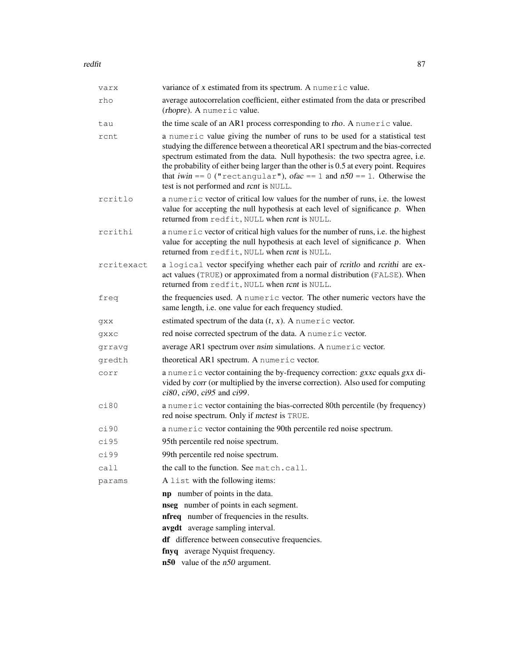#### redfit 87

| varx       | variance of x estimated from its spectrum. A numeric value.                                                                                                                                                                                                                                                                                                                                                                                                       |
|------------|-------------------------------------------------------------------------------------------------------------------------------------------------------------------------------------------------------------------------------------------------------------------------------------------------------------------------------------------------------------------------------------------------------------------------------------------------------------------|
| rho        | average autocorrelation coefficient, either estimated from the data or prescribed<br>(rhopre). A numeric value.                                                                                                                                                                                                                                                                                                                                                   |
| tau        | the time scale of an AR1 process corresponding to rho. A numeric value.                                                                                                                                                                                                                                                                                                                                                                                           |
| rcnt       | a numeric value giving the number of runs to be used for a statistical test<br>studying the difference between a theoretical AR1 spectrum and the bias-corrected<br>spectrum estimated from the data. Null hypothesis: the two spectra agree, i.e.<br>the probability of either being larger than the other is 0.5 at every point. Requires<br>that iwin == 0 ("rectangular"), ofac == 1 and $n50 = 1$ . Otherwise the<br>test is not performed and rcnt is NULL. |
| rcritlo    | a numeric vector of critical low values for the number of runs, i.e. the lowest<br>value for accepting the null hypothesis at each level of significance $p$ . When<br>returned from redfit, NULL when rcnt is NULL.                                                                                                                                                                                                                                              |
| rcrithi    | a numeric vector of critical high values for the number of runs, i.e. the highest<br>value for accepting the null hypothesis at each level of significance $p$ . When<br>returned from redfit, NULL when rcnt is NULL.                                                                                                                                                                                                                                            |
| rcritexact | a logical vector specifying whether each pair of rcritlo and rcrithi are ex-<br>act values (TRUE) or approximated from a normal distribution (FALSE). When<br>returned from redfit, NULL when rcnt is NULL.                                                                                                                                                                                                                                                       |
| freq       | the frequencies used. A numeric vector. The other numeric vectors have the<br>same length, i.e. one value for each frequency studied.                                                                                                                                                                                                                                                                                                                             |
| gxx        | estimated spectrum of the data $(t, x)$ . A numeric vector.                                                                                                                                                                                                                                                                                                                                                                                                       |
| qxxc       | red noise corrected spectrum of the data. A numeric vector.                                                                                                                                                                                                                                                                                                                                                                                                       |
| grravg     | average AR1 spectrum over nsim simulations. A numeric vector.                                                                                                                                                                                                                                                                                                                                                                                                     |
| gredth     | theoretical AR1 spectrum. A numeric vector.                                                                                                                                                                                                                                                                                                                                                                                                                       |
| corr       | a numeric vector containing the by-frequency correction: gxxc equals gxx di-<br>vided by corr (or multiplied by the inverse correction). Also used for computing<br>$ci80, ci90, ci95$ and $ci99$ .                                                                                                                                                                                                                                                               |
| ci80       | a numeric vector containing the bias-corrected 80th percentile (by frequency)<br>red noise spectrum. Only if mctest is TRUE.                                                                                                                                                                                                                                                                                                                                      |
| ci90       | a numeric vector containing the 90th percentile red noise spectrum.                                                                                                                                                                                                                                                                                                                                                                                               |
| ci95       | 95th percentile red noise spectrum.                                                                                                                                                                                                                                                                                                                                                                                                                               |
| ci99       | 99th percentile red noise spectrum.                                                                                                                                                                                                                                                                                                                                                                                                                               |
| call       | the call to the function. See match.call.                                                                                                                                                                                                                                                                                                                                                                                                                         |
| params     | A list with the following items:                                                                                                                                                                                                                                                                                                                                                                                                                                  |
|            | <b>np</b> number of points in the data.                                                                                                                                                                                                                                                                                                                                                                                                                           |
|            | nseg number of points in each segment.                                                                                                                                                                                                                                                                                                                                                                                                                            |
|            | <b>nfreq</b> number of frequencies in the results.                                                                                                                                                                                                                                                                                                                                                                                                                |
|            | avgdt average sampling interval.                                                                                                                                                                                                                                                                                                                                                                                                                                  |
|            | df difference between consecutive frequencies.                                                                                                                                                                                                                                                                                                                                                                                                                    |
|            | fnyq average Nyquist frequency.                                                                                                                                                                                                                                                                                                                                                                                                                                   |
|            | $n50$ value of the $n50$ argument.                                                                                                                                                                                                                                                                                                                                                                                                                                |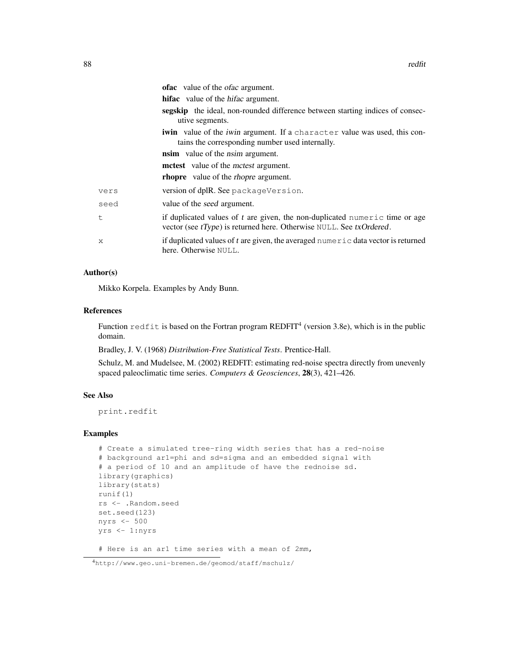|      | <b>ofac</b> value of the <i>ofac</i> argument.                                                                                                        |
|------|-------------------------------------------------------------------------------------------------------------------------------------------------------|
|      | <b>hifac</b> value of the <i>hifac</i> argument.                                                                                                      |
|      | <b>segskip</b> the ideal, non-rounded difference between starting indices of consec-<br>utive segments.                                               |
|      | <b>iwin</b> value of the <i>iwin</i> argument. If a character value was used, this con-<br>tains the corresponding number used internally.            |
|      | <b>nsim</b> value of the <i>nsim</i> argument.                                                                                                        |
|      | <b>mctest</b> value of the <i>mctest</i> argument.                                                                                                    |
|      | <b>rhopre</b> value of the <i>rhopre</i> argument.                                                                                                    |
| vers | version of dplR. See packageVersion.                                                                                                                  |
| seed | value of the seed argument.                                                                                                                           |
| t    | if duplicated values of t are given, the non-duplicated numeric time or age<br>vector (see $tType$ ) is returned here. Otherwise NULL. See txOrdered. |
| X    | if duplicated values of t are given, the averaged numeric data vector is returned<br>here. Otherwise NULL.                                            |

# Author(s)

Mikko Korpela. Examples by Andy Bunn.

#### References

Function redfit is based on the Fortran program REDFIT<sup>4</sup> (version 3.8e), which is in the public domain.

Bradley, J. V. (1968) *Distribution-Free Statistical Tests*. Prentice-Hall.

Schulz, M. and Mudelsee, M. (2002) REDFIT: estimating red-noise spectra directly from unevenly spaced paleoclimatic time series. *Computers & Geosciences*, 28(3), 421–426.

## See Also

print.redfit

```
# Create a simulated tree-ring width series that has a red-noise
# background ar1=phi and sd=sigma and an embedded signal with
# a period of 10 and an amplitude of have the rednoise sd.
library(graphics)
library(stats)
runif(1)
rs <- .Random.seed
set.seed(123)
nyrs <- 500
yrs <- 1:nyrs
# Here is an ar1 time series with a mean of 2mm,
```
<sup>4</sup>http://www.geo.uni-bremen.de/geomod/staff/mschulz/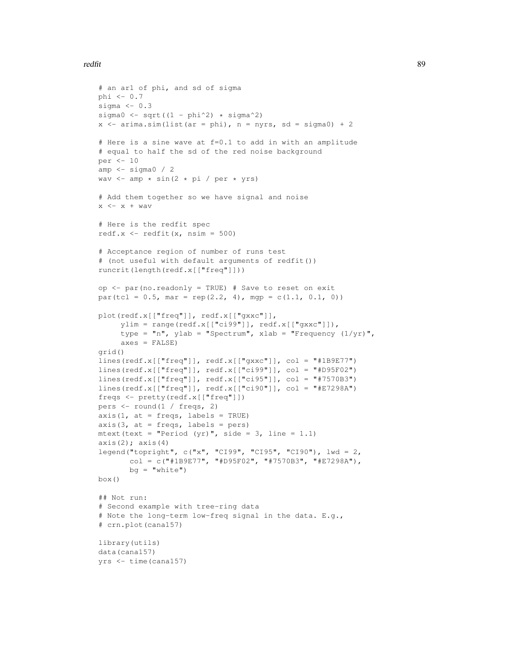#### redfit 89

```
# an ar1 of phi, and sd of sigma
phi <- 0.7
sigma <-0.3sigma0 \leq -sqrt(1 - phi^2) \times signa^2)x \le -\arima.sim(list(ar = phi), n = nyrs, sd = sigma0) + 2# Here is a sine wave at f=0.1 to add in with an amplitude
# equal to half the sd of the red noise background
per <- 10
amp <- sigma0 / 2
wav \leftarrow amp \star sin(2 \star pi / per \star yrs)
# Add them together so we have signal and noise
x \leftarrow x + wav
# Here is the redfit spec
redf.x \leftarrow redfit(x, nsim = 500)
# Acceptance region of number of runs test
# (not useful with default arguments of redfit())
runcrit(length(redf.x[["freq"]]))
op <- par(no.readonly = TRUE) # Save to reset on exit
par(tcl = 0.5, mar = rep(2.2, 4), mgp = c(1.1, 0.1, 0))
plot(redf.x[["freq"]], redf.x[["gxxc"]],
     ylim = range(redf.x[["ci99"]], redf.x[["gxxc"]]),
     type = "n", ylab = "Spectrum", xlab = "Frequency (1/yr)",
     axes = FALSE)
grid()
lines(redf.x[["freq"]], redf.x[["gxxc"]], col = "#1B9E77")
lines(redf.x[["freq"]], redf.x[["ci99"]], col = "#D95F02")
lines(redf.x[["freq"]], redf.x[["ci95"]], col = "#7570B3")
lines(redf.x[["freq"]], redf.x[["ci90"]], col = "#E7298A")
freqs <- pretty(redf.x[["freq"]])
pers <- round(1 / freqs, 2)
axis(1, at = freqs, labels = TRUE)
axis(3, at = freqs, labels = pers)
mtext(text = "Period (yr)", side = 3, line = 1.1)
axis(2); axis(4)legend("topright", c("x", "CI99", "CI95", "CI90"), lwd = 2,
       col = c("#1B9E77", "#D95F02", "#7570B3", "#E7298A"),
       bg = "white")
box()
## Not run:
# Second example with tree-ring data
# Note the long-term low-freq signal in the data. E.g.,
# crn.plot(cana157)
library(utils)
data(cana157)
yrs <- time(cana157)
```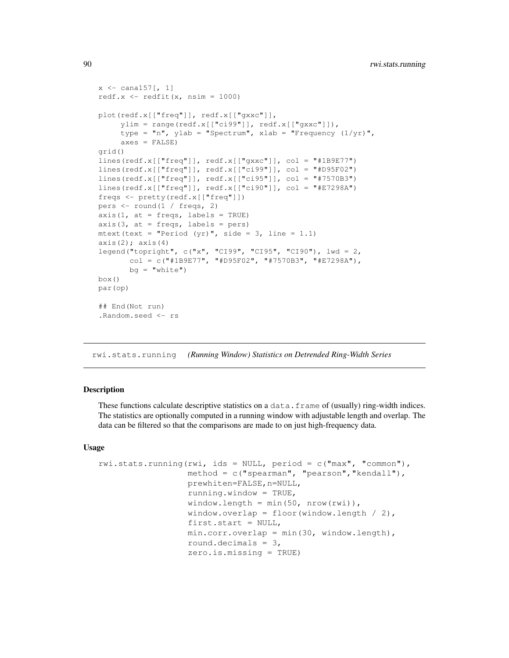```
x \leftarrow \text{canal}57 [, 1]
redf.x \leftarrow redfit(x, nsim = 1000)
plot(redf.x[["freq"]], redf.x[["gxxc"]],
     ylim = range(redf.x[["ci99"]], redf.x[["gxxc"]]),
     type = "n", ylab = "Spectrum", xlab = "Frequency (1/yr)",
     axes = FALSE)
grid()
lines(redf.x[["freq"]], redf.x[["gxxc"]], col = "#1B9E77")
lines(redf.x[["freq"]], redf.x[["ci99"]], col = "#D95F02")
lines(redf.x[["freq"]], redf.x[["ci95"]], col = "#7570B3")
lines(redf.x[["freq"]], redf.x[["ci90"]], col = "#E7298A")
freqs <- pretty(redf.x[["freq"]])
pers <- round(1 / freqs, 2)
axis(1, at = freqs, labels = TRUE)
axis(3, at = freqs, labels = pers)
mtext(text = "Period (yr)", side = 3, line = 1.1)
axis(2); axis(4)legend("topright", c("x", "CI99", "CI95", "CI90"), lwd = 2,
       col = c("#1B9E77", "#D95F02", "#7570B3", "#E7298A"),
       bg = "white")
box()
par(op)
## End(Not run)
.Random.seed <- rs
```
rwi.stats.running *(Running Window) Statistics on Detrended Ring-Width Series*

## **Description**

These functions calculate descriptive statistics on a data.frame of (usually) ring-width indices. The statistics are optionally computed in a running window with adjustable length and overlap. The data can be filtered so that the comparisons are made to on just high-frequency data.

#### Usage

```
rwi.stats.running(rwi, ids = NULL, period = c("max", "common"),
                  method = c("spearman", "pearson","kendall"),
                  prewhiten=FALSE,n=NULL,
                  running.window = TRUE,
                  window.length = min(50, nrow(rwi)),
                  window.overlap = floor(window.length /2),
                  first.start = NULL,
                  min.corr.overlap = min(30, window.length),
                  round.decimals = 3,
                  zero.is.missing = TRUE)
```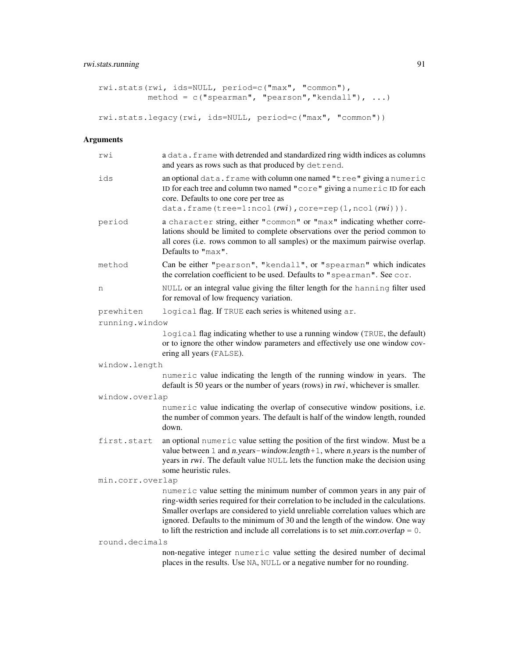# rwi.stats.running 91

```
rwi.stats(rwi, ids=NULL, period=c("max", "common"),
         method = c("spearman", "pearson", "kendall"), ...rwi.stats.legacy(rwi, ids=NULL, period=c("max", "common"))
```
# Arguments

| rwi              | a data. frame with detrended and standardized ring width indices as columns<br>and years as rows such as that produced by detrend.                                                                                                                                                                                                                                                                                              |  |
|------------------|---------------------------------------------------------------------------------------------------------------------------------------------------------------------------------------------------------------------------------------------------------------------------------------------------------------------------------------------------------------------------------------------------------------------------------|--|
| ids              | an optional data. frame with column one named "tree" giving a numeric<br>ID for each tree and column two named "core" giving a numeric ID for each<br>core. Defaults to one core per tree as<br>data.frame(tree=1:ncol(rwi),core=rep(1,ncol(rwi))).                                                                                                                                                                             |  |
| period           | a character string, either "common" or "max" indicating whether corre-<br>lations should be limited to complete observations over the period common to<br>all cores (i.e. rows common to all samples) or the maximum pairwise overlap.<br>Defaults to "max".                                                                                                                                                                    |  |
| method           | Can be either "pearson", "kendall", or "spearman" which indicates<br>the correlation coefficient to be used. Defaults to "spearman". See cor.                                                                                                                                                                                                                                                                                   |  |
| n                | NULL or an integral value giving the filter length for the hanning filter used<br>for removal of low frequency variation.                                                                                                                                                                                                                                                                                                       |  |
| prewhiten        | logical flag. If TRUE each series is whitened using ar.                                                                                                                                                                                                                                                                                                                                                                         |  |
| running.window   |                                                                                                                                                                                                                                                                                                                                                                                                                                 |  |
|                  | logical flag indicating whether to use a running window (TRUE, the default)<br>or to ignore the other window parameters and effectively use one window cov-<br>ering all years (FALSE).                                                                                                                                                                                                                                         |  |
| window.length    |                                                                                                                                                                                                                                                                                                                                                                                                                                 |  |
|                  | numeric value indicating the length of the running window in years. The<br>default is 50 years or the number of years (rows) in rwi, whichever is smaller.                                                                                                                                                                                                                                                                      |  |
| window.overlap   |                                                                                                                                                                                                                                                                                                                                                                                                                                 |  |
|                  | numeric value indicating the overlap of consecutive window positions, i.e.<br>the number of common years. The default is half of the window length, rounded<br>down.                                                                                                                                                                                                                                                            |  |
| first.start      | an optional numeric value setting the position of the first window. Must be a<br>value between $1$ and $n. years - window.length + 1$ , where $n. years$ is the number of<br>years in rwi. The default value NULL lets the function make the decision using<br>some heuristic rules.                                                                                                                                            |  |
| min.corr.overlap |                                                                                                                                                                                                                                                                                                                                                                                                                                 |  |
|                  | numeric value setting the minimum number of common years in any pair of<br>ring-width series required for their correlation to be included in the calculations.<br>Smaller overlaps are considered to yield unreliable correlation values which are<br>ignored. Defaults to the minimum of 30 and the length of the window. One way<br>to lift the restriction and include all correlations is to set $min.corr. overlap = 0$ . |  |
| round.decimals   |                                                                                                                                                                                                                                                                                                                                                                                                                                 |  |
|                  | non-negative integer numeric value setting the desired number of decimal<br>places in the results. Use NA, NULL or a negative number for no rounding.                                                                                                                                                                                                                                                                           |  |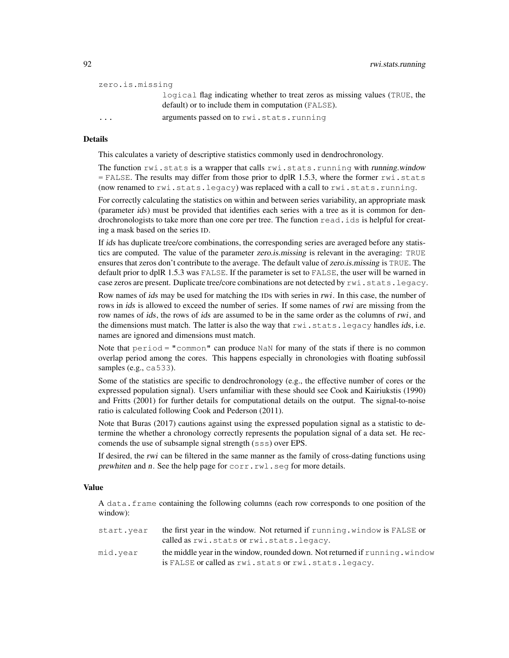| zero.is.missing         |                                                                             |
|-------------------------|-----------------------------------------------------------------------------|
|                         | logical flag indicating whether to treat zeros as missing values (TRUE, the |
|                         | default) or to include them in computation (FALSE).                         |
| $\cdot$ $\cdot$ $\cdot$ | arguments passed on to rwi.stats.running                                    |

## Details

This calculates a variety of descriptive statistics commonly used in dendrochronology.

The function rwi.stats is a wrapper that calls rwi.stats.running with running.window  $=$  FALSE. The results may differ from those prior to dplR 1.5.3, where the former  $rwi$ . stats (now renamed to rwi.stats.legacy) was replaced with a call to rwi.stats.running.

For correctly calculating the statistics on within and between series variability, an appropriate mask (parameter ids) must be provided that identifies each series with a tree as it is common for dendrochronologists to take more than one core per tree. The function read.ids is helpful for creating a mask based on the series ID.

If ids has duplicate tree/core combinations, the corresponding series are averaged before any statistics are computed. The value of the parameter zero.is.missing is relevant in the averaging: TRUE ensures that zeros don't contribute to the average. The default value of zero.is.missing is TRUE. The default prior to dplR 1.5.3 was FALSE. If the parameter is set to FALSE, the user will be warned in case zeros are present. Duplicate tree/core combinations are not detected by  $rwi$ . stats.legacy.

Row names of ids may be used for matching the IDs with series in rwi. In this case, the number of rows in *ids* is allowed to exceed the number of series. If some names of *rwi* are missing from the row names of ids, the rows of ids are assumed to be in the same order as the columns of rwi, and the dimensions must match. The latter is also the way that  $rwi$ . stats. legacy handles ids, i.e. names are ignored and dimensions must match.

Note that  $period = "common"$  can produce NaN for many of the stats if there is no common overlap period among the cores. This happens especially in chronologies with floating subfossil samples (e.g., ca533).

Some of the statistics are specific to dendrochronology (e.g., the effective number of cores or the expressed population signal). Users unfamiliar with these should see Cook and Kairiukstis (1990) and Fritts (2001) for further details for computational details on the output. The signal-to-noise ratio is calculated following Cook and Pederson (2011).

Note that Buras (2017) cautions against using the expressed population signal as a statistic to determine the whether a chronology correctly represents the population signal of a data set. He reccomends the use of subsample signal strength (sss) over EPS.

If desired, the rwi can be filtered in the same manner as the family of cross-dating functions using prewhiten and n. See the help page for corr.rwl.seg for more details.

#### Value

A data.frame containing the following columns (each row corresponds to one position of the window):

| start.year | the first year in the window. Not returned if running, window is FALSE or<br>called as rwi.stats or rwi.stats.legacy. |
|------------|-----------------------------------------------------------------------------------------------------------------------|
| mid.vear   | the middle year in the window, rounded down. Not returned if running, window                                          |
|            | is FALSE or called as rwi.stats or rwi.stats.legacy.                                                                  |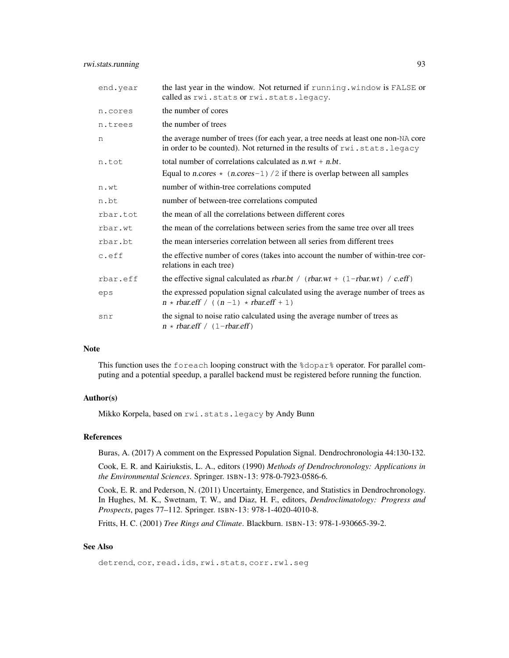| end.year | the last year in the window. Not returned if running. window is FALSE or<br>called as rwi.stats or rwi.stats.legacy.                                          |
|----------|---------------------------------------------------------------------------------------------------------------------------------------------------------------|
| n.cores  | the number of cores                                                                                                                                           |
| n.trees  | the number of trees                                                                                                                                           |
| n        | the average number of trees (for each year, a tree needs at least one non-NA core<br>in order to be counted). Not returned in the results of rwi.stats.legacy |
| n.tot    | total number of correlations calculated as $n w t + n b t$ .                                                                                                  |
|          | Equal to n.cores $\star$ (n.cores -1) /2 if there is overlap between all samples                                                                              |
| n.wt     | number of within-tree correlations computed                                                                                                                   |
| n.bt     | number of between-tree correlations computed                                                                                                                  |
| rbar.tot | the mean of all the correlations between different cores                                                                                                      |
| rbar.wt  | the mean of the correlations between series from the same tree over all trees                                                                                 |
| rbar.bt  | the mean interseries correlation between all series from different trees                                                                                      |
| c.eff    | the effective number of cores (takes into account the number of within-tree cor-<br>relations in each tree)                                                   |
| rbar.eff | the effective signal calculated as rbar.bt / $(\text{rbar.wt} + (1 - \text{rbar.wt}) / c.\text{eff})$                                                         |
| eps      | the expressed population signal calculated using the average number of trees as<br>$n * \text{rbar.eff} / ((n-1) * \text{rbar.eff} + 1)$                      |
| snr      | the signal to noise ratio calculated using the average number of trees as<br>$n * \text{rbar.} \text{eff}$ / (1-rbar.eff)                                     |

## Note

This function uses the foreach looping construct with the %dopar% operator. For parallel computing and a potential speedup, a parallel backend must be registered before running the function.

# Author(s)

Mikko Korpela, based on rwi.stats.legacy by Andy Bunn

## References

Buras, A. (2017) A comment on the Expressed Population Signal. Dendrochronologia 44:130-132.

Cook, E. R. and Kairiukstis, L. A., editors (1990) *Methods of Dendrochronology: Applications in the Environmental Sciences*. Springer. ISBN-13: 978-0-7923-0586-6.

Cook, E. R. and Pederson, N. (2011) Uncertainty, Emergence, and Statistics in Dendrochronology. In Hughes, M. K., Swetnam, T. W., and Diaz, H. F., editors, *Dendroclimatology: Progress and Prospects*, pages 77–112. Springer. ISBN-13: 978-1-4020-4010-8.

Fritts, H. C. (2001) *Tree Rings and Climate*. Blackburn. ISBN-13: 978-1-930665-39-2.

# See Also

detrend, cor, read.ids, rwi.stats, corr.rwl.seg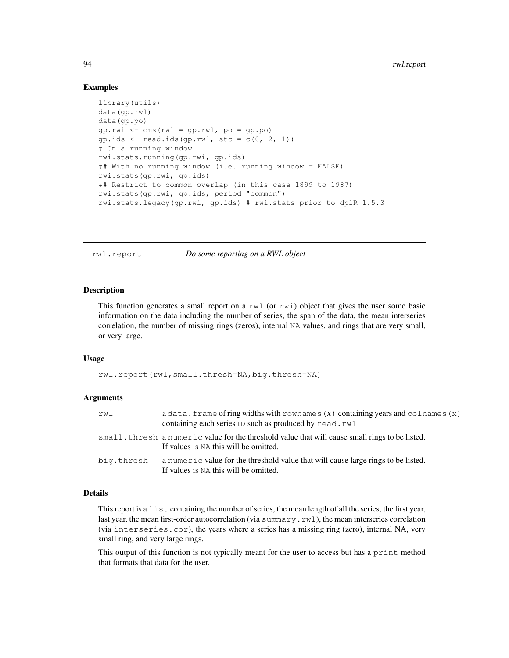## Examples

```
library(utils)
data(gp.rwl)
data(gp.po)
qp.rwi \leftarrow cms(rwl = qp.rwl, po = qp.po)gp.ids \leftarrow read.ids(gp.rwl, stc = c(0, 2, 1))
# On a running window
rwi.stats.running(gp.rwi, gp.ids)
## With no running window (i.e. running.window = FALSE)
rwi.stats(gp.rwi, gp.ids)
## Restrict to common overlap (in this case 1899 to 1987)
rwi.stats(gp.rwi, gp.ids, period="common")
rwi.stats.legacy(gp.rwi, gp.ids) # rwi.stats prior to dplR 1.5.3
```
rwl.report *Do some reporting on a RWL object*

## Description

This function generates a small report on a  $rwl$  (or  $rwi$ ) object that gives the user some basic information on the data including the number of series, the span of the data, the mean interseries correlation, the number of missing rings (zeros), internal NA values, and rings that are very small, or very large.

## Usage

rwl.report(rwl,small.thresh=NA,big.thresh=NA)

## Arguments

| rwl        | $a$ data. frame of ring widths with rownames $(x)$ containing years and colnames $(x)$<br>containing each series ID such as produced by read.rwl |
|------------|--------------------------------------------------------------------------------------------------------------------------------------------------|
|            | small.thresh a numeric value for the threshold value that will cause small rings to be listed.<br>If values is NA this will be omitted.          |
| big.thresh | a numeric value for the threshold value that will cause large rings to be listed.<br>If values is NA this will be omitted.                       |

#### Details

This report is a list containing the number of series, the mean length of all the series, the first year, last year, the mean first-order autocorrelation (via summary.rwl), the mean interseries correlation (via interseries.cor), the years where a series has a missing ring (zero), internal NA, very small ring, and very large rings.

This output of this function is not typically meant for the user to access but has a print method that formats that data for the user.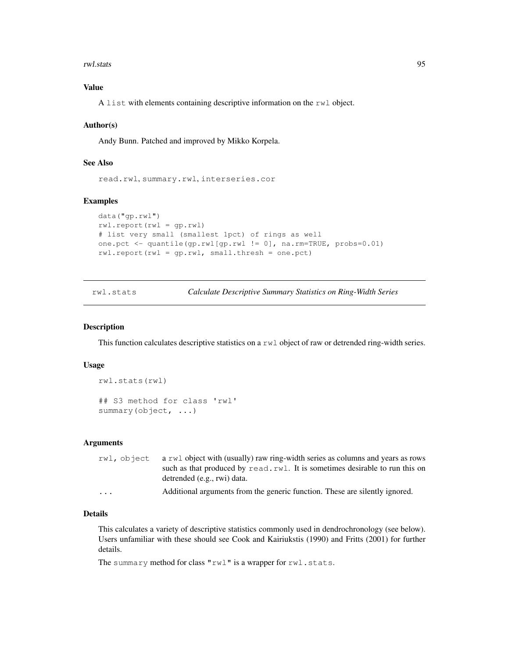rwl.stats 95

# Value

A list with elements containing descriptive information on the rwl object.

## Author(s)

Andy Bunn. Patched and improved by Mikko Korpela.

## See Also

read.rwl, summary.rwl, interseries.cor

# Examples

```
data("gp.rwl")
rwl.report(rwl = gp.rwl)
# list very small (smallest 1pct) of rings as well
one.pct <- quantile(gp.rwl[gp.rwl != 0], na.rm=TRUE, probs=0.01)
rwl.report(rwl = gp.rwl, small.thresh = one.pct)
```
rwl.stats *Calculate Descriptive Summary Statistics on Ring-Width Series*

#### Description

This function calculates descriptive statistics on a rwl object of raw or detrended ring-width series.

#### Usage

```
rwl.stats(rwl)
## S3 method for class 'rwl'
summary(object, ...)
```
## Arguments

|                         | $rwl$ , object a rwl object with (usually) raw ring-width series as columns and years as rows |
|-------------------------|-----------------------------------------------------------------------------------------------|
|                         | such as that produced by read, rwl. It is sometimes desirable to run this on                  |
|                         | detrended (e.g., rwi) data.                                                                   |
| $\cdot$ $\cdot$ $\cdot$ | Additional arguments from the generic function. These are silently ignored.                   |

# Details

This calculates a variety of descriptive statistics commonly used in dendrochronology (see below). Users unfamiliar with these should see Cook and Kairiukstis (1990) and Fritts (2001) for further details.

The summary method for class "rwl" is a wrapper for rwl.stats.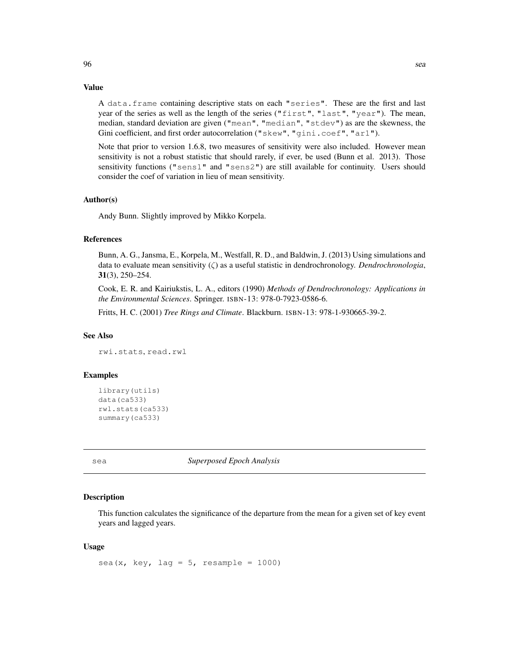## Value

A data.frame containing descriptive stats on each "series". These are the first and last year of the series as well as the length of the series ("first", "last", "year"). The mean, median, standard deviation are given ("mean", "median", "stdev") as are the skewness, the Gini coefficient, and first order autocorrelation ("skew", "gini.coef", "ar1").

Note that prior to version 1.6.8, two measures of sensitivity were also included. However mean sensitivity is not a robust statistic that should rarely, if ever, be used (Bunn et al. 2013). Those sensitivity functions ("sens1" and "sens2") are still available for continuity. Users should consider the coef of variation in lieu of mean sensitivity.

## Author(s)

Andy Bunn. Slightly improved by Mikko Korpela.

## References

Bunn, A. G., Jansma, E., Korpela, M., Westfall, R. D., and Baldwin, J. (2013) Using simulations and data to evaluate mean sensitivity (ζ) as a useful statistic in dendrochronology. *Dendrochronologia*, 31(3), 250–254.

Cook, E. R. and Kairiukstis, L. A., editors (1990) *Methods of Dendrochronology: Applications in the Environmental Sciences*. Springer. ISBN-13: 978-0-7923-0586-6.

Fritts, H. C. (2001) *Tree Rings and Climate*. Blackburn. ISBN-13: 978-1-930665-39-2.

### See Also

rwi.stats, read.rwl

## Examples

```
library(utils)
data(ca533)
rwl.stats(ca533)
summary(ca533)
```
sea *Superposed Epoch Analysis*

#### Description

This function calculates the significance of the departure from the mean for a given set of key event years and lagged years.

## Usage

sea(x, key, lag =  $5$ , resample = 1000)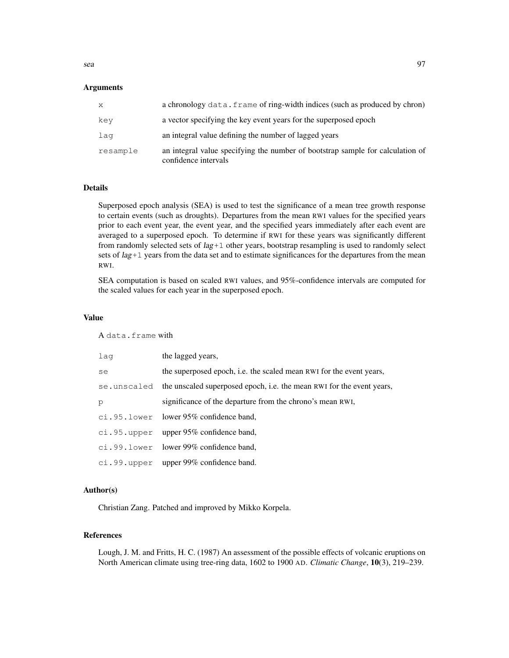## **Arguments**

| x        | a chronology data. frame of ring-width indices (such as produced by chron)                             |
|----------|--------------------------------------------------------------------------------------------------------|
| key      | a vector specifying the key event years for the superposed epoch                                       |
| laq      | an integral value defining the number of lagged years                                                  |
| resample | an integral value specifying the number of bootstrap sample for calculation of<br>confidence intervals |

## Details

Superposed epoch analysis (SEA) is used to test the significance of a mean tree growth response to certain events (such as droughts). Departures from the mean RWI values for the specified years prior to each event year, the event year, and the specified years immediately after each event are averaged to a superposed epoch. To determine if RWI for these years was significantly different from randomly selected sets of  $lag+1$  other years, bootstrap resampling is used to randomly select sets of lag+1 years from the data set and to estimate significances for the departures from the mean RWI.

SEA computation is based on scaled RWI values, and 95%-confidence intervals are computed for the scaled values for each year in the superposed epoch.

#### Value

A data.frame with

| laq | the lagged years,                                                                  |
|-----|------------------------------------------------------------------------------------|
| se  | the superposed epoch, i.e. the scaled mean RWI for the event years,                |
|     | se, unscaled the unscaled superposed epoch, i.e. the mean RWI for the event years, |
| р   | significance of the departure from the chrono's mean RWI,                          |
|     | ci.95.lower lower 95% confidence band,                                             |
|     | ci.95.upper upper $95\%$ confidence band,                                          |
|     | ci.99.lower lower 99% confidence band,                                             |
|     | $ci.99. upper$ upper $99\%$ confidence band.                                       |

# Author(s)

Christian Zang. Patched and improved by Mikko Korpela.

## References

Lough, J. M. and Fritts, H. C. (1987) An assessment of the possible effects of volcanic eruptions on North American climate using tree-ring data, 1602 to 1900 AD. *Climatic Change*, 10(3), 219–239.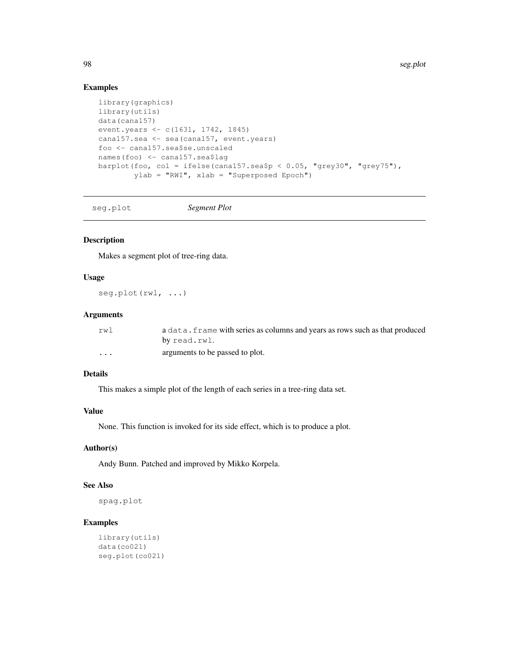98 seg.plot

# Examples

```
library(graphics)
library(utils)
data(cana157)
event.years <- c(1631, 1742, 1845)
cana157.sea <- sea(cana157, event.years)
foo <- cana157.sea$se.unscaled
names(foo) <- cana157.sea$lag
barplot(foo, col = ifelse(cana157.sea$p < 0.05, "grey30", "grey75"),
        ylab = "RWI", xlab = "Superposed Epoch")
```
seg.plot *Segment Plot*

## Description

Makes a segment plot of tree-ring data.

## Usage

seg.plot(rwl, ...)

# Arguments

| rw1     | a data. frame with series as columns and years as rows such as that produced |
|---------|------------------------------------------------------------------------------|
|         | by read.rwl.                                                                 |
| $\cdot$ | arguments to be passed to plot.                                              |

## Details

This makes a simple plot of the length of each series in a tree-ring data set.

# Value

None. This function is invoked for its side effect, which is to produce a plot.

## Author(s)

Andy Bunn. Patched and improved by Mikko Korpela.

# See Also

spag.plot

```
library(utils)
data(co021)
seg.plot(co021)
```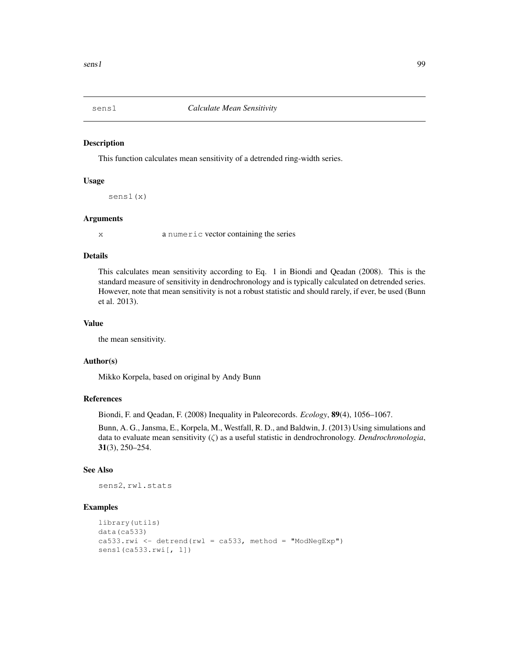This function calculates mean sensitivity of a detrended ring-width series.

## Usage

sens1(x)

## Arguments

x a numeric vector containing the series

## Details

This calculates mean sensitivity according to Eq. 1 in Biondi and Qeadan (2008). This is the standard measure of sensitivity in dendrochronology and is typically calculated on detrended series. However, note that mean sensitivity is not a robust statistic and should rarely, if ever, be used (Bunn et al. 2013).

## Value

the mean sensitivity.

## Author(s)

Mikko Korpela, based on original by Andy Bunn

## References

Biondi, F. and Qeadan, F. (2008) Inequality in Paleorecords. *Ecology*, 89(4), 1056–1067.

Bunn, A. G., Jansma, E., Korpela, M., Westfall, R. D., and Baldwin, J. (2013) Using simulations and data to evaluate mean sensitivity (ζ) as a useful statistic in dendrochronology. *Dendrochronologia*, 31(3), 250–254.

## See Also

sens2, rwl.stats

```
library(utils)
data(ca533)
ca533.rwi \leftarrow detrend(rwl = ca533, method = "ModNegExp")sens1(ca533.rwi[, 1])
```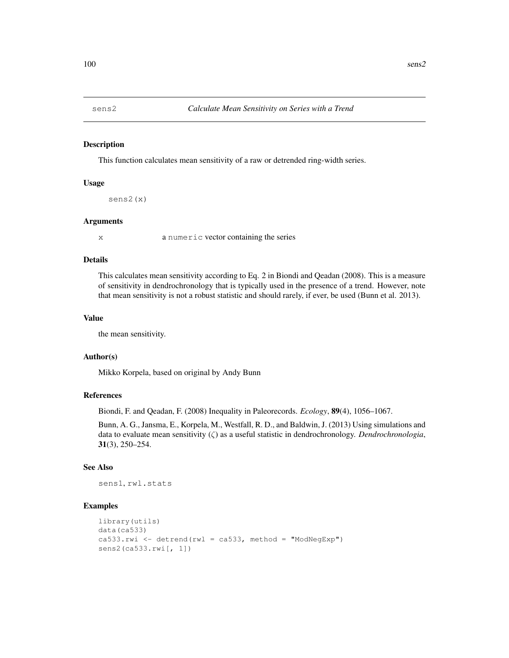This function calculates mean sensitivity of a raw or detrended ring-width series.

## Usage

sens2(x)

#### Arguments

x a numeric vector containing the series

## Details

This calculates mean sensitivity according to Eq. 2 in Biondi and Qeadan (2008). This is a measure of sensitivity in dendrochronology that is typically used in the presence of a trend. However, note that mean sensitivity is not a robust statistic and should rarely, if ever, be used (Bunn et al. 2013).

#### Value

the mean sensitivity.

## Author(s)

Mikko Korpela, based on original by Andy Bunn

## References

Biondi, F. and Qeadan, F. (2008) Inequality in Paleorecords. *Ecology*, 89(4), 1056–1067.

Bunn, A. G., Jansma, E., Korpela, M., Westfall, R. D., and Baldwin, J. (2013) Using simulations and data to evaluate mean sensitivity (ζ) as a useful statistic in dendrochronology. *Dendrochronologia*, 31(3), 250–254.

#### See Also

sens1, rwl.stats

```
library(utils)
data(ca533)
ca533.rwi <- detrend(rwl = ca533, method = "ModNegExp")
sens2(ca533.rwi[, 1])
```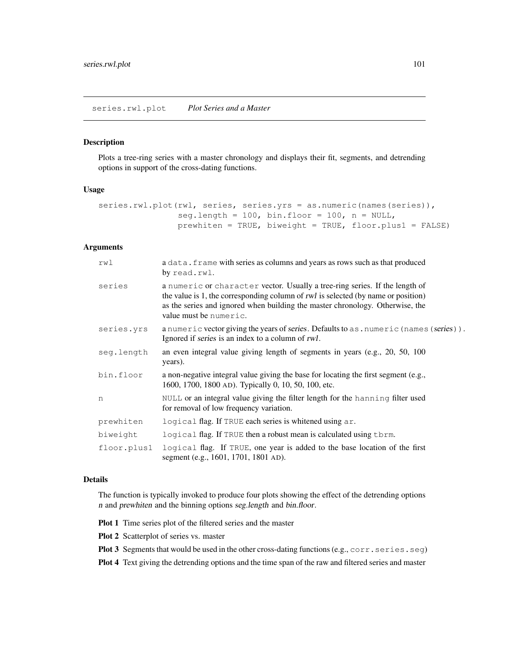Plots a tree-ring series with a master chronology and displays their fit, segments, and detrending options in support of the cross-dating functions.

## Usage

```
series.rwl.plot(rwl, series, series.yrs = as.numeric(names(series)),
                seg.length = 100, bin.floor = 100, n = NULL,
                prewhiten = TRUE, biweight = TRUE, floor.plus1 = FALSE)
```
# Arguments

| rwl         | a data. frame with series as columns and years as rows such as that produced<br>by read.rwl.                                                                                                                                                                                |
|-------------|-----------------------------------------------------------------------------------------------------------------------------------------------------------------------------------------------------------------------------------------------------------------------------|
| series      | a numeric or character vector. Usually a tree-ring series. If the length of<br>the value is 1, the corresponding column of rwl is selected (by name or position)<br>as the series and ignored when building the master chronology. Otherwise, the<br>value must be numeric. |
| series.yrs  | a numeric vector giving the years of series. Defaults to as . numeric (names (series)).<br>Ignored if series is an index to a column of rwl.                                                                                                                                |
| seg.length  | an even integral value giving length of segments in years (e.g., 20, 50, 100)<br>years).                                                                                                                                                                                    |
| bin.floor   | a non-negative integral value giving the base for locating the first segment (e.g.,<br>1600, 1700, 1800 AD). Typically 0, 10, 50, 100, etc.                                                                                                                                 |
| n           | NULL or an integral value giving the filter length for the hanning filter used<br>for removal of low frequency variation.                                                                                                                                                   |
| prewhiten   | logical flag. If TRUE each series is whitened using ar.                                                                                                                                                                                                                     |
| biweight    | logical flag. If TRUE then a robust mean is calculated using them.                                                                                                                                                                                                          |
| floor.plus1 | logical flag. If TRUE, one year is added to the base location of the first<br>segment (e.g., 1601, 1701, 1801 AD).                                                                                                                                                          |

# Details

The function is typically invoked to produce four plots showing the effect of the detrending options n and prewhiten and the binning options seg.length and bin.floor.

Plot 1 Time series plot of the filtered series and the master

- Plot 2 Scatterplot of series vs. master
- Plot 3 Segments that would be used in the other cross-dating functions (e.g., corr.series.seg)

Plot 4 Text giving the detrending options and the time span of the raw and filtered series and master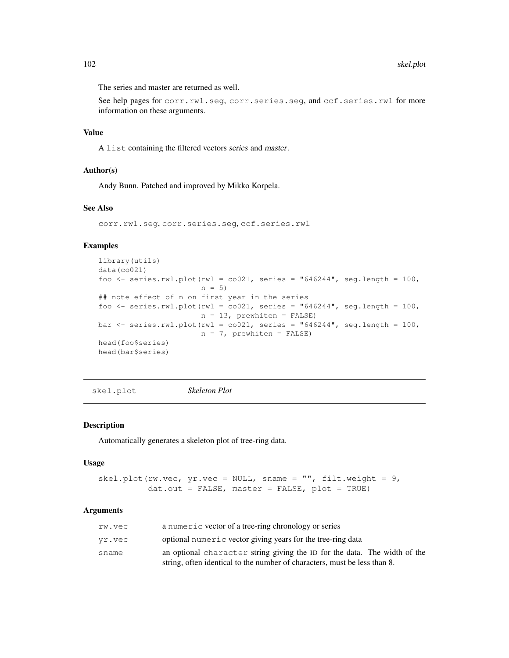The series and master are returned as well.

See help pages for corr.rwl.seg, corr.series.seg, and ccf.series.rwl for more information on these arguments.

# Value

A list containing the filtered vectors series and master.

## Author(s)

Andy Bunn. Patched and improved by Mikko Korpela.

## See Also

```
corr.rwl.seg, corr.series.seg, ccf.series.rwl
```
## Examples

```
library(utils)
data(co021)
foo <- series.rwl.plot(rwl = co021, series = "646244", seg.length = 100,
                       n = 5)
## note effect of n on first year in the series
foo \le series.rwl.plot(rwl = co021, series = "646244", seg.length = 100,
                       n = 13, prewhiten = FALSE)
bar \le series.rwl.plot(rwl = co021, series = "646244", seg.length = 100,
                       n = 7, prewhiten = FALSE)
head(foo$series)
head(bar$series)
```
skel.plot *Skeleton Plot*

## Description

Automatically generates a skeleton plot of tree-ring data.

#### Usage

```
skel.plot(rw.vec, yr.vec = NULL, sname = "", filt.weight = 9,
          dat.out = FALSE, master = FALSE, plot = TRUE)
```
## Arguments

| rw.vec | a numeric vector of a tree-ring chronology or series                      |
|--------|---------------------------------------------------------------------------|
| vr.vec | optional numeric vector giving years for the tree-ring data               |
| sname  | an optional character string giving the ID for the data. The width of the |
|        | string, often identical to the number of characters, must be less than 8. |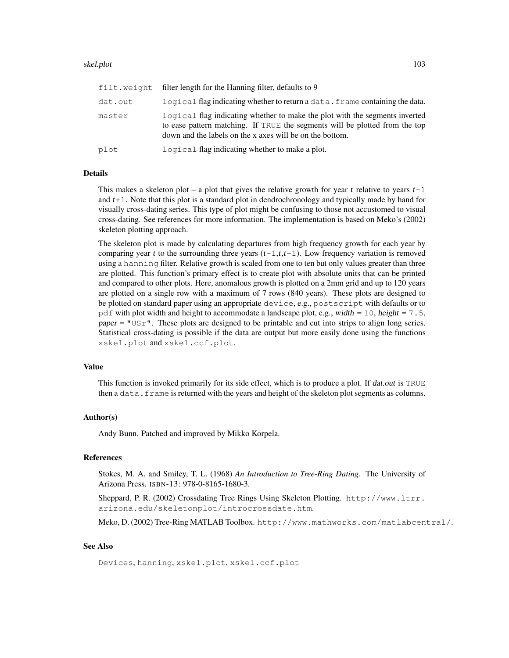## skel.plot 103

| filt.weight | filter length for the Hanning filter, defaults to 9                                                                                                                                                                    |
|-------------|------------------------------------------------------------------------------------------------------------------------------------------------------------------------------------------------------------------------|
| dat.out     | logical flag indicating whether to return a data. frame containing the data.                                                                                                                                           |
| master      | logical flag indicating whether to make the plot with the segments inverted<br>to ease pattern matching. If TRUE the segments will be plotted from the top<br>down and the labels on the x axes will be on the bottom. |
| plot        | logical flag indicating whether to make a plot.                                                                                                                                                                        |
|             |                                                                                                                                                                                                                        |

## Details

This makes a skeleton plot – a plot that gives the relative growth for year t relative to years  $t-1$ and t+1. Note that this plot is a standard plot in dendrochronology and typically made by hand for visually cross-dating series. This type of plot might be confusing to those not accustomed to visual cross-dating. See references for more information. The implementation is based on Meko's (2002) skeleton plotting approach.

The skeleton plot is made by calculating departures from high frequency growth for each year by comparing year t to the surrounding three years  $(t-1,t,t+1)$ . Low frequency variation is removed using a hanning filter. Relative growth is scaled from one to ten but only values greater than three are plotted. This function's primary effect is to create plot with absolute units that can be printed and compared to other plots. Here, anomalous growth is plotted on a 2mm grid and up to 120 years are plotted on a single row with a maximum of 7 rows (840 years). These plots are designed to be plotted on standard paper using an appropriate device, e.g., postscript with defaults or to pdf with plot width and height to accommodate a landscape plot, e.g., width = 10, height =  $7.5$ , paper = "USr". These plots are designed to be printable and cut into strips to align long series. Statistical cross-dating is possible if the data are output but more easily done using the functions xskel.plot and xskel.ccf.plot.

## Value

This function is invoked primarily for its side effect, which is to produce a plot. If dat.out is TRUE then a data. frame is returned with the years and height of the skeleton plot segments as columns.

#### Author(s)

Andy Bunn. Patched and improved by Mikko Korpela.

## References

Stokes, M. A. and Smiley, T. L. (1968) *An Introduction to Tree-Ring Dating*. The University of Arizona Press. ISBN-13: 978-0-8165-1680-3.

Sheppard, P. R. (2002) Crossdating Tree Rings Using Skeleton Plotting. http://www.ltrr. arizona.edu/skeletonplot/introcrossdate.htm.

Meko, D. (2002) Tree-Ring MATLAB Toolbox. http://www.mathworks.com/matlabcentral/.

# See Also

Devices, hanning, xskel.plot, xskel.ccf.plot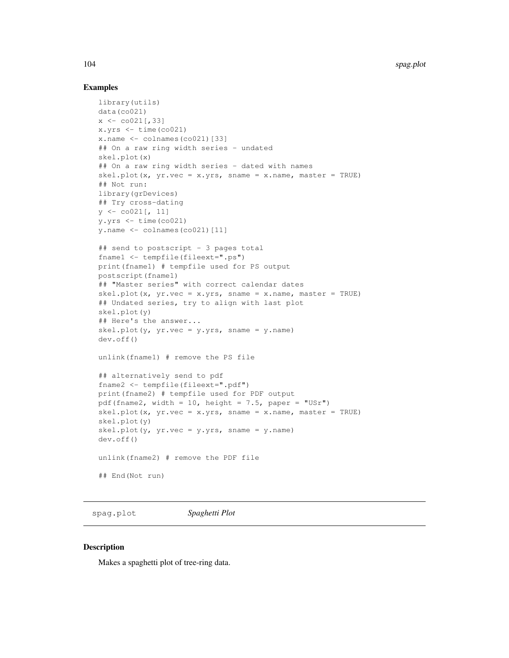## Examples

```
library(utils)
data(co021)
x \leftarrow \text{co021} [, 33]
x.yrs \leftarrow time (co021)x.name \leftarrow columnes(co021)[33]## On a raw ring width series - undated
skel.plot(x)
## On a raw ring width series - dated with names
skel.plot(x, yr.vec = x.yrs, sname = x.name, master = TRUE)
## Not run:
library(grDevices)
## Try cross-dating
y \leftarrow \text{co021}[, 11]y.yrs \leftarrow time(co021)y.name \leftarrow colnames(co021)[11]## send to postscript - 3 pages total
fname1 <- tempfile(fileext=".ps")
print(fname1) # tempfile used for PS output
postscript(fname1)
## "Master series" with correct calendar dates
skel.plot(x, yr.vec = x.yrs, sname = x.name, master = TRUE)
## Undated series, try to align with last plot
skel.plot(y)
## Here's the answer...
skel.plot(y, yr.vec = y.yrs, sname = y.name)
dev.off()
unlink(fname1) # remove the PS file
## alternatively send to pdf
fname2 <- tempfile(fileext=".pdf")
print(fname2) # tempfile used for PDF output
pdf(fname2, width = 10, height = 7.5, paper = "USr")
skel.plot(x, yr.vec = x.yrs, sname = x.name, master = TRUE)
skel.plot(y)
skel.plot(y, yr.vec = y.yrs, sname = y.name)
dev.off()
unlink(fname2) # remove the PDF file
## End(Not run)
```
spag.plot *Spaghetti Plot*

## **Description**

Makes a spaghetti plot of tree-ring data.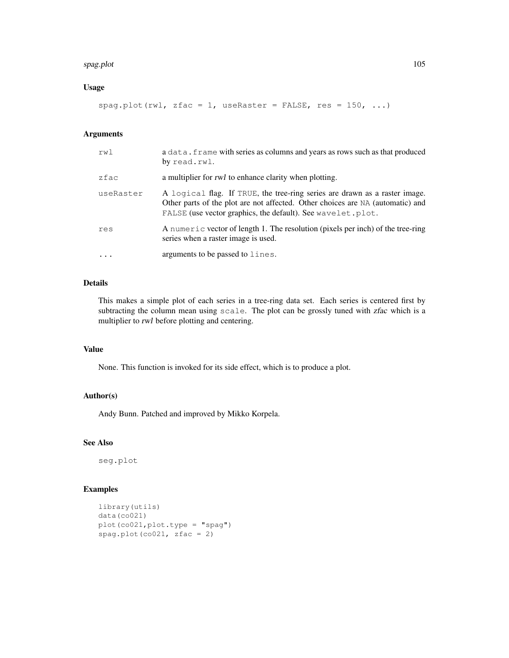#### spag.plot the state of the state of the state of the state of the state of the state of the state of the state of the state of the state of the state of the state of the state of the state of the state of the state of the

## Usage

```
spag.plot(rwl, zfac = 1, useRaster = FALSE, res = 150, ...)
```
## Arguments

| rwl       | a data. frame with series as columns and years as rows such as that produced<br>by read.rwl.                                                                                                                                 |
|-----------|------------------------------------------------------------------------------------------------------------------------------------------------------------------------------------------------------------------------------|
| zfac      | a multiplier for <i>rwl</i> to enhance clarity when plotting.                                                                                                                                                                |
| useRaster | A logical flag. If TRUE, the tree-ring series are drawn as a raster image.<br>Other parts of the plot are not affected. Other choices are NA (automatic) and<br>FALSE (use vector graphics, the default). See wavelet. plot. |
| res       | A numeric vector of length 1. The resolution (pixels per inch) of the tree-ring<br>series when a raster image is used.                                                                                                       |
| $\ddotsc$ | arguments to be passed to lines.                                                                                                                                                                                             |

## Details

This makes a simple plot of each series in a tree-ring data set. Each series is centered first by subtracting the column mean using scale. The plot can be grossly tuned with zfac which is a multiplier to rwl before plotting and centering.

## Value

None. This function is invoked for its side effect, which is to produce a plot.

#### Author(s)

Andy Bunn. Patched and improved by Mikko Korpela.

## See Also

seg.plot

```
library(utils)
data(co021)
plot(co021,plot.type = "spag")
spag.plot(co021, zfac = 2)
```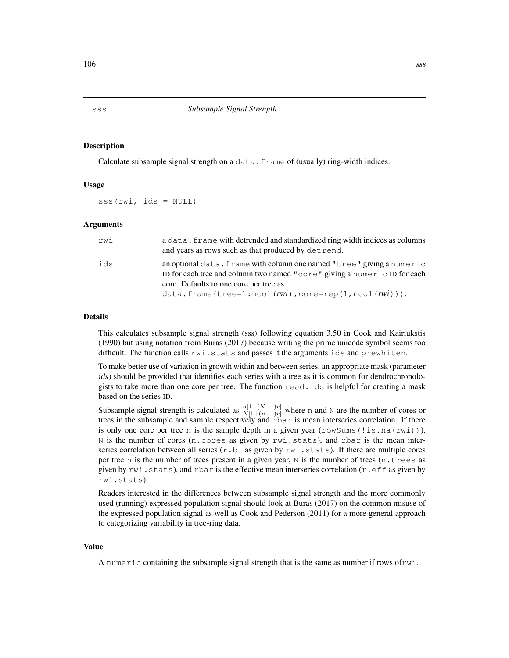Calculate subsample signal strength on a  $data$ . frame of (usually) ring-width indices.

## Usage

sss(rwi, ids = NULL)

## **Arguments**

| rwi | a data. frame with detrended and standardized ring width indices as columns<br>and years as rows such as that produced by det rend.                                                                                                                    |
|-----|--------------------------------------------------------------------------------------------------------------------------------------------------------------------------------------------------------------------------------------------------------|
| ids | an optional data. frame with column one named "tree" giving a numeric<br>ID for each tree and column two named "core" giving a numeric ID for each<br>core. Defaults to one core per tree as<br>$data. frame(tree=1:ncol(rwi),core=rep(1,ncol(rwi))).$ |

## Details

This calculates subsample signal strength (sss) following equation 3.50 in Cook and Kairiukstis (1990) but using notation from Buras (2017) because writing the prime unicode symbol seems too difficult. The function calls  $rwi$ . stats and passes it the arguments ids and prewhiten.

To make better use of variation in growth within and between series, an appropriate mask (parameter ids) should be provided that identifies each series with a tree as it is common for dendrochronologists to take more than one core per tree. The function read.ids is helpful for creating a mask based on the series ID.

Subsample signal strength is calculated as  $\frac{n[1+(N-1)\bar{r}]}{N[1+(n-1)\bar{r}]}$  where n and N are the number of cores or trees in the subsample and sample respectively and rbar is mean interseries correlation. If there is only one core per tree n is the sample depth in a given year (rowSums(!is.na(rwi))), N is the number of cores (n.cores as given by rwi.stats), and rbar is the mean interseries correlation between all series  $(r. b t$  as given by  $rwi$ . stats). If there are multiple cores per tree n is the number of trees present in a given year,  $N$  is the number of trees (n.trees as given by  $rwi$ . stats), and rbar is the effective mean interseries correlation ( $r$ . eff as given by rwi.stats).

Readers interested in the differences between subsample signal strength and the more commonly used (running) expressed population signal should look at Buras (2017) on the common misuse of the expressed population signal as well as Cook and Pederson (2011) for a more general approach to categorizing variability in tree-ring data.

#### Value

A numeric containing the subsample signal strength that is the same as number if rows ofrwi.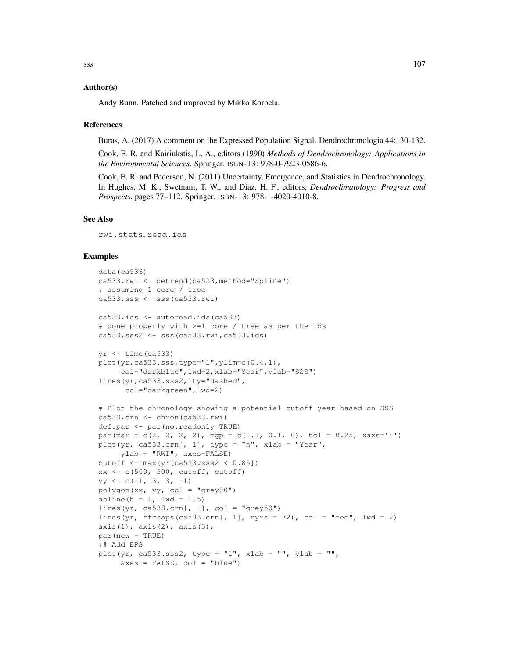#### Author(s)

Andy Bunn. Patched and improved by Mikko Korpela.

## References

Buras, A. (2017) A comment on the Expressed Population Signal. Dendrochronologia 44:130-132.

Cook, E. R. and Kairiukstis, L. A., editors (1990) *Methods of Dendrochronology: Applications in the Environmental Sciences*. Springer. ISBN-13: 978-0-7923-0586-6.

Cook, E. R. and Pederson, N. (2011) Uncertainty, Emergence, and Statistics in Dendrochronology. In Hughes, M. K., Swetnam, T. W., and Diaz, H. F., editors, *Dendroclimatology: Progress and Prospects*, pages 77–112. Springer. ISBN-13: 978-1-4020-4010-8.

## See Also

rwi.stats, read.ids

```
data(ca533)
ca533.rwi <- detrend(ca533,method="Spline")
# assuming 1 core / tree
ca533.sss <- sss(ca533.rwi)
ca533.ids <- autoread.ids(ca533)
# done properly with >=1 core / tree as per the ids
ca533.sss2 <- sss(ca533.rwi,ca533.ids)
yr < - time(ca533)
plot(yr,ca533.sss,type="l",ylim=c(0.4,1),
     col="darkblue",lwd=2,xlab="Year",ylab="SSS")
lines(yr,ca533.sss2,lty="dashed",
      col="darkgreen",lwd=2)
# Plot the chronology showing a potential cutoff year based on SSS
ca533.crn <- chron(ca533.rwi)
def.par <- par(no.readonly=TRUE)
par(mar = c(2, 2, 2, 2), mgp = c(1.1, 0.1, 0), tcl = 0.25, xaxs='i')
plot(yr, ca533.crn[, 1], type = "n", xlab = "Year",ylab = "RWI", axes=FALSE)
cutoff <- max(yr[ca533.sss2 < 0.85])
xx \leftarrow c(500, 500, cutoff, cutoff)yy \leftarrow c(-1, 3, 3, -1)polygon(xx, yy, col = "grey80")abline(h = 1, 1wd = 1.5)
lines(yr, ca533.crn[, 1], col = "grey50")
lines(yr, ffcsaps(ca533.crn[, 1], nyrs = 32), col = "red", lwd = 2)
axis(1); axis(2); axis(3);
par(new = TRUE)
## Add EPS
plot(yr, ca533.sss2, type = "l", xlab = "", ylab = "",
     axes = FALSE, col = "blue")
```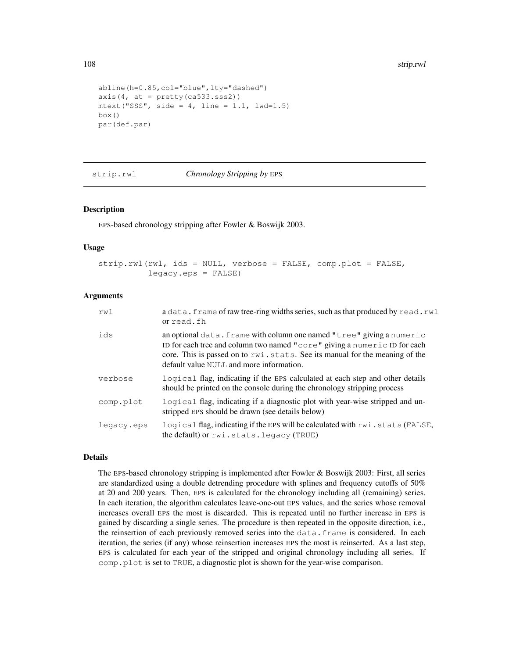```
abline(h=0.85,col="blue",lty="dashed")
axis(4, at = pretry(ca533.sss2))
mtext{text("SSS", side = 4, line = 1.1, lwd=1.5)}box()
par(def.par)
```
strip.rwl *Chronology Stripping by* EPS

## Description

EPS-based chronology stripping after Fowler & Boswijk 2003.

#### Usage

```
strip.rwl(rwl, ids = NULL, verbose = FALSE, comp.plot = FALSE,
          legacy.eps = FALSE)
```
## Arguments

| rw1        | a data. frame of raw tree-ring widths series, such as that produced by read.rwl<br>or read.fh                                                                                                                                                                                 |
|------------|-------------------------------------------------------------------------------------------------------------------------------------------------------------------------------------------------------------------------------------------------------------------------------|
| ids        | an optional data. frame with column one named "tree" giving a numeric<br>ID for each tree and column two named "core" giving a numeric ID for each<br>core. This is passed on to rwi.stats. See its manual for the meaning of the<br>default value NULL and more information. |
| verbose    | logical flag, indicating if the EPS calculated at each step and other details<br>should be printed on the console during the chronology stripping process                                                                                                                     |
| comp.plot  | logical flag, indicating if a diagnostic plot with year-wise stripped and un-<br>stripped EPS should be drawn (see details below)                                                                                                                                             |
| legacy.eps | logical flag, indicating if the EPS will be calculated with rwi.stats (FALSE,<br>the default) or rwi.stats.legacy (TRUE)                                                                                                                                                      |

# Details

The EPS-based chronology stripping is implemented after Fowler & Boswijk 2003: First, all series are standardized using a double detrending procedure with splines and frequency cutoffs of 50% at 20 and 200 years. Then, EPS is calculated for the chronology including all (remaining) series. In each iteration, the algorithm calculates leave-one-out EPS values, and the series whose removal increases overall EPS the most is discarded. This is repeated until no further increase in EPS is gained by discarding a single series. The procedure is then repeated in the opposite direction, i.e., the reinsertion of each previously removed series into the data.frame is considered. In each iteration, the series (if any) whose reinsertion increases EPS the most is reinserted. As a last step, EPS is calculated for each year of the stripped and original chronology including all series. If comp.plot is set to TRUE, a diagnostic plot is shown for the year-wise comparison.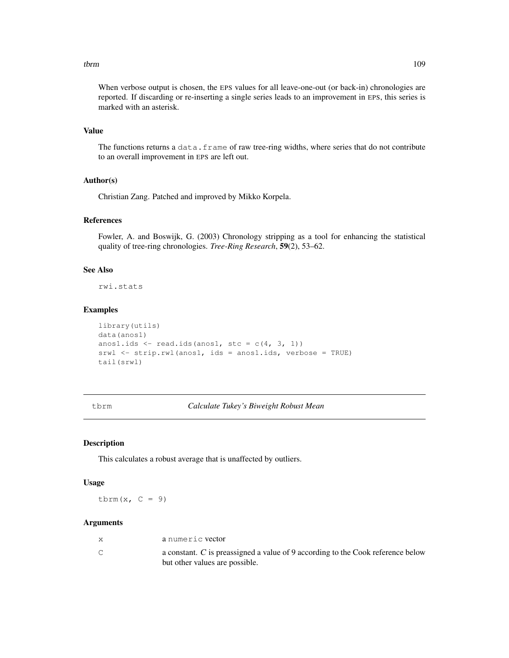#### tbrm the contract of the contract of the contract of the contract of the contract of the contract of the contract of the contract of the contract of the contract of the contract of the contract of the contract of the contr

When verbose output is chosen, the EPS values for all leave-one-out (or back-in) chronologies are reported. If discarding or re-inserting a single series leads to an improvement in EPS, this series is marked with an asterisk.

# Value

The functions returns a data.frame of raw tree-ring widths, where series that do not contribute to an overall improvement in EPS are left out.

# Author(s)

Christian Zang. Patched and improved by Mikko Korpela.

# References

Fowler, A. and Boswijk, G. (2003) Chronology stripping as a tool for enhancing the statistical quality of tree-ring chronologies. *Tree-Ring Research*, 59(2), 53–62.

# See Also

rwi.stats

# Examples

```
library(utils)
data(anos1)
anos1.ids \leftarrow read.ids(anos1, stc = c(4, 3, 1))
srwl <- strip.rwl(anos1, ids = anos1.ids, verbose = TRUE)
tail(srwl)
```
tbrm *Calculate Tukey's Biweight Robust Mean*

# Description

This calculates a robust average that is unaffected by outliers.

## Usage

tbrm $(x, C = 9)$ 

# Arguments

| a numeric vector                                                                                                  |
|-------------------------------------------------------------------------------------------------------------------|
| a constant. C is preassigned a value of 9 according to the Cook reference below<br>but other values are possible. |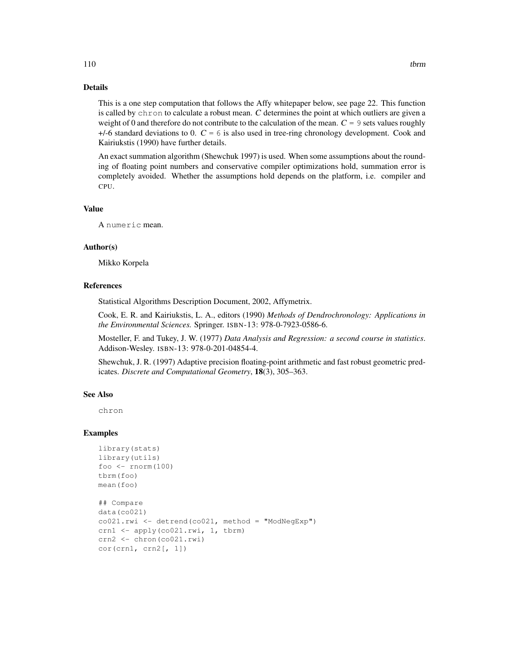# Details

This is a one step computation that follows the Affy whitepaper below, see page 22. This function is called by chron to calculate a robust mean. C determines the point at which outliers are given a weight of 0 and therefore do not contribute to the calculation of the mean.  $C = 9$  sets values roughly  $+/-6$  standard deviations to 0.  $C = 6$  is also used in tree-ring chronology development. Cook and Kairiukstis (1990) have further details.

An exact summation algorithm (Shewchuk 1997) is used. When some assumptions about the rounding of floating point numbers and conservative compiler optimizations hold, summation error is completely avoided. Whether the assumptions hold depends on the platform, i.e. compiler and CPU.

## Value

A numeric mean.

#### Author(s)

Mikko Korpela

# References

Statistical Algorithms Description Document, 2002, Affymetrix.

Cook, E. R. and Kairiukstis, L. A., editors (1990) *Methods of Dendrochronology: Applications in the Environmental Sciences.* Springer. ISBN-13: 978-0-7923-0586-6.

Mosteller, F. and Tukey, J. W. (1977) *Data Analysis and Regression: a second course in statistics*. Addison-Wesley. ISBN-13: 978-0-201-04854-4.

Shewchuk, J. R. (1997) Adaptive precision floating-point arithmetic and fast robust geometric predicates. *Discrete and Computational Geometry*, 18(3), 305–363.

## See Also

chron

```
library(stats)
library(utils)
foo <- rnorm(100)
tbrm(foo)
mean(foo)
## Compare
data(co021)
co021.rwi <- detrend(co021, method = "ModNegExp")
crn1 <- apply(co021.rwi, 1, tbrm)
crn2 <- chron(co021.rwi)
cor(crn1, crn2[, 1])
```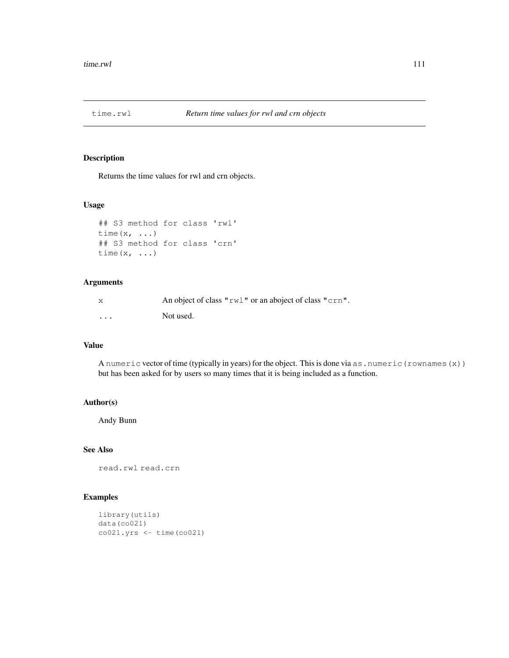# Description

Returns the time values for rwl and crn objects.

# Usage

```
## S3 method for class 'rwl'
time(x, \ldots)## S3 method for class 'crn'
time(x, \ldots)
```
# Arguments

| X        | An object of class "rwl" or an aboject of class "crn". |
|----------|--------------------------------------------------------|
| $\cdots$ | Not used.                                              |

# Value

A numeric vector of time (typically in years) for the object. This is done via as.numeric(rownames(x)) but has been asked for by users so many times that it is being included as a function.

# Author(s)

Andy Bunn

# See Also

read.rwl read.crn

```
library(utils)
data(co021)
co021.yrs <- time(co021)
```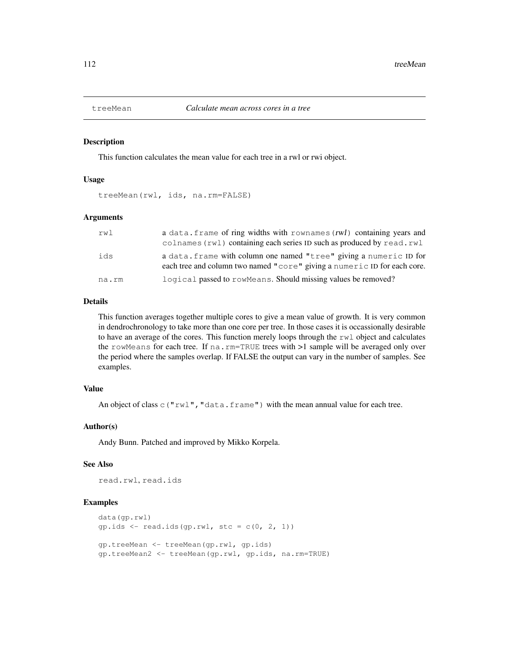## Description

This function calculates the mean value for each tree in a rwl or rwi object.

## Usage

treeMean(rwl, ids, na.rm=FALSE)

## Arguments

| rwl   | a data. frame of ring widths with rownames (rwl) containing years and<br>colnames (rwl) containing each series ID such as produced by read.rwl |
|-------|------------------------------------------------------------------------------------------------------------------------------------------------|
| ids   | a data. frame with column one named "tree" giving a numeric ID for<br>each tree and column two named "core" giving a numeric ID for each core. |
| na.rm | logical passed to rowMeans. Should missing values be removed?                                                                                  |

# Details

This function averages together multiple cores to give a mean value of growth. It is very common in dendrochronology to take more than one core per tree. In those cases it is occassionally desirable to have an average of the cores. This function merely loops through the  $rwl$  object and calculates the rowMeans for each tree. If na.rm=TRUE trees with >1 sample will be averaged only over the period where the samples overlap. If FALSE the output can vary in the number of samples. See examples.

# Value

An object of class  $\circ$  ("rwl", "data.frame") with the mean annual value for each tree.

## Author(s)

Andy Bunn. Patched and improved by Mikko Korpela.

## See Also

read.rwl, read.ids

```
data(gp.rwl)
gp.ids \leftarrow read.ids(gp.rwl, stc = c(0, 2, 1))
gp.treeMean <- treeMean(gp.rwl, gp.ids)
gp.treeMean2 <- treeMean(gp.rwl, gp.ids, na.rm=TRUE)
```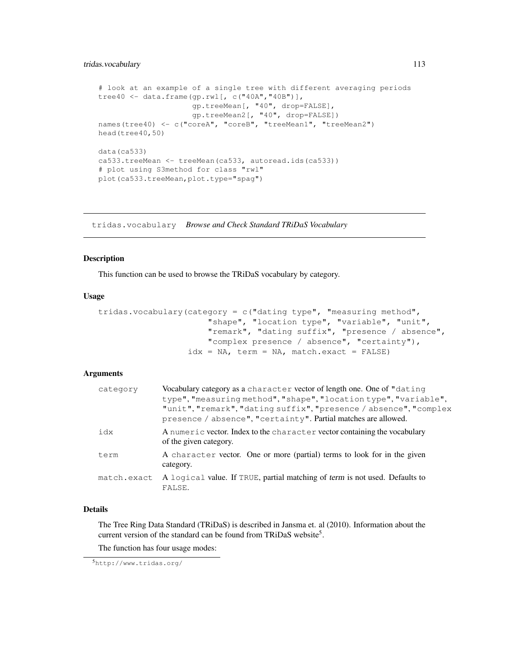# tridas.vocabulary 113

```
# look at an example of a single tree with different averaging periods
tree40 <- data.frame(gp.rwl[, c("40A","40B")],
                     gp.treeMean[, "40", drop=FALSE],
                     gp.treeMean2[, "40", drop=FALSE])
names(tree40) <- c("coreA", "coreB", "treeMean1", "treeMean2")
head(tree40,50)
data(ca533)
ca533.treeMean <- treeMean(ca533, autoread.ids(ca533))
# plot using S3method for class "rwl"
plot(ca533.treeMean,plot.type="spag")
```
tridas.vocabulary *Browse and Check Standard TRiDaS Vocabulary*

## Description

This function can be used to browse the TRiDaS vocabulary by category.

# Usage

```
tridas.vocabulary(category = c("dating type", "measuring method",
                      "shape", "location type", "variable", "unit",
                      "remark", "dating suffix", "presence / absence",
                      "complex presence / absence", "certainty"),
                  idx = NA, term = NA, match.exact = FALSE)
```
# Arguments

| category    | Vocabulary category as a character vector of length one. One of "dating"<br>type", "measuring method", "shape", "location type", "variable",<br>"unit", "remark", "dating suffix", "presence / absence", "complex<br>presence / absence", "certainty". Partial matches are allowed. |
|-------------|-------------------------------------------------------------------------------------------------------------------------------------------------------------------------------------------------------------------------------------------------------------------------------------|
| idx         | A numeric vector. Index to the character vector containing the vocabulary<br>of the given category.                                                                                                                                                                                 |
| term        | A character vector. One or more (partial) terms to look for in the given<br>category.                                                                                                                                                                                               |
| match.exact | A logical value. If TRUE, partial matching of term is not used. Defaults to<br>FALSE.                                                                                                                                                                                               |

# Details

The Tree Ring Data Standard (TRiDaS) is described in Jansma et. al (2010). Information about the current version of the standard can be found from TRiDaS website<sup>5</sup>.

The function has four usage modes:

<sup>5</sup>http://www.tridas.org/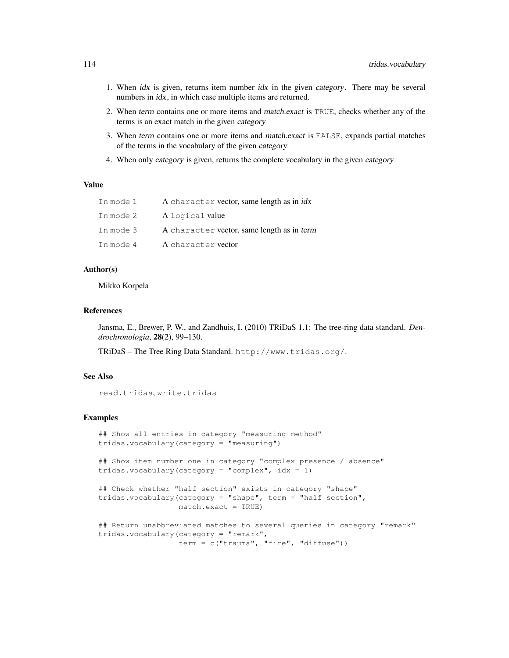- 1. When idx is given, returns item number idx in the given category. There may be several numbers in *idx*, in which case multiple items are returned.
- 2. When term contains one or more items and match.exact is TRUE, checks whether any of the terms is an exact match in the given category
- 3. When term contains one or more items and match.exact is FALSE, expands partial matches of the terms in the vocabulary of the given category
- 4. When only category is given, returns the complete vocabulary in the given category

# Value

| In mode 1 | A character vector, same length as in <i>idx</i> |
|-----------|--------------------------------------------------|
| In mode 2 | A logical value                                  |
| In mode 3 | A character vector, same length as in term       |
| In mode 4 | A character vector                               |

# Author(s)

Mikko Korpela

#### References

Jansma, E., Brewer, P. W., and Zandhuis, I. (2010) TRiDaS 1.1: The tree-ring data standard. *Dendrochronologia*, 28(2), 99–130.

TRiDaS – The Tree Ring Data Standard. http://www.tridas.org/.

## See Also

read.tridas, write.tridas

```
## Show all entries in category "measuring method"
tridas.vocabulary(category = "measuring")
## Show item number one in category "complex presence / absence"
tridas.vocabulary(category = "complex", idx = 1)
## Check whether "half section" exists in category "shape"
tridas.vocabulary(category = "shape", term = "half section",
                 match.exact = TRUE)
## Return unabbreviated matches to several queries in category "remark"
tridas.vocabulary(category = "remark",
                 term = c("trauma", "fire", "diffuse"))
```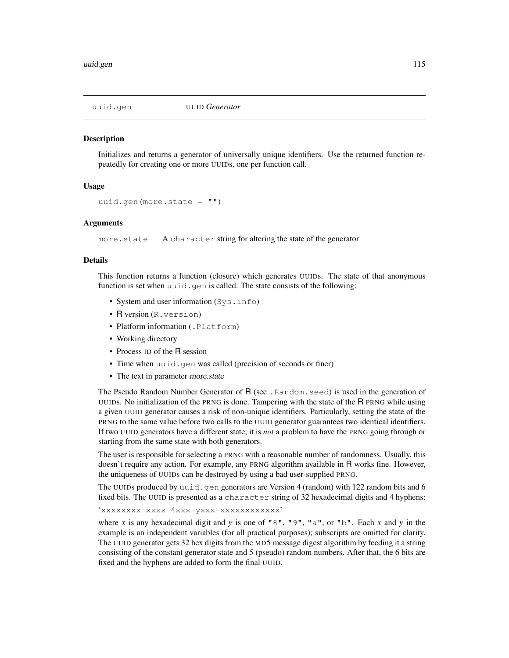## **Description**

Initializes and returns a generator of universally unique identifiers. Use the returned function repeatedly for creating one or more UUIDs, one per function call.

## Usage

```
uuid.gen(more.state = ''')
```
## Arguments

more.state A character string for altering the state of the generator

# Details

This function returns a function (closure) which generates UUIDs. The state of that anonymous function is set when uuid.gen is called. The state consists of the following:

- System and user information (Sys.info)
- R version (R, version)
- Platform information (.Platform)
- Working directory
- Process ID of the R session
- Time when uuid.gen was called (precision of seconds or finer)
- The text in parameter more.state

The Pseudo Random Number Generator of R (see .Random.seed) is used in the generation of UUIDs. No initialization of the PRNG is done. Tampering with the state of the R PRNG while using a given UUID generator causes a risk of non-unique identifiers. Particularly, setting the state of the PRNG to the same value before two calls to the UUID generator guarantees two identical identifiers. If two UUID generators have a different state, it is *not* a problem to have the PRNG going through or starting from the same state with both generators.

The user is responsible for selecting a PRNG with a reasonable number of randomness. Usually, this doesn't require any action. For example, any PRNG algorithm available in R works fine. However, the uniqueness of UUIDs can be destroyed by using a bad user-supplied PRNG.

The UUIDs produced by uuid.gen generators are Version 4 (random) with 122 random bits and  $6$ fixed bits. The UUID is presented as a character string of 32 hexadecimal digits and 4 hyphens:

'xxxxxxxx-xxxx-4xxx-yxxx-xxxxxxxxxxxx'

where x is any hexadecimal digit and y is one of "8", "9", "a", or "b". Each x and y in the example is an independent variables (for all practical purposes); subscripts are omitted for clarity. The UUID generator gets 32 hex digits from the MD5 message digest algorithm by feeding it a string consisting of the constant generator state and 5 (pseudo) random numbers. After that, the 6 bits are fixed and the hyphens are added to form the final UUID.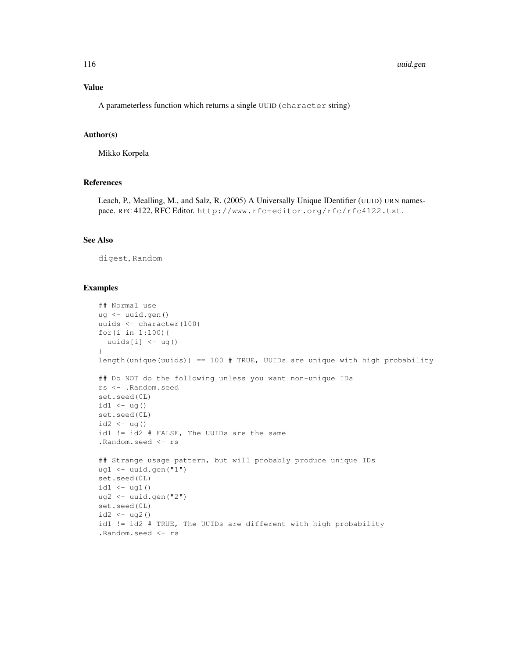#### 116 uuid.gen

## Value

A parameterless function which returns a single UUID (character string)

## Author(s)

Mikko Korpela

# References

Leach, P., Mealling, M., and Salz, R. (2005) A Universally Unique IDentifier (UUID) URN namespace. RFC 4122, RFC Editor. http://www.rfc-editor.org/rfc/rfc4122.txt.

# See Also

digest, Random

```
## Normal use
ug <- uuid.gen()
uuids <- character(100)
for(i in 1:100){
 uuids[i] <- ug()
}
length(unique(uuids)) == 100 # TRUE, UUIDs are unique with high probability
## Do NOT do the following unless you want non-unique IDs
rs <- .Random.seed
set.seed(0L)
id1 \leftarrow uq()set.seed(0L)
id2 < - ug()id1 != id2 # FALSE, The UUIDs are the same
.Random.seed <- rs
## Strange usage pattern, but will probably produce unique IDs
ug1 <- uuid.gen("1")
set.seed(0L)
id1 \leftarrow ug1()ug2 <- uuid.gen("2")
set.seed(0L)
id2 < - ug2()id1 != id2 # TRUE, The UUIDs are different with high probability
.Random.seed <- rs
```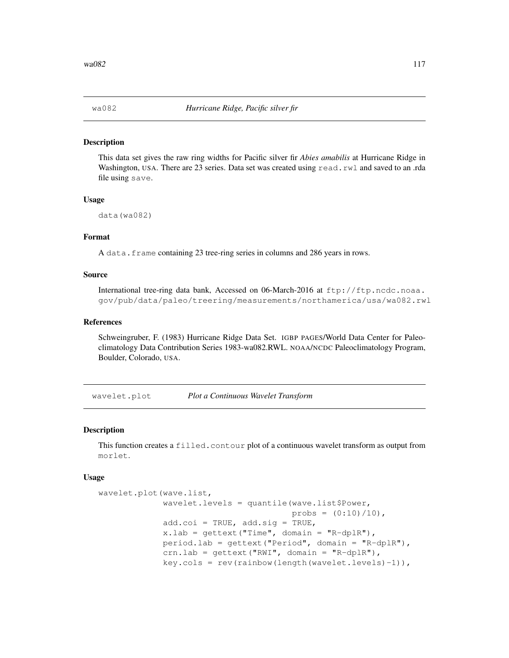## Description

This data set gives the raw ring widths for Pacific silver fir *Abies amabilis* at Hurricane Ridge in Washington, USA. There are 23 series. Data set was created using read.rwl and saved to an .rda file using save.

## Usage

```
data(wa082)
```
# Format

A data.frame containing 23 tree-ring series in columns and 286 years in rows.

## Source

International tree-ring data bank, Accessed on 06-March-2016 at ftp://ftp.ncdc.noaa. gov/pub/data/paleo/treering/measurements/northamerica/usa/wa082.rwl

## References

Schweingruber, F. (1983) Hurricane Ridge Data Set. IGBP PAGES/World Data Center for Paleoclimatology Data Contribution Series 1983-wa082.RWL. NOAA/NCDC Paleoclimatology Program, Boulder, Colorado, USA.

wavelet.plot *Plot a Continuous Wavelet Transform*

## Description

This function creates a filled.contour plot of a continuous wavelet transform as output from morlet.

#### Usage

```
wavelet.plot(wave.list,
             wavelet.levels = quantile(wave.list$Power,
                                       probs = (0:10)/10,
             add.coi = TRUE, add.size = TRUE,x.lab = qettext ("Time", domain = "R-dplR"),
             period.lab = gettext("Period", domain = "R-dplR"),
             crn.lab = gettext("RWI", domain = "R-dplR"),
             key.cols = rev(rainbow(length(wavelet.levels)-1)),
```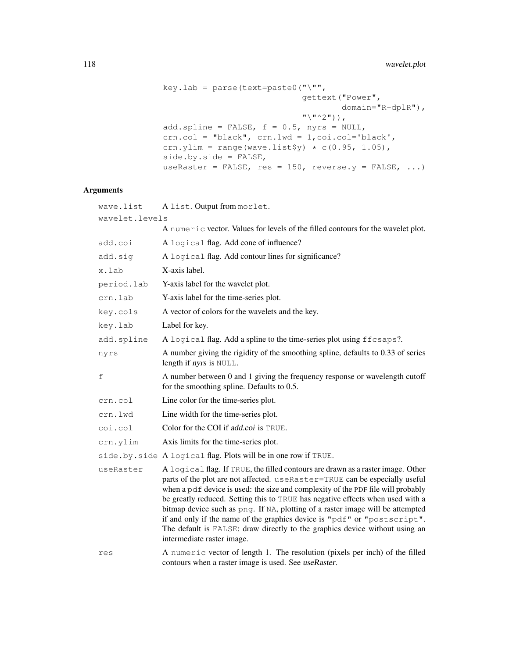```
key.lab = parse(text=paste0("\"",
                            gettext("Power",
                                    domain="R-dplR"),
                             "\wedge"^2"')),
add.spline = FALSE, f = 0.5, nyrs = NULL,
crn.col = "black", crn.lwd = 1,coi.col='black',
crn.ylim = range(wave.list$y) * c(0.95, 1.05),
side.by.side = FALSE,
useRaster = FALSE, res = 150, reverse.y = FALSE, ...)
```
# Arguments

| wave.list      | A list. Output from morlet.                                                                                                                                                                                                                                                                                                                                                                                                                                                                                                                                                                                     |  |
|----------------|-----------------------------------------------------------------------------------------------------------------------------------------------------------------------------------------------------------------------------------------------------------------------------------------------------------------------------------------------------------------------------------------------------------------------------------------------------------------------------------------------------------------------------------------------------------------------------------------------------------------|--|
| wavelet.levels |                                                                                                                                                                                                                                                                                                                                                                                                                                                                                                                                                                                                                 |  |
|                | A numeric vector. Values for levels of the filled contours for the wavelet plot.                                                                                                                                                                                                                                                                                                                                                                                                                                                                                                                                |  |
| add.coi        | A logical flag. Add cone of influence?                                                                                                                                                                                                                                                                                                                                                                                                                                                                                                                                                                          |  |
| add.sig        | A logical flag. Add contour lines for significance?                                                                                                                                                                                                                                                                                                                                                                                                                                                                                                                                                             |  |
| x.lab          | X-axis label.                                                                                                                                                                                                                                                                                                                                                                                                                                                                                                                                                                                                   |  |
| period.lab     | Y-axis label for the wavelet plot.                                                                                                                                                                                                                                                                                                                                                                                                                                                                                                                                                                              |  |
| crn.lab        | Y-axis label for the time-series plot.                                                                                                                                                                                                                                                                                                                                                                                                                                                                                                                                                                          |  |
| key.cols       | A vector of colors for the wavelets and the key.                                                                                                                                                                                                                                                                                                                                                                                                                                                                                                                                                                |  |
| key.lab        | Label for key.                                                                                                                                                                                                                                                                                                                                                                                                                                                                                                                                                                                                  |  |
| add.spline     | A logical flag. Add a spline to the time-series plot using ffcsaps?.                                                                                                                                                                                                                                                                                                                                                                                                                                                                                                                                            |  |
| nyrs           | A number giving the rigidity of the smoothing spline, defaults to 0.33 of series<br>length if nyrs is NULL.                                                                                                                                                                                                                                                                                                                                                                                                                                                                                                     |  |
| f              | A number between 0 and 1 giving the frequency response or wavelength cutoff<br>for the smoothing spline. Defaults to 0.5.                                                                                                                                                                                                                                                                                                                                                                                                                                                                                       |  |
| crn.col        | Line color for the time-series plot.                                                                                                                                                                                                                                                                                                                                                                                                                                                                                                                                                                            |  |
| crn.lwd        | Line width for the time-series plot.                                                                                                                                                                                                                                                                                                                                                                                                                                                                                                                                                                            |  |
| coi.col        | Color for the COI if add.coi is TRUE.                                                                                                                                                                                                                                                                                                                                                                                                                                                                                                                                                                           |  |
| crn.ylim       | Axis limits for the time-series plot.                                                                                                                                                                                                                                                                                                                                                                                                                                                                                                                                                                           |  |
|                | side.by.side A logical flag. Plots will be in one row if TRUE.                                                                                                                                                                                                                                                                                                                                                                                                                                                                                                                                                  |  |
| useRaster      | A logical flag. If TRUE, the filled contours are drawn as a raster image. Other<br>parts of the plot are not affected. useRaster=TRUE can be especially useful<br>when a pdf device is used: the size and complexity of the PDF file will probably<br>be greatly reduced. Setting this to TRUE has negative effects when used with a<br>bitmap device such as png. If NA, plotting of a raster image will be attempted<br>if and only if the name of the graphics device is "pdf" or "postscript".<br>The default is FALSE: draw directly to the graphics device without using an<br>intermediate raster image. |  |
| res            | A numeric vector of length 1. The resolution (pixels per inch) of the filled<br>contours when a raster image is used. See useRaster.                                                                                                                                                                                                                                                                                                                                                                                                                                                                            |  |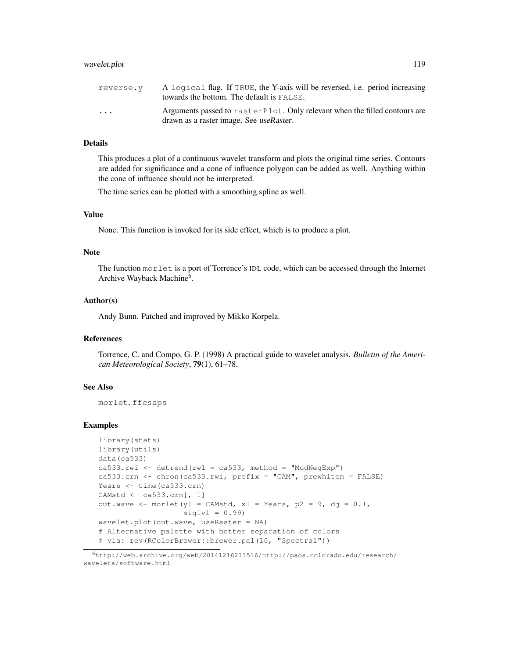## wavelet.plot 119

| reverse.v               | A logical flag. If TRUE, the Y-axis will be reversed, i.e. period increasing<br>towards the bottom. The default is FALSE. |
|-------------------------|---------------------------------------------------------------------------------------------------------------------------|
| $\cdot$ $\cdot$ $\cdot$ | Arguments passed to raster Plot. Only relevant when the filled contours are<br>drawn as a raster image. See useRaster.    |

# Details

This produces a plot of a continuous wavelet transform and plots the original time series. Contours are added for significance and a cone of influence polygon can be added as well. Anything within the cone of influence should not be interpreted.

The time series can be plotted with a smoothing spline as well.

# Value

None. This function is invoked for its side effect, which is to produce a plot.

# Note

The function morlet is a port of Torrence's IDL code, which can be accessed through the Internet Archive Wayback Machine<sup>6</sup>.

# Author(s)

Andy Bunn. Patched and improved by Mikko Korpela.

# References

Torrence, C. and Compo, G. P. (1998) A practical guide to wavelet analysis. *Bulletin of the American Meteorological Society*, 79(1), 61–78.

## See Also

morlet, ffcsaps

```
library(stats)
library(utils)
data(ca533)
ca533.rwi <- detrend(rwl = ca533, method = "ModNeqExp")
ca533.crn <- chron(ca533.rwi, prefix = "CAM", prewhiten = FALSE)
Years <- time(ca533.crn)
CAMstd <- ca533.crn[, 1]
out.wave <- morlet(y1 = CAMstd, x1 = Years, p2 = 9, dj = 0.1,
                   siglvl = 0.99wavelet.plot(out.wave, useRaster = NA)
# Alternative palette with better separation of colors
# via: rev(RColorBrewer::brewer.pal(10, "Spectral"))
```
<sup>6</sup>http://web.archive.org/web/20141216211516/http://paos.colorado.edu/research/ wavelets/software.html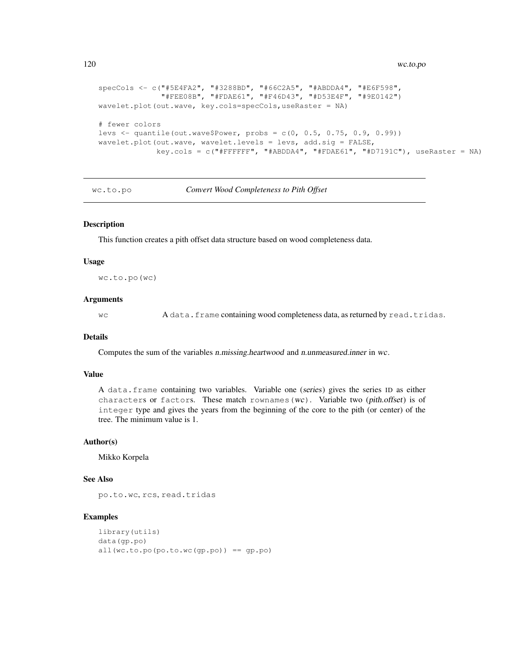```
specCols <- c("#5E4FA2", "#3288BD", "#66C2A5", "#ABDDA4", "#E6F598",
              "#FEE08B", "#FDAE61", "#F46D43", "#D53E4F", "#9E0142")
wavelet.plot(out.wave, key.cols=specCols,useRaster = NA)
# fewer colors
levs <- quantile(out.wave$Power, probs = c(0, 0.5, 0.75, 0.9, 0.99))
wavelet.plot(out.wave, wavelet.levels = levs, add.sig = FALSE,
             key.cols = c("#FFFFFF", "#ABDDA4", "#FDAE61", "#D7191C"), useRaster = NA)
```
wc.to.po *Convert Wood Completeness to Pith Offset*

# **Description**

This function creates a pith offset data structure based on wood completeness data.

## Usage

```
wc.to.po(wc)
```
#### Arguments

wc A data.frame containing wood completeness data, as returned by read.tridas.

#### Details

Computes the sum of the variables n.missing.heartwood and n.unmeasured.inner in wc.

## Value

A data.frame containing two variables. Variable one (series) gives the series ID as either characters or factors. These match rownames (wc). Variable two (pith.offset) is of integer type and gives the years from the beginning of the core to the pith (or center) of the tree. The minimum value is 1.

## Author(s)

Mikko Korpela

# See Also

po.to.wc, rcs, read.tridas

```
library(utils)
data(gp.po)
all(wc.to.po(po.to.wc(qp.po)) == qp.po)
```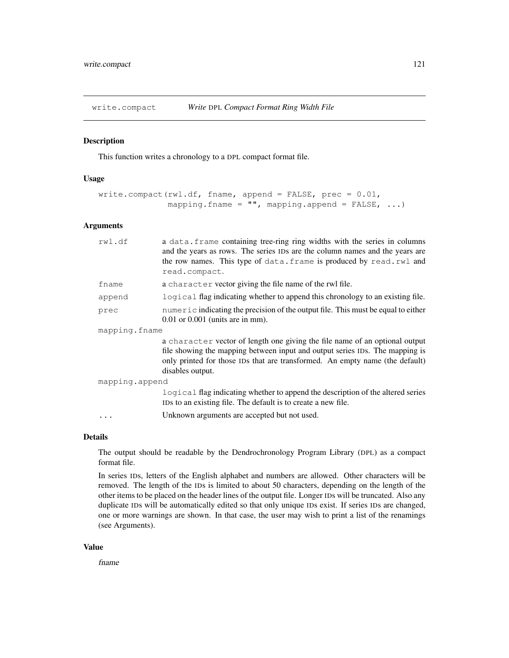# Description

This function writes a chronology to a DPL compact format file.

# Usage

```
write.compact(rwl.df, fname, append = FALSE, prec = 0.01,
              mapping.fname = " ", mapping.append = FALSE, ...)
```
## Arguments

| rwl.df         | a data. frame containing tree-ring ring widths with the series in columns<br>and the years as rows. The series IDs are the column names and the years are<br>the row names. This type of data. frame is produced by read.rwl and<br>read.compact.               |  |
|----------------|-----------------------------------------------------------------------------------------------------------------------------------------------------------------------------------------------------------------------------------------------------------------|--|
| fname          | a character vector giving the file name of the rwl file.                                                                                                                                                                                                        |  |
| append         | logical flag indicating whether to append this chronology to an existing file.                                                                                                                                                                                  |  |
| prec           | numeric indicating the precision of the output file. This must be equal to either<br>$0.01$ or $0.001$ (units are in mm).                                                                                                                                       |  |
| mapping.fname  |                                                                                                                                                                                                                                                                 |  |
|                | a character vector of length one giving the file name of an optional output<br>file showing the mapping between input and output series IDs. The mapping is<br>only printed for those IDs that are transformed. An empty name (the default)<br>disables output. |  |
| mapping.append |                                                                                                                                                                                                                                                                 |  |
|                | logical flag indicating whether to append the description of the altered series<br>IDs to an existing file. The default is to create a new file.                                                                                                                |  |
|                | Unknown arguments are accepted but not used.                                                                                                                                                                                                                    |  |
|                |                                                                                                                                                                                                                                                                 |  |

# Details

The output should be readable by the Dendrochronology Program Library (DPL) as a compact format file.

In series IDs, letters of the English alphabet and numbers are allowed. Other characters will be removed. The length of the IDs is limited to about 50 characters, depending on the length of the other items to be placed on the header lines of the output file. Longer IDs will be truncated. Also any duplicate IDs will be automatically edited so that only unique IDs exist. If series IDs are changed, one or more warnings are shown. In that case, the user may wish to print a list of the renamings (see Arguments).

## Value

fname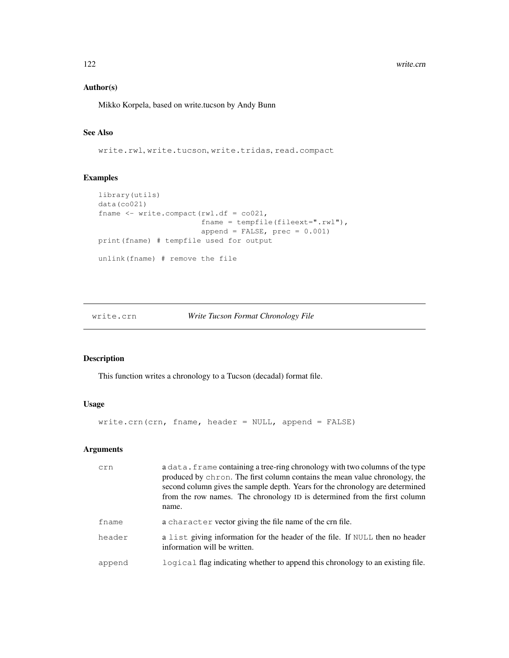#### 122 write.crn

# Author(s)

Mikko Korpela, based on write.tucson by Andy Bunn

# See Also

write.rwl, write.tucson, write.tridas, read.compact

# Examples

```
library(utils)
data(co021)
fname <- write.compact(rwl.df = co021,
                       fname = tempfile(fileext=".rwl"),
                       append = FALSE, prec = 0.001)
print(fname) # tempfile used for output
unlink(fname) # remove the file
```
# write.crn *Write Tucson Format Chronology File*

# Description

This function writes a chronology to a Tucson (decadal) format file.

# Usage

write.crn(crn, fname, header = NULL, append = FALSE)

# Arguments

| crn    | a data. frame containing a tree-ring chronology with two columns of the type<br>produced by chron. The first column contains the mean value chronology, the<br>second column gives the sample depth. Years for the chronology are determined<br>from the row names. The chronology ID is determined from the first column<br>name. |
|--------|------------------------------------------------------------------------------------------------------------------------------------------------------------------------------------------------------------------------------------------------------------------------------------------------------------------------------------|
| fname  | a character vector giving the file name of the crn file.                                                                                                                                                                                                                                                                           |
| header | a list giving information for the header of the file. If NULL then no header<br>information will be written.                                                                                                                                                                                                                       |
| append | logical flag indicating whether to append this chronology to an existing file.                                                                                                                                                                                                                                                     |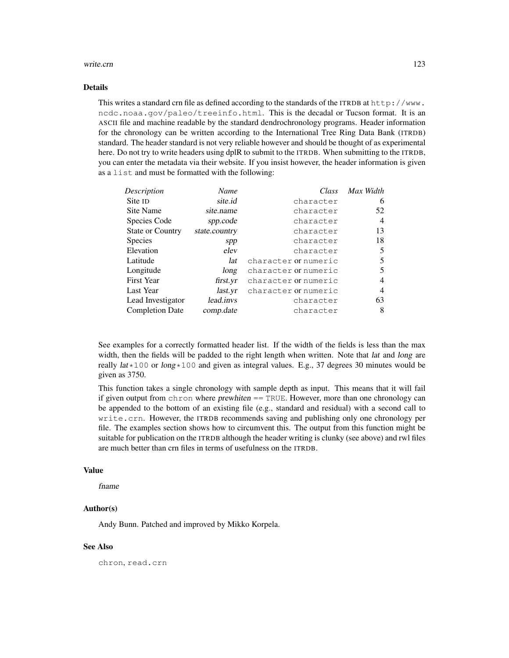#### write.crn 123

## Details

This writes a standard crn file as defined according to the standards of the ITRDB at  $http://www.$ ncdc.noaa.gov/paleo/treeinfo.html. This is the decadal or Tucson format. It is an ASCII file and machine readable by the standard dendrochronology programs. Header information for the chronology can be written according to the International Tree Ring Data Bank (ITRDB) standard. The header standard is not very reliable however and should be thought of as experimental here. Do not try to write headers using dplR to submit to the ITRDB. When submitting to the ITRDB, you can enter the metadata via their website. If you insist however, the header information is given as a list and must be formatted with the following:

| Name          | Class                | Max Width      |
|---------------|----------------------|----------------|
| site.id       | character            | 6              |
| site.name     | character            | 52             |
| spp.code      | character            | $\overline{4}$ |
| state.country | character            | 13             |
| spp           | character            | 18             |
| elev          | character            | 5              |
| lat           | character or numeric | 5              |
| long          | character or numeric | 5              |
| first.yr      | character or numeric | 4              |
| last.yr       | character or numeric | 4              |
| lead.invs     | character            | 63             |
| comp.date     | character            | 8              |
|               |                      |                |

See examples for a correctly formatted header list. If the width of the fields is less than the max width, then the fields will be padded to the right length when written. Note that *lat and long are* really  $lat \times 100$  or long  $\times 100$  and given as integral values. E.g., 37 degrees 30 minutes would be given as 3750.

This function takes a single chronology with sample depth as input. This means that it will fail if given output from chron where  $prewhiten = = TRUE$ . However, more than one chronology can be appended to the bottom of an existing file (e.g., standard and residual) with a second call to write.crn. However, the ITRDB recommends saving and publishing only one chronology per file. The examples section shows how to circumvent this. The output from this function might be suitable for publication on the ITRDB although the header writing is clunky (see above) and rwl files are much better than crn files in terms of usefulness on the ITRDB.

# Value

fname

## Author(s)

Andy Bunn. Patched and improved by Mikko Korpela.

# See Also

chron, read.crn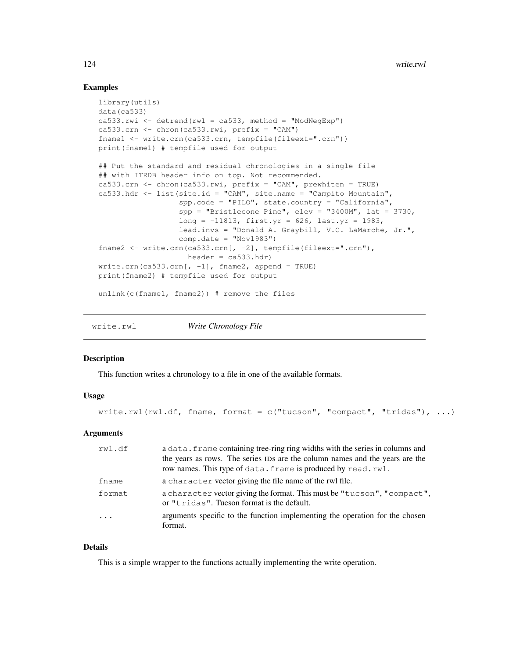# Examples

```
library(utils)
data(ca533)
ca533.rwi \leq detrend(rwl = ca533, method = "ModNeqExp")
ca533.crn \le chron(ca533.rwi, prefix = "CAM")
fname1 <- write.crn(ca533.crn, tempfile(fileext=".crn"))
print(fname1) # tempfile used for output
## Put the standard and residual chronologies in a single file
## with ITRDB header info on top. Not recommended.
ca533.crn <- chron(ca533.rwi, prefix = "CAM", prewhiten = TRUE)
ca533.hdr <- list(site.id = "CAM", site.name = "Campito Mountain",
                  spp.code = "PILO", state.country = "California",
                  spp = "Bristlecone Pine", elev = "3400M", lat = 3730,long = -11813, first.yr = 626, last.yr = 1983,
                  lead.invs = "Donald A. Graybill, V.C. LaMarche, Jr.",
                  comp.data = "Nov1983")fname2 <- write.crn(ca533.crn[, -2], tempfile(fileext=".crn"),
                    header = ca533.htmlwrite.crn(ca533.crn[, -1], fname2, append = TRUE)
print(fname2) # tempfile used for output
unlink(c(fname1, fname2)) # remove the files
```
write.rwl *Write Chronology File*

## **Description**

This function writes a chronology to a file in one of the available formats.

## Usage

write.rwl(rwl.df, fname, format = c("tucson", "compact", "tridas"), ...)

## Arguments

| rwl.df   | a data. frame containing tree-ring ring widths with the series in columns and                                         |
|----------|-----------------------------------------------------------------------------------------------------------------------|
|          | the years as rows. The series IDs are the column names and the years are the                                          |
|          | row names. This type of data. frame is produced by read.rwl.                                                          |
| fname    | a character vector giving the file name of the rwl file.                                                              |
| format   | a character vector giving the format. This must be "tucson", "compact",<br>or "tridas". Tucson format is the default. |
| $\ddots$ | arguments specific to the function implementing the operation for the chosen<br>format.                               |

## Details

This is a simple wrapper to the functions actually implementing the write operation.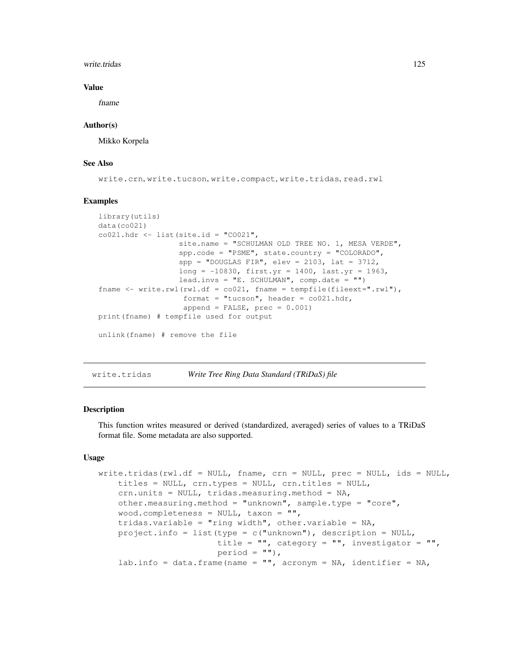#### write.tridas and the set of the set of the set of the set of the set of the set of the set of the set of the set of the set of the set of the set of the set of the set of the set of the set of the set of the set of the set

## Value

fname

## Author(s)

Mikko Korpela

## See Also

write.crn, write.tucson, write.compact, write.tridas, read.rwl

## Examples

```
library(utils)
data(co021)
co021.hdr \leftarrow list(site.id = "CO021",
                  site.name = "SCHULMAN OLD TREE NO. 1, MESA VERDE",
                  spp.code = "PSME", state.country = "COLORADO",
                  spp = "DOUGLAS FIR", elev = 2103, lat = 3712,long = -10830, first.yr = 1400, last.yr = 1963,
                  lead.invs = "E. SCHULMAN", comp.date = "")fname \leq write.rwl(rwl.df = co021, fname = tempfile(fileext=".rwl"),
                   format = "tucson", header = co021.hdr,
                   append = FALSE, prec = 0.001)
print(fname) # tempfile used for output
unlink(fname) # remove the file
```
write.tridas *Write Tree Ring Data Standard (TRiDaS) file*

# Description

This function writes measured or derived (standardized, averaged) series of values to a TRiDaS format file. Some metadata are also supported.

## Usage

```
write.tridas(rwl.df = NULL, fname, crn = NULL, prec = NULL, ids = NULL,
    titles = NULL, crn.types = NULL, crn.titles = NULL,
    crn.units = NULL, tridas.measuring.method = NA,
    other.measuring.method = "unknown", sample.type = "core",
    wood.completeness = NULL, taxon = "",
    tridas.variable = "ring width", other.variable = NA,
    project.info = list(type = c("unknown"), description = NULL,
                        title = '''', category = '''', investigator = '''',
                        period = " ",
    lab.info = data.frame(name = '''', acronym = NA, identifier = NA,
```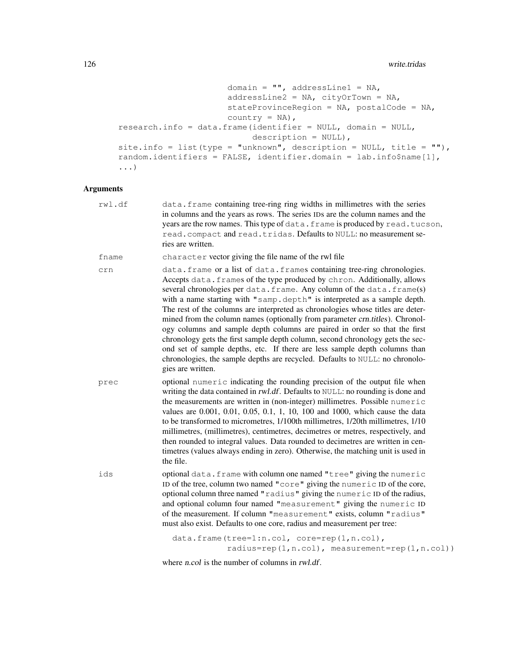```
domain = '''', addressLine1 = NA,
                      addressLine2 = NA, cityOrTown = NA,
                      stateProvinceRegion = NA, postalCode = NA,
                      country = NA),
research.info = data.frame(identifier = NULL, domain = NULL,
                           description = NULL),
site.info = list(type = "unknown", description = NULL, title = ""),
random.identifiers = FALSE, identifier.domain = lab.info$name[1],
...)
```
# Arguments

| rwl.df | data. frame containing tree-ring ring widths in millimetres with the series<br>in columns and the years as rows. The series IDs are the column names and the<br>years are the row names. This type of data. frame is produced by read. tucson,<br>read. compact and read. tridas. Defaults to NULL: no measurement se-<br>ries are written.                                                                                                                                                                                                                                                                                                                                                                                                                                                                                      |
|--------|----------------------------------------------------------------------------------------------------------------------------------------------------------------------------------------------------------------------------------------------------------------------------------------------------------------------------------------------------------------------------------------------------------------------------------------------------------------------------------------------------------------------------------------------------------------------------------------------------------------------------------------------------------------------------------------------------------------------------------------------------------------------------------------------------------------------------------|
| fname  | character vector giving the file name of the rwl file                                                                                                                                                                                                                                                                                                                                                                                                                                                                                                                                                                                                                                                                                                                                                                            |
| crn    | data. frame or a list of data. frames containing tree-ring chronologies.<br>Accepts data. frames of the type produced by chron. Additionally, allows<br>several chronologies per data. frame. Any column of the data. frame(s)<br>with a name starting with "samp.depth" is interpreted as a sample depth.<br>The rest of the columns are interpreted as chronologies whose titles are deter-<br>mined from the column names (optionally from parameter crn.titles). Chronol-<br>ogy columns and sample depth columns are paired in order so that the first<br>chronology gets the first sample depth column, second chronology gets the sec-<br>ond set of sample depths, etc. If there are less sample depth columns than<br>chronologies, the sample depths are recycled. Defaults to NULL: no chronolo-<br>gies are written. |
| prec   | optional numeric indicating the rounding precision of the output file when<br>writing the data contained in rwl.df. Defaults to NULL: no rounding is done and<br>the measurements are written in (non-integer) millimetres. Possible numeric<br>values are 0.001, 0.01, 0.05, 0.1, 1, 10, 100 and 1000, which cause the data<br>to be transformed to micrometres, 1/100th millimetres, 1/20th millimetres, 1/10<br>millimetres, (millimetres), centimetres, decimetres or metres, respectively, and<br>then rounded to integral values. Data rounded to decimetres are written in cen-<br>timetres (values always ending in zero). Otherwise, the matching unit is used in<br>the file.                                                                                                                                          |
| ids    | optional data. frame with column one named "tree" giving the numeric<br>ID of the tree, column two named "core" giving the numeric ID of the core,<br>optional column three named "radius" giving the numeric ID of the radius,<br>and optional column four named "measurement" giving the numeric ID<br>of the measurement. If column "measurement" exists, column "radius"<br>must also exist. Defaults to one core, radius and measurement per tree:                                                                                                                                                                                                                                                                                                                                                                          |
|        | data.frame(tree=1:n.col, core=rep(1,n.col),                                                                                                                                                                                                                                                                                                                                                                                                                                                                                                                                                                                                                                                                                                                                                                                      |

radius=rep(1,n.col), measurement=rep(1,n.col))

where *n.col* is the number of columns in *rwl.df.*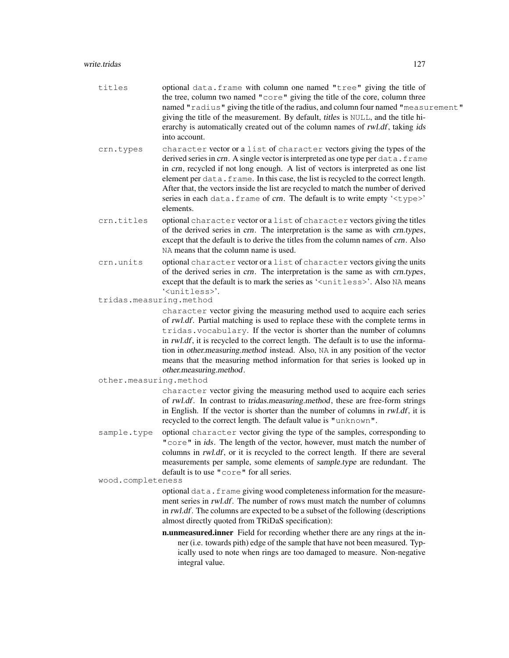# write.tridas 127

| titles                  | optional data. frame with column one named "tree" giving the title of<br>the tree, column two named "core" giving the title of the core, column three<br>named "radius" giving the title of the radius, and column four named "measurement"<br>giving the title of the measurement. By default, titles is NULL, and the title hi-<br>erarchy is automatically created out of the column names of rwl.df, taking ids<br>into account.                                                                                              |
|-------------------------|-----------------------------------------------------------------------------------------------------------------------------------------------------------------------------------------------------------------------------------------------------------------------------------------------------------------------------------------------------------------------------------------------------------------------------------------------------------------------------------------------------------------------------------|
| crn.types               | character vector or a list of character vectors giving the types of the<br>derived series in crn. A single vector is interpreted as one type per data. frame<br>in crn, recycled if not long enough. A list of vectors is interpreted as one list<br>element per data. frame. In this case, the list is recycled to the correct length.<br>After that, the vectors inside the list are recycled to match the number of derived<br>series in each data. frame of crn. The default is to write empty ' <type>'<br/>elements.</type> |
| crn.titles              | optional character vector or a list of character vectors giving the titles<br>of the derived series in crn. The interpretation is the same as with crn.types,<br>except that the default is to derive the titles from the column names of crn. Also<br>NA means that the column name is used.                                                                                                                                                                                                                                     |
| crn.units               | optional character vector or a list of character vectors giving the units<br>of the derived series in crn. The interpretation is the same as with crn.types,<br>except that the default is to mark the series as ' <unitless>'. Also NA means<br/>'<unitless>'.</unitless></unitless>                                                                                                                                                                                                                                             |
| tridas.measuring.method |                                                                                                                                                                                                                                                                                                                                                                                                                                                                                                                                   |
|                         | character vector giving the measuring method used to acquire each series<br>of rwl.df. Partial matching is used to replace these with the complete terms in<br>tridas. vocabulary. If the vector is shorter than the number of columns<br>in rwl.df, it is recycled to the correct length. The default is to use the informa-<br>tion in other.measuring.method instead. Also, NA in any position of the vector<br>means that the measuring method information for that series is looked up in<br>other.measuring.method.         |
| other.measuring.method  |                                                                                                                                                                                                                                                                                                                                                                                                                                                                                                                                   |
|                         | character vector giving the measuring method used to acquire each series<br>of rwl.df. In contrast to tridas.measuring.method, these are free-form strings<br>in English. If the vector is shorter than the number of columns in rwl.df, it is<br>recycled to the correct length. The default value is "unknown".                                                                                                                                                                                                                 |
| sample.type             | optional character vector giving the type of the samples, corresponding to<br>"core" in ids. The length of the vector, however, must match the number of<br>columns in rwl.df, or it is recycled to the correct length. If there are several<br>measurements per sample, some elements of sample.type are redundant. The<br>default is to use "core" for all series.                                                                                                                                                              |
| wood.completeness       |                                                                                                                                                                                                                                                                                                                                                                                                                                                                                                                                   |
|                         | optional data. frame giving wood completeness information for the measure-<br>ment series in <i>rwl.df</i> . The number of rows must match the number of columns<br>in rwl.df. The columns are expected to be a subset of the following (descriptions<br>almost directly quoted from TRiDaS specification):                                                                                                                                                                                                                       |
|                         | n.unmeasured.inner Field for recording whether there are any rings at the in-<br>ner (i.e. towards pith) edge of the sample that have not been measured. Typ-<br>ically used to note when rings are too damaged to measure. Non-negative<br>integral value.                                                                                                                                                                                                                                                                       |
|                         |                                                                                                                                                                                                                                                                                                                                                                                                                                                                                                                                   |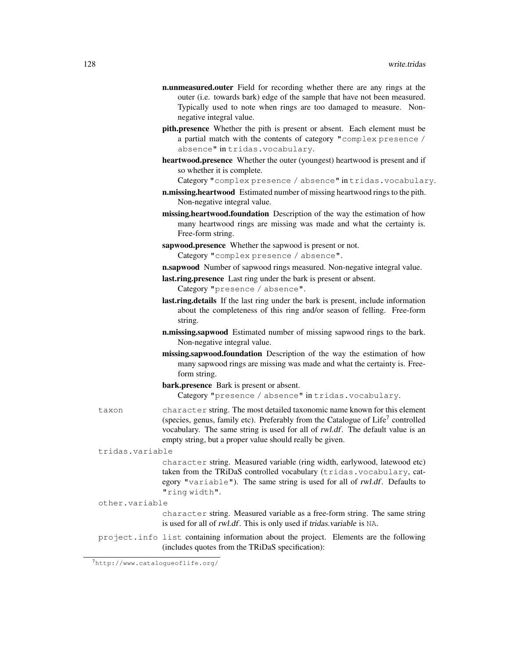- n.unmeasured.outer Field for recording whether there are any rings at the outer (i.e. towards bark) edge of the sample that have not been measured. Typically used to note when rings are too damaged to measure. Nonnegative integral value.
- pith.presence Whether the pith is present or absent. Each element must be a partial match with the contents of category "complex presence / absence" in tridas.vocabulary.
- heartwood.presence Whether the outer (youngest) heartwood is present and if so whether it is complete.

Category "complex presence / absence" in tridas.vocabulary.

- n.missing.heartwood Estimated number of missing heartwood rings to the pith. Non-negative integral value.
- missing.heartwood.foundation Description of the way the estimation of how many heartwood rings are missing was made and what the certainty is. Free-form string.
- sapwood.presence Whether the sapwood is present or not. Category "complex presence / absence".
- n.sapwood Number of sapwood rings measured. Non-negative integral value.
- last.ring.presence Last ring under the bark is present or absent. Category "presence / absence".
- last.ring.details If the last ring under the bark is present, include information about the completeness of this ring and/or season of felling. Free-form string.
- n.missing.sapwood Estimated number of missing sapwood rings to the bark. Non-negative integral value.
- missing.sapwood.foundation Description of the way the estimation of how many sapwood rings are missing was made and what the certainty is. Freeform string.
- bark.presence Bark is present or absent. Category "presence / absence" in tridas.vocabulary.
- taxon character string. The most detailed taxonomic name known for this element (species, genus, family etc). Preferably from the Catalogue of Life<sup>7</sup> controlled vocabulary. The same string is used for all of rwl.df. The default value is an empty string, but a proper value should really be given.

tridas.variable

character string. Measured variable (ring width, earlywood, latewood etc) taken from the TRiDaS controlled vocabulary (tridas.vocabulary, category "variable"). The same string is used for all of rwl.df. Defaults to "ring width".

other.variable

character string. Measured variable as a free-form string. The same string is used for all of rwl.df. This is only used if tridas.variable is NA.

project.info list containing information about the project. Elements are the following (includes quotes from the TRiDaS specification):

<sup>7</sup>http://www.catalogueoflife.org/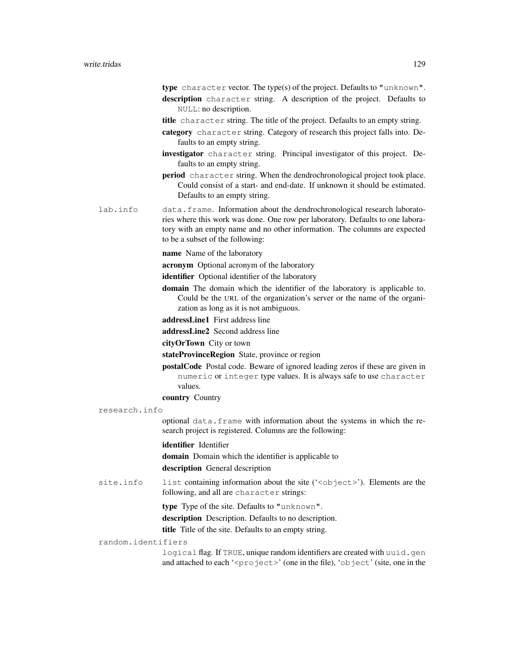type character vector. The type(s) of the project. Defaults to "unknown". description character string. A description of the project. Defaults to NULL: no description.

- title character string. The title of the project. Defaults to an empty string.
- category character string. Category of research this project falls into. Defaults to an empty string.
- investigator character string. Principal investigator of this project. Defaults to an empty string.
- period character string. When the dendrochronological project took place. Could consist of a start- and end-date. If unknown it should be estimated. Defaults to an empty string.
- lab.info data.frame. Information about the dendrochronological research laboratories where this work was done. One row per laboratory. Defaults to one laboratory with an empty name and no other information. The columns are expected to be a subset of the following:

#### name Name of the laboratory

acronym Optional acronym of the laboratory

identifier Optional identifier of the laboratory

- domain The domain which the identifier of the laboratory is applicable to. Could be the URL of the organization's server or the name of the organization as long as it is not ambiguous.
- addressLine1 First address line
- addressLine2 Second address line

## cityOrTown City or town

- stateProvinceRegion State, province or region
- postalCode Postal code. Beware of ignored leading zeros if these are given in numeric or integer type values. It is always safe to use character values.
- country Country
- research.info

optional data.frame with information about the systems in which the research project is registered. Columns are the following:

## identifier Identifier

domain Domain which the identifier is applicable to

description General description

site.info list containing information about the site ('<object>'). Elements are the following, and all are character strings:

type Type of the site. Defaults to "unknown".

description Description. Defaults to no description.

title Title of the site. Defaults to an empty string.

#### random.identifiers

logical flag. If TRUE, unique random identifiers are created with uuid.gen and attached to each '<project>' (one in the file), 'object' (site, one in the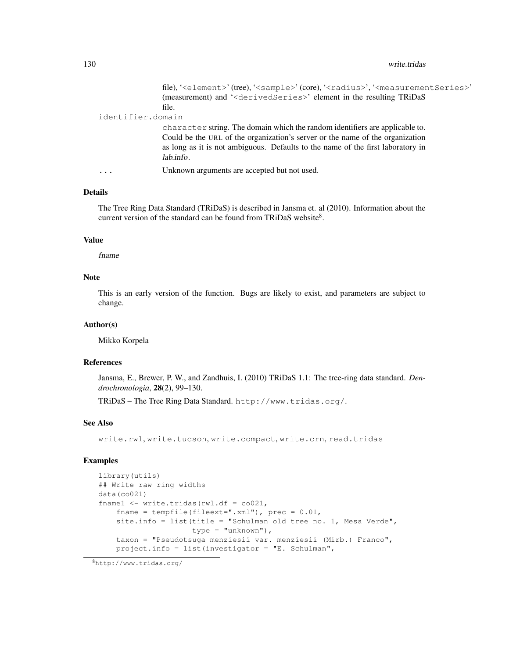#### 130 write.tridas

file), '<element>' (tree), '<sample>' (core), '<radius>', '<measurementSeries>' (measurement) and '<derivedSeries>' element in the resulting TRiDaS file.

#### identifier.domain

character string. The domain which the random identifiers are applicable to. Could be the URL of the organization's server or the name of the organization as long as it is not ambiguous. Defaults to the name of the first laboratory in lab.info.

... Unknown arguments are accepted but not used.

# Details

The Tree Ring Data Standard (TRiDaS) is described in Jansma et. al (2010). Information about the current version of the standard can be found from TRiDaS website $8$ .

## Value

fname

## Note

This is an early version of the function. Bugs are likely to exist, and parameters are subject to change.

## Author(s)

Mikko Korpela

## References

Jansma, E., Brewer, P. W., and Zandhuis, I. (2010) TRiDaS 1.1: The tree-ring data standard. *Dendrochronologia*, 28(2), 99–130.

TRiDaS – The Tree Ring Data Standard. http://www.tridas.org/.

#### See Also

write.rwl, write.tucson, write.compact, write.crn, read.tridas

```
library(utils)
## Write raw ring widths
data(co021)
fname1 <- write.tridas(rwl.df = co021,
    fname = tempfile(fileext=".xml"), prec = 0.01,
    site.info = list(title = "Schulman old tree no. 1, Mesa Verde",
                     type = "unknown"),
    taxon = "Pseudotsuga menziesii var. menziesii (Mirb.) Franco",
    project.info = list(investigator = "E. Schulman",
```
<sup>8</sup>http://www.tridas.org/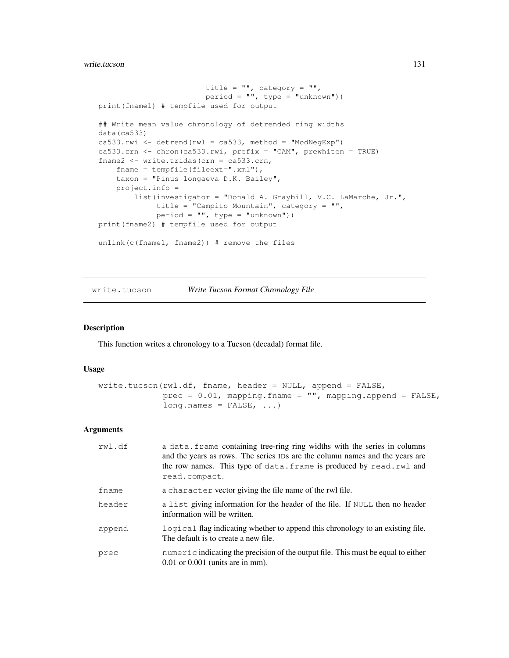#### write.tucson 131

```
title = " ", category = " ",
                        period = "", type = "unknown"))
print(fname1) # tempfile used for output
## Write mean value chronology of detrended ring widths
data(ca533)
ca533.rwi <- detrend(rwl = ca533, method = "ModNegExp")
ca533.crn <- chron(ca533.rwi, prefix = "CAM", prewhiten = TRUE)
fname2 <- write.tridas(crn = ca533.crn,
   fname = tempfile(fileext=".xml"),
   taxon = "Pinus longaeva D.K. Bailey",
   project.info =
        list(investigator = "Donald A. Graybill, V.C. LaMarche, Jr.",
             title = "Campito Mountain", category = "",
             period = "", type = "unknown"))
print(fname2) # tempfile used for output
unlink(c(fname1, fname2)) # remove the files
```
write.tucson *Write Tucson Format Chronology File*

## Description

This function writes a chronology to a Tucson (decadal) format file.

## Usage

```
write.tucson(rwl.df, fname, header = NULL, append = FALSE,
             prec = 0.01, mapping.fname = "", mapping.append = FALSE,
             long.names = FALSE, ...)
```
## Arguments

| rwl.df | a data. frame containing tree-ring ring widths with the series in columns<br>and the years as rows. The series IDs are the column names and the years are<br>the row names. This type of data. frame is produced by read. rwl and<br>read.compact. |
|--------|----------------------------------------------------------------------------------------------------------------------------------------------------------------------------------------------------------------------------------------------------|
| fname  | a character vector giving the file name of the rwl file.                                                                                                                                                                                           |
| header | a list giving information for the header of the file. If NULL then no header<br>information will be written.                                                                                                                                       |
| append | logical flag indicating whether to append this chronology to an existing file.<br>The default is to create a new file.                                                                                                                             |
| prec   | $numeric indicating the precision of the output file. This must be equal to either$<br>$0.01$ or $0.001$ (units are in mm).                                                                                                                        |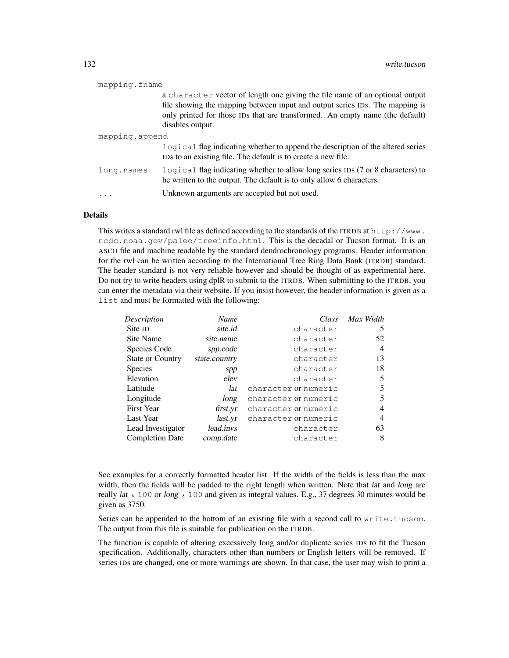| mapping.fname  |                                                                                                                                                                                                                                                                 |
|----------------|-----------------------------------------------------------------------------------------------------------------------------------------------------------------------------------------------------------------------------------------------------------------|
|                | a character vector of length one giving the file name of an optional output<br>file showing the mapping between input and output series IDs. The mapping is<br>only printed for those IDs that are transformed. An empty name (the default)<br>disables output. |
| mapping.append |                                                                                                                                                                                                                                                                 |
|                | logical flag indicating whether to append the description of the altered series<br>IDs to an existing file. The default is to create a new file.                                                                                                                |
| long.names     | logical flag indicating whether to allow long series IDs (7 or 8 characters) to<br>be written to the output. The default is to only allow 6 characters.                                                                                                         |
|                | Unknown arguments are accepted but not used.                                                                                                                                                                                                                    |

# Details

This writes a standard rwl file as defined according to the standards of the ITRDB at http://www. ncdc.noaa.gov/paleo/treeinfo.html. This is the decadal or Tucson format. It is an ASCII file and machine readable by the standard dendrochronology programs. Header information for the rwl can be written according to the International Tree Ring Data Bank (ITRDB) standard. The header standard is not very reliable however and should be thought of as experimental here. Do not try to write headers using dplR to submit to the ITRDB. When submitting to the ITRDB, you can enter the metadata via their website. If you insist however, the header information is given as a list and must be formatted with the following:

| Description             | Name          | Class                | Max Width |
|-------------------------|---------------|----------------------|-----------|
| Site <sub>ID</sub>      | site.id       | character            | 5         |
| Site Name               | site.name     | character            | 52        |
| Species Code            | spp.code      | character            | 4         |
| <b>State or Country</b> | state.country | character            | 13        |
| <b>Species</b>          | spp           | character            | 18        |
| Elevation               | elev          | character            | 5         |
| Latitude                | lat           | character or numeric | 5         |
| Longitude               | long          | character or numeric | 5         |
| <b>First Year</b>       | first.yr      | character or numeric | 4         |
| Last Year               | last.yr       | character or numeric | 4         |
| Lead Investigator       | lead.invs     | character            | 63        |
| <b>Completion Date</b>  | comp.date     | character            | 8         |

See examples for a correctly formatted header list. If the width of the fields is less than the max width, then the fields will be padded to the right length when written. Note that lat and long are really lat  $\star$  100 or long  $\star$  100 and given as integral values. E.g., 37 degrees 30 minutes would be given as 3750.

Series can be appended to the bottom of an existing file with a second call to write.tucson. The output from this file is suitable for publication on the ITRDB.

The function is capable of altering excessively long and/or duplicate series IDs to fit the Tucson specification. Additionally, characters other than numbers or English letters will be removed. If series IDs are changed, one or more warnings are shown. In that case, the user may wish to print a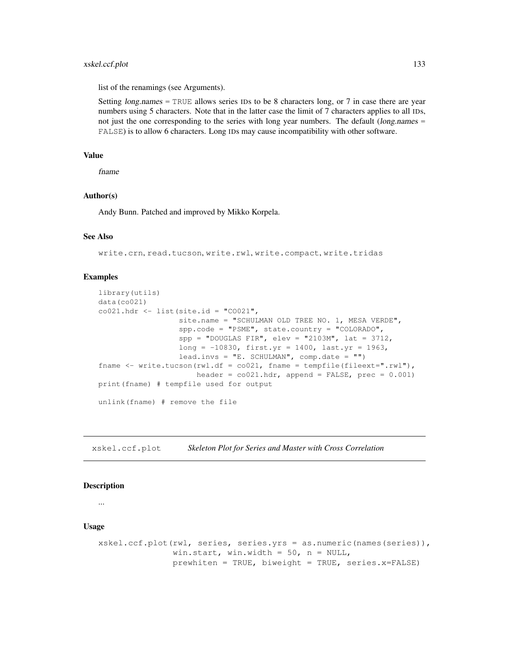# xskel.ccf.plot 133

list of the renamings (see Arguments).

Setting  $long.name = TRUE$  allows series IDs to be 8 characters long, or 7 in case there are year numbers using 5 characters. Note that in the latter case the limit of 7 characters applies to all IDs, not just the one corresponding to the series with long year numbers. The default (long.names = FALSE) is to allow 6 characters. Long IDs may cause incompatibility with other software.

## Value

fname

# Author(s)

Andy Bunn. Patched and improved by Mikko Korpela.

## See Also

write.crn, read.tucson, write.rwl, write.compact, write.tridas

## Examples

```
library(utils)
data(co021)
co021.hdr \leftarrow list(site.id = "CO021",
                  site.name = "SCHULMAN OLD TREE NO. 1, MESA VERDE",
                  spp.code = "PSME", state.country = "COLORADO",
                  spp = "DOUGLAS FIR", elev = "2103M", lat = 3712,
                  long = -10830, first.yr = 1400, last.yr = 1963,
                  lead.invs = "E. SCHULMAN", comp.date = "")
fname \leq write.tucson(rwl.df = co021, fname = tempfile(fileext=".rwl"),
                      header = co021.hdr, append = FALSE, prec = 0.001)
print(fname) # tempfile used for output
unlink(fname) # remove the file
```
xskel.ccf.plot *Skeleton Plot for Series and Master with Cross Correlation*

#### **Description**

...

#### Usage

```
xskel.ccf.plot(rwl, series, series.yrs = as.numeric(names(series)),
               win.start, win.width = 50, n = NULL,
               prewhiten = TRUE, biweight = TRUE, series.x=FALSE)
```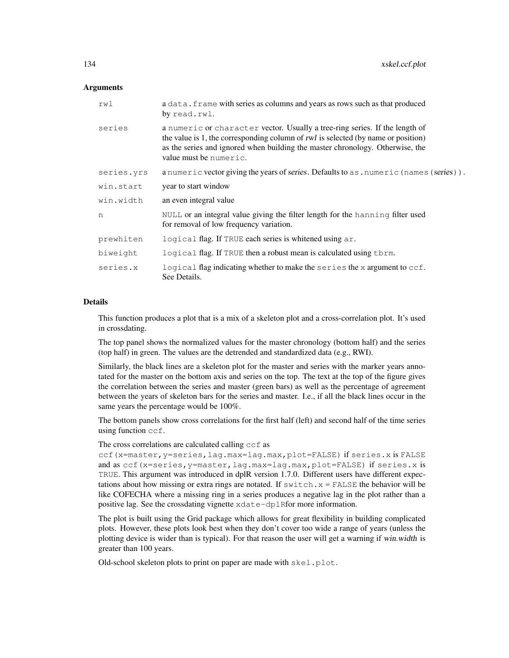## **Arguments**

| rwl        | a data. frame with series as columns and years as rows such as that produced<br>by read.rwl.                                                                                                                                                                                |
|------------|-----------------------------------------------------------------------------------------------------------------------------------------------------------------------------------------------------------------------------------------------------------------------------|
| series     | a numeric or character vector. Usually a tree-ring series. If the length of<br>the value is 1, the corresponding column of rwl is selected (by name or position)<br>as the series and ignored when building the master chronology. Otherwise, the<br>value must be numeric. |
| series.yrs | a numeric vector giving the years of series. Defaults to as . numeric (names (series)).                                                                                                                                                                                     |
| win.start  | year to start window                                                                                                                                                                                                                                                        |
| win.width  | an even integral value                                                                                                                                                                                                                                                      |
| n          | NULL or an integral value giving the filter length for the hanning filter used<br>for removal of low frequency variation.                                                                                                                                                   |
| prewhiten  | logical flag. If TRUE each series is white ned using ar.                                                                                                                                                                                                                    |
| biweight   | logical flag. If TRUE then a robust mean is calculated using them.                                                                                                                                                                                                          |
| series.x   | logical flag indicating whether to make the series the x argument to ccf.<br>See Details.                                                                                                                                                                                   |

# Details

This function produces a plot that is a mix of a skeleton plot and a cross-correlation plot. It's used in crossdating.

The top panel shows the normalized values for the master chronology (bottom half) and the series (top half) in green. The values are the detrended and standardized data (e.g., RWI).

Similarly, the black lines are a skeleton plot for the master and series with the marker years annotated for the master on the bottom axis and series on the top. The text at the top of the figure gives the correlation between the series and master (green bars) as well as the percentage of agreement between the years of skeleton bars for the series and master. I.e., if all the black lines occur in the same years the percentage would be 100%.

The bottom panels show cross correlations for the first half (left) and second half of the time series using function ccf.

The cross correlations are calculated calling ccf as

ccf(x=master,y=series,lag.max=lag.max,plot=FALSE) if series.x is FALSE and as ccf(x=series,y=master,lag.max=lag.max,plot=FALSE) if series.x is TRUE. This argument was introduced in dplR version 1.7.0. Different users have different expectations about how missing or extra rings are notated. If  $s$ witch. $x =$  FALSE the behavior will be like COFECHA where a missing ring in a series produces a negative lag in the plot rather than a positive lag. See the crossdating vignette xdate-dplRfor more information.

The plot is built using the Grid package which allows for great flexibility in building complicated plots. However, these plots look best when they don't cover too wide a range of years (unless the plotting device is wider than is typical). For that reason the user will get a warning if win.width is greater than 100 years.

Old-school skeleton plots to print on paper are made with skel.plot.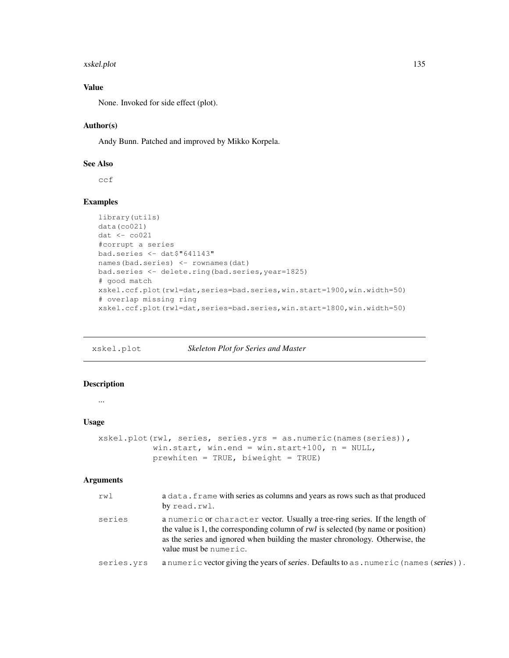#### xskel.plot 135

# Value

None. Invoked for side effect (plot).

# Author(s)

Andy Bunn. Patched and improved by Mikko Korpela.

# See Also

ccf

# Examples

```
library(utils)
data(co021)
dat <- co021
#corrupt a series
bad.series <- dat$"641143"
names(bad.series) <- rownames(dat)
bad.series <- delete.ring(bad.series,year=1825)
# good match
xskel.ccf.plot(rwl=dat,series=bad.series,win.start=1900,win.width=50)
# overlap missing ring
xskel.ccf.plot(rwl=dat,series=bad.series,win.start=1800,win.width=50)
```
xskel.plot *Skeleton Plot for Series and Master*

# Description

...

## Usage

```
xskel.plot(rwl, series, series.yrs = as.numeric(names(series)),
          win.start, win.end = win.start+100, n = NULL,
          prewhiten = TRUE, biveight = TRUE
```
# Arguments

| rwl        | a data. frame with series as columns and years as rows such as that produced<br>by read.rwl.                                                                                                                                                                                |
|------------|-----------------------------------------------------------------------------------------------------------------------------------------------------------------------------------------------------------------------------------------------------------------------------|
| series     | a numeric or character vector. Usually a tree-ring series. If the length of<br>the value is 1, the corresponding column of rwl is selected (by name or position)<br>as the series and ignored when building the master chronology. Otherwise, the<br>value must be numeric. |
| series.yrs | a numeric vector giving the years of series. Defaults to as . numeric (names (series)).                                                                                                                                                                                     |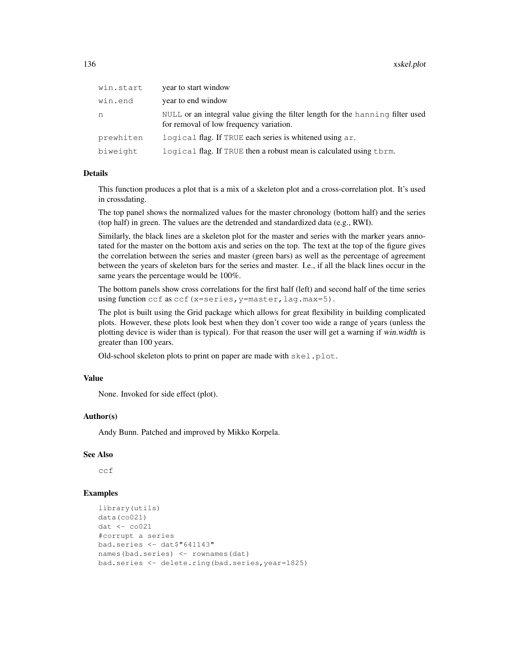| win.start | year to start window                                                                                                      |
|-----------|---------------------------------------------------------------------------------------------------------------------------|
| win.end   | year to end window                                                                                                        |
| n         | NULL or an integral value giving the filter length for the hanning filter used<br>for removal of low frequency variation. |
| prewhiten | logical flag. If TRUE each series is whitened using ar.                                                                   |
| biweight  | logical flag. If TRUE then a robust mean is calculated using them.                                                        |

# Details

This function produces a plot that is a mix of a skeleton plot and a cross-correlation plot. It's used in crossdating.

The top panel shows the normalized values for the master chronology (bottom half) and the series (top half) in green. The values are the detrended and standardized data (e.g., RWI).

Similarly, the black lines are a skeleton plot for the master and series with the marker years annotated for the master on the bottom axis and series on the top. The text at the top of the figure gives the correlation between the series and master (green bars) as well as the percentage of agreement between the years of skeleton bars for the series and master. I.e., if all the black lines occur in the same years the percentage would be 100%.

The bottom panels show cross correlations for the first half (left) and second half of the time series using function ccf as ccf (x=series, y=master, lag.max=5).

The plot is built using the Grid package which allows for great flexibility in building complicated plots. However, these plots look best when they don't cover too wide a range of years (unless the plotting device is wider than is typical). For that reason the user will get a warning if win.width is greater than 100 years.

Old-school skeleton plots to print on paper are made with skel.plot.

## Value

None. Invoked for side effect (plot).

## Author(s)

Andy Bunn. Patched and improved by Mikko Korpela.

## See Also

ccf

```
library(utils)
data(co021)
dat <- co021
#corrupt a series
bad.series <- dat$"641143"
names(bad.series) <- rownames(dat)
bad.series <- delete.ring(bad.series,year=1825)
```